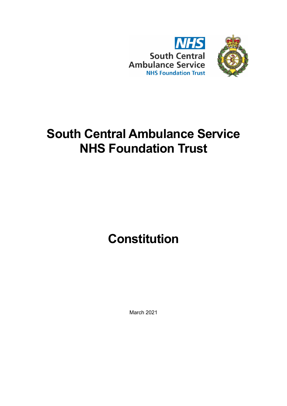

# **South Central Ambulance Service NHS Foundation Trust**

# **Constitution**

March 2021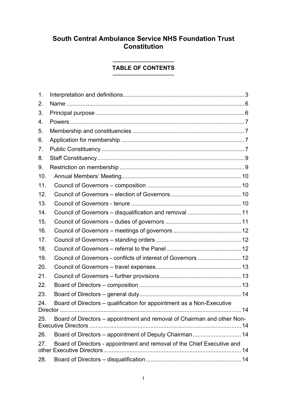# **South Central Ambulance Service NHS Foundation Trust Constitution**

#### -------------------------------- **TABLE OF CONTENTS**

--------------------------------

| $\mathbf 1$ . |                                                                         |  |
|---------------|-------------------------------------------------------------------------|--|
| 2.            |                                                                         |  |
| 3.            |                                                                         |  |
| 4.            |                                                                         |  |
| 5.            |                                                                         |  |
| 6.            |                                                                         |  |
| 7.            |                                                                         |  |
| 8.            |                                                                         |  |
| 9.            |                                                                         |  |
| 10.           |                                                                         |  |
| 11.           |                                                                         |  |
| 12.           |                                                                         |  |
| 13.           |                                                                         |  |
| 14.           | Council of Governors - disqualification and removal  11                 |  |
| 15.           |                                                                         |  |
| 16.           |                                                                         |  |
| 17.           |                                                                         |  |
| 18.           |                                                                         |  |
| 19.           |                                                                         |  |
| 20.           |                                                                         |  |
| 21.           |                                                                         |  |
| 22.           |                                                                         |  |
| 23.           |                                                                         |  |
| 24.           | Board of Directors - qualification for appointment as a Non-Executive   |  |
| 25.           | Board of Directors - appointment and removal of Chairman and other Non- |  |
| 26.           | Board of Directors - appointment of Deputy Chairman 14                  |  |
| 27.           | Board of Directors - appointment and removal of the Chief Executive and |  |
| 28.           |                                                                         |  |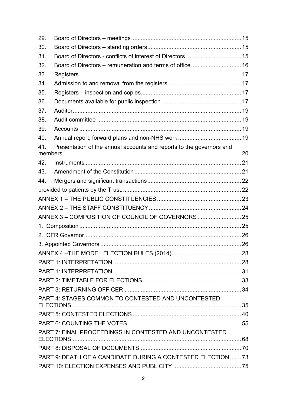| 29.                                                         |                                                                      |  |
|-------------------------------------------------------------|----------------------------------------------------------------------|--|
| 30.                                                         |                                                                      |  |
| 31.                                                         | Board of Directors - conflicts of interest of Directors  15          |  |
| 32.                                                         |                                                                      |  |
| 33.                                                         |                                                                      |  |
| 34.                                                         |                                                                      |  |
| 35.                                                         |                                                                      |  |
| 36.                                                         |                                                                      |  |
| 37.                                                         |                                                                      |  |
| 38.                                                         |                                                                      |  |
| 39.                                                         |                                                                      |  |
| 40.                                                         |                                                                      |  |
| 41.                                                         | Presentation of the annual accounts and reports to the governors and |  |
|                                                             |                                                                      |  |
| 42.                                                         |                                                                      |  |
| 43.                                                         |                                                                      |  |
| 44.                                                         |                                                                      |  |
|                                                             |                                                                      |  |
|                                                             |                                                                      |  |
|                                                             |                                                                      |  |
|                                                             |                                                                      |  |
| $1_{\cdot}$                                                 |                                                                      |  |
|                                                             |                                                                      |  |
|                                                             |                                                                      |  |
|                                                             |                                                                      |  |
|                                                             |                                                                      |  |
|                                                             |                                                                      |  |
|                                                             |                                                                      |  |
|                                                             |                                                                      |  |
|                                                             | PART 4: STAGES COMMON TO CONTESTED AND UNCONTESTED                   |  |
|                                                             |                                                                      |  |
|                                                             |                                                                      |  |
|                                                             | PART 7: FINAL PROCEEDINGS IN CONTESTED AND UNCONTESTED               |  |
|                                                             |                                                                      |  |
| PART 9: DEATH OF A CANDIDATE DURING A CONTESTED ELECTION 73 |                                                                      |  |
|                                                             |                                                                      |  |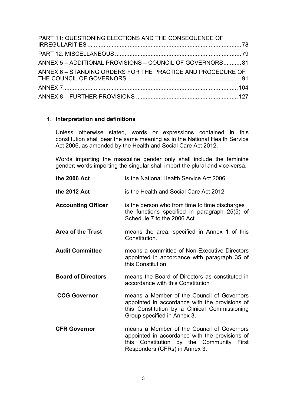| PART 11: QUESTIONING ELECTIONS AND THE CONSEQUENCE OF       |  |
|-------------------------------------------------------------|--|
|                                                             |  |
| ANNEX 5 - ADDITIONAL PROVISIONS - COUNCIL OF GOVERNORS 81   |  |
| ANNEX 6 - STANDING ORDERS FOR THE PRACTICE AND PROCEDURE OF |  |
|                                                             |  |
|                                                             |  |

# <span id="page-3-0"></span>**1. Interpretation and definitions**

Unless otherwise stated, words or expressions contained in this constitution shall bear the same meaning as in the National Health Service Act 2006, as amended by the Health and Social Care Act 2012.

Words importing the masculine gender only shall include the feminine gender; words importing the singular shall import the plural and vice-versa.

| the 2006 Act              | is the National Health Service Act 2006.                                                                                                                                     |
|---------------------------|------------------------------------------------------------------------------------------------------------------------------------------------------------------------------|
| the 2012 Act              | is the Health and Social Care Act 2012                                                                                                                                       |
| <b>Accounting Officer</b> | is the person who from time to time discharges<br>the functions specified in paragraph 25(5) of<br>Schedule 7 to the 2006 Act.                                               |
| <b>Area of the Trust</b>  | means the area, specified in Annex 1 of this<br>Constitution.                                                                                                                |
| <b>Audit Committee</b>    | means a committee of Non-Executive Directors<br>appointed in accordance with paragraph 35 of<br>this Constitution                                                            |
| <b>Board of Directors</b> | means the Board of Directors as constituted in<br>accordance with this Constitution                                                                                          |
| <b>CCG Governor</b>       | means a Member of the Council of Governors<br>appointed in accordance with the provisions of<br>this Constitution by a Clinical Commissioning<br>Group specified in Annex 3. |
| <b>CFR Governor</b>       | means a Member of the Council of Governors<br>appointed in accordance with the provisions of<br>this Constitution by the Community First<br>Responders (CFRs) in Annex 3.    |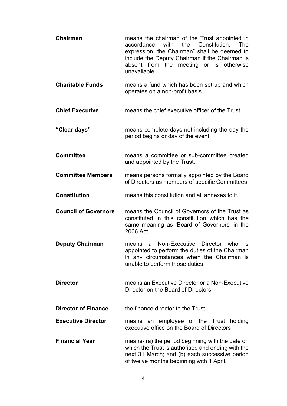- **Chairman** means the chairman of the Trust appointed in<br>accordance with the Constitution. The accordance with the Constitution. The expression "the Chairman" shall be deemed to include the Deputy Chairman if the Chairman is absent from the meeting or is otherwise unavailable.
- **Charitable Funds** means a fund which has been set up and which operates on a non-profit basis.
- **Chief Executive** means the chief executive officer of the Trust
- **"Clear days"** means complete days not including the day the period begins or day of the event
- **Committee** means a committee or sub-committee created and appointed by the Trust.
- **Committee Members** means persons formally appointed by the Board of Directors as members of specific Committees.
- **Constitution** means this constitution and all annexes to it.
- **Council of Governors** means the Council of Governors of the Trust as constituted in this constitution which has the same meaning as 'Board of Governors' in the 2006 Act.
- **Deputy Chairman** means a Non-Executive Director who is appointed to perform the duties of the Chairman in any circumstances when the Chairman is unable to perform those duties.
- **Director** means an Executive Director or a Non-Executive Director on the Board of Directors
- **Director of Finance** the finance director to the Trust
- **Executive Director** means an employee of the Trust holding executive office on the Board of Directors
- **Financial Year** means- (a) the period beginning with the date on which the Trust is authorised and ending with the next 31 March; and (b) each successive period of twelve months beginning with 1 April.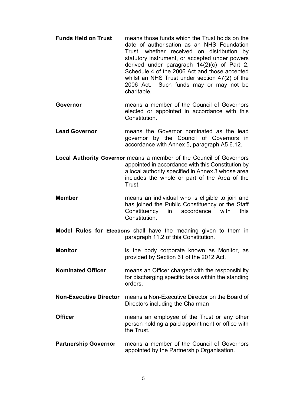- **Funds Held on Trust** means those funds which the Trust holds on the date of authorisation as an NHS Foundation Trust, whether received on distribution by statutory instrument, or accepted under powers derived under paragraph 14(2)(c) of Part 2, Schedule 4 of the 2006 Act and those accepted whilst an NHS Trust under section 47(2) of the 2006 Act. Such funds may or may not be charitable.
- **Governor** means a member of the Council of Governors elected or appointed in accordance with this Constitution.
- **Lead Governor** means the Governor nominated as the lead governor by the Council of Governors in accordance with Annex 5, paragraph A5 6.12.
- **Local Authority Governor** means a member of the Council of Governors appointed in accordance with this Constitution by a local authority specified in Annex 3 whose area includes the whole or part of the Area of the Trust.
- **Member** means an individual who is eligible to join and has joined the Public Constituency or the Staff Constituency in accordance with this Constitution.
- **Model Rules for Elections** shall have the meaning given to them in paragraph 11.2 of this Constitution.
- **Monitor** is the body corporate known as Monitor, as provided by Section 61 of the 2012 Act.
- **Nominated Officer** means an Officer charged with the responsibility for discharging specific tasks within the standing orders.
- **Non-Executive Director** means a Non-Executive Director on the Board of Directors including the Chairman
- **Officer** means an employee of the Trust or any other person holding a paid appointment or office with the Trust.
- **Partnership Governor** means a member of the Council of Governors appointed by the Partnership Organisation.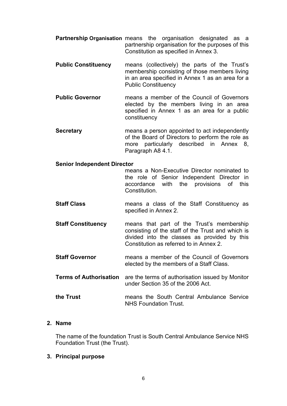- **Partnership Organisation** means the organisation designated as a partnership organisation for the purposes of this Constitution as specified in Annex 3.
- **Public Constituency** means (collectively) the parts of the Trust's membership consisting of those members living in an area specified in Annex 1 as an area for a Public Constituency
- **Public Governor** means a member of the Council of Governors elected by the members living in an area specified in Annex 1 as an area for a public constituency
- **Secretary example a** means a person appointed to act independently of the Board of Directors to perform the role as more particularly described in Annex 8, Paragraph A8 4.1.

# **Senior Independent Director**

means a Non-Executive Director nominated to the role of Senior Independent Director in accordance with the provisions of this Constitution.

- **Staff Class means a class of the Staff Constituency as** specified in Annex 2.
- **Staff Constituency** means that part of the Trust's membership consisting of the staff of the Trust and which is divided into the classes as provided by this Constitution as referred to in Annex 2.
- **Staff Governor** means a member of the Council of Governors elected by the members of a Staff Class.
- **Terms of Authorisation** are the terms of authorisation issued by Monitor under Section 35 of the 2006 Act.
- **the Trust** means the South Central Ambulance Service NHS Foundation Trust.

# <span id="page-6-0"></span>**2. Name**

The name of the foundation Trust is South Central Ambulance Service NHS Foundation Trust (the Trust).

# <span id="page-6-1"></span>**3. Principal purpose**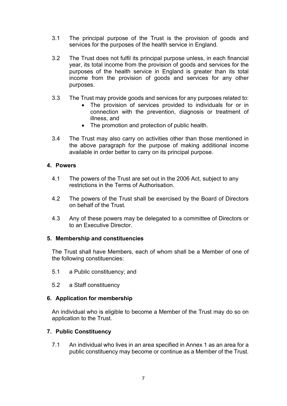- 3.1 The principal purpose of the Trust is the provision of goods and services for the purposes of the health service in England.
- 3.2 The Trust does not fulfil its principal purpose unless, in each financial year, its total income from the provision of goods and services for the purposes of the health service in England is greater than its total income from the provision of goods and services for any other purposes.
- 3.3 The Trust may provide goods and services for any purposes related to:
	- The provision of services provided to individuals for or in connection with the prevention, diagnosis or treatment of illness, and
	- The promotion and protection of public health.
- 3.4 The Trust may also carry on activities other than those mentioned in the above paragraph for the purpose of making additional income available in order better to carry on its principal purpose.

# <span id="page-7-0"></span>**4. Powers**

- 4.1 The powers of the Trust are set out in the 2006 Act, subject to any restrictions in the Terms of Authorisation.
- 4.2 The powers of the Trust shall be exercised by the Board of Directors on behalf of the Trust.
- 4.3 Any of these powers may be delegated to a committee of Directors or to an Executive Director.

# <span id="page-7-1"></span>**5. Membership and constituencies**

The Trust shall have Members, each of whom shall be a Member of one of the following constituencies:

- 5.1 a Public constituency; and
- 5.2 a Staff constituency

# <span id="page-7-2"></span>**6. Application for membership**

An individual who is eligible to become a Member of the Trust may do so on application to the Trust.

# <span id="page-7-3"></span>**7. Public Constituency**

7.1 An individual who lives in an area specified in Annex 1 as an area for a public constituency may become or continue as a Member of the Trust.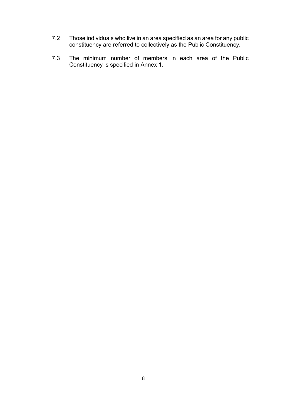- 7.2 Those individuals who live in an area specified as an area for any public constituency are referred to collectively as the Public Constituency.
- 7.3 The minimum number of members in each area of the Public Constituency is specified in Annex 1.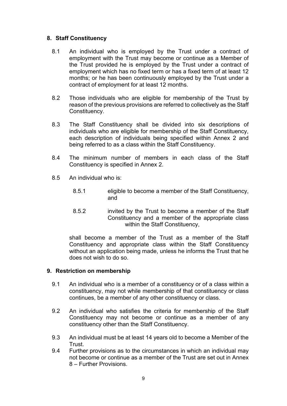# <span id="page-9-0"></span>**8. Staff Constituency**

- 8.1 An individual who is employed by the Trust under a contract of employment with the Trust may become or continue as a Member of the Trust provided he is employed by the Trust under a contract of employment which has no fixed term or has a fixed term of at least 12 months; or he has been continuously employed by the Trust under a contract of employment for at least 12 months.
- 8.2 Those individuals who are eligible for membership of the Trust by reason of the previous provisions are referred to collectively as the Staff Constituency.
- 8.3 The Staff Constituency shall be divided into six descriptions of individuals who are eligible for membership of the Staff Constituency, each description of individuals being specified within Annex 2 and being referred to as a class within the Staff Constituency.
- 8.4 The minimum number of members in each class of the Staff Constituency is specified in Annex 2.
- 8.5 An individual who is:
	- 8.5.1 eligible to become a member of the Staff Constituency, and
	- 8.5.2 invited by the Trust to become a member of the Staff Constituency and a member of the appropriate class within the Staff Constituency,

shall become a member of the Trust as a member of the Staff Constituency and appropriate class within the Staff Constituency without an application being made, unless he informs the Trust that he does not wish to do so.

# <span id="page-9-1"></span>**9. Restriction on membership**

- 9.1 An individual who is a member of a constituency or of a class within a constituency, may not while membership of that constituency or class continues, be a member of any other constituency or class.
- 9.2 An individual who satisfies the criteria for membership of the Staff Constituency may not become or continue as a member of any constituency other than the Staff Constituency.
- 9.3 An individual must be at least 14 years old to become a Member of the Trust.
- 9.4 Further provisions as to the circumstances in which an individual may not become or continue as a member of the Trust are set out in Annex 8 – Further Provisions.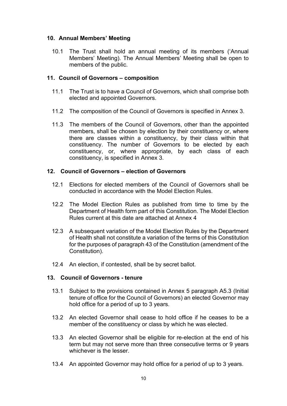# <span id="page-10-0"></span>**10. Annual Members' Meeting**

10.1 The Trust shall hold an annual meeting of its members ('Annual Members' Meeting). The Annual Members' Meeting shall be open to members of the public.

# <span id="page-10-1"></span>**11. Council of Governors – composition**

- 11.1 The Trust is to have a Council of Governors, which shall comprise both elected and appointed Governors.
- 11.2 The composition of the Council of Governors is specified in Annex 3.
- 11.3 The members of the Council of Governors, other than the appointed members, shall be chosen by election by their constituency or, where there are classes within a constituency, by their class within that constituency. The number of Governors to be elected by each constituency, or, where appropriate, by each class of each constituency, is specified in Annex 3.

# <span id="page-10-2"></span>**12. Council of Governors – election of Governors**

- 12.1 Elections for elected members of the Council of Governors shall be conducted in accordance with the Model Election Rules.
- 12.2 The Model Election Rules as published from time to time by the Department of Health form part of this Constitution. The Model Election Rules current at this date are attached at Annex 4
- 12.3 A subsequent variation of the Model Election Rules by the Department of Health shall not constitute a variation of the terms of this Constitution for the purposes of paragraph 43 of the Constitution (amendment of the Constitution).
- 12.4 An election, if contested, shall be by secret ballot.

# <span id="page-10-3"></span>**13. Council of Governors - tenure**

- 13.1 Subject to the provisions contained in Annex 5 paragraph A5.3 (Initial tenure of office for the Council of Governors) an elected Governor may hold office for a period of up to 3 years.
- 13.2 An elected Governor shall cease to hold office if he ceases to be a member of the constituency or class by which he was elected.
- 13.3 An elected Governor shall be eligible for re-election at the end of his term but may not serve more than three consecutive terms or 9 years whichever is the lesser.
- 13.4 An appointed Governor may hold office for a period of up to 3 years.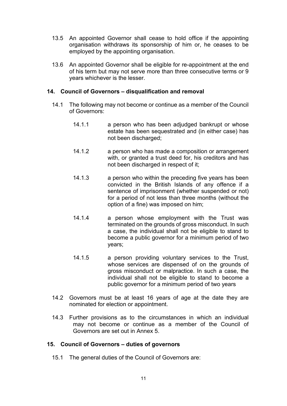- 13.5 An appointed Governor shall cease to hold office if the appointing organisation withdraws its sponsorship of him or, he ceases to be employed by the appointing organisation.
- 13.6 An appointed Governor shall be eligible for re-appointment at the end of his term but may not serve more than three consecutive terms or 9 years whichever is the lesser.

# <span id="page-11-0"></span>**14. Council of Governors – disqualification and removal**

- 14.1 The following may not become or continue as a member of the Council of Governors:
	- 14.1.1 a person who has been adjudged bankrupt or whose estate has been sequestrated and (in either case) has not been discharged;
	- 14.1.2 a person who has made a composition or arrangement with, or granted a trust deed for, his creditors and has not been discharged in respect of it;
	- 14.1.3 a person who within the preceding five years has been convicted in the British Islands of any offence if a sentence of imprisonment (whether suspended or not) for a period of not less than three months (without the option of a fine) was imposed on him;
	- 14.1.4 a person whose employment with the Trust was terminated on the grounds of gross misconduct. In such a case, the individual shall not be eligible to stand to become a public governor for a minimum period of two years;
	- 14.1.5 a person providing voluntary services to the Trust, whose services are dispensed of on the grounds of gross misconduct or malpractice. In such a case, the individual shall not be eligible to stand to become a public governor for a minimum period of two years
- 14.2 Governors must be at least 16 years of age at the date they are nominated for election or appointment.
- 14.3 Further provisions as to the circumstances in which an individual may not become or continue as a member of the Council of Governors are set out in Annex 5.

# <span id="page-11-1"></span>**15. Council of Governors – duties of governors**

15.1 The general duties of the Council of Governors are: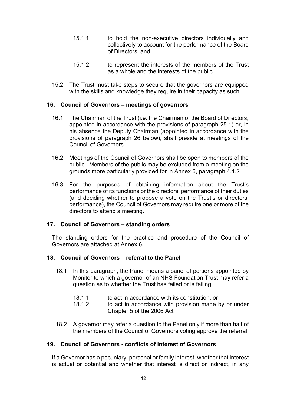- 15.1.1 to hold the non-executive directors individually and collectively to account for the performance of the Board of Directors, and
- 15.1.2 to represent the interests of the members of the Trust as a whole and the interests of the public
- 15.2 The Trust must take steps to secure that the governors are equipped with the skills and knowledge they require in their capacity as such.

# <span id="page-12-0"></span>**16. Council of Governors – meetings of governors**

- 16.1 The Chairman of the Trust (i.e. the Chairman of the Board of Directors, appointed in accordance with the provisions of paragraph 25.1) or, in his absence the Deputy Chairman (appointed in accordance with the provisions of paragraph 26 below), shall preside at meetings of the Council of Governors.
- 16.2 Meetings of the Council of Governors shall be open to members of the public. Members of the public may be excluded from a meeting on the grounds more particularly provided for in Annex 6, paragraph 4.1.2
- 16.3 For the purposes of obtaining information about the Trust's performance of its functions or the directors' performance of their duties (and deciding whether to propose a vote on the Trust's or directors' performance), the Council of Governors may require one or more of the directors to attend a meeting.

# <span id="page-12-1"></span>**17. Council of Governors – standing orders**

The standing orders for the practice and procedure of the Council of Governors are attached at Annex 6.

# <span id="page-12-2"></span>**18. Council of Governors – referral to the Panel**

- 18.1 In this paragraph, the Panel means a panel of persons appointed by Monitor to which a governor of an NHS Foundation Trust may refer a question as to whether the Trust has failed or is failing:
	- 18.1.1 to act in accordance with its constitution, or<br>18.1.2 to act in accordance with provision made I
	- to act in accordance with provision made by or under Chapter 5 of the 2006 Act
- 18.2 A governor may refer a question to the Panel only if more than half of the members of the Council of Governors voting approve the referral.

# <span id="page-12-3"></span>**19. Council of Governors - conflicts of interest of Governors**

If a Governor has a pecuniary, personal or family interest, whether that interest is actual or potential and whether that interest is direct or indirect, in any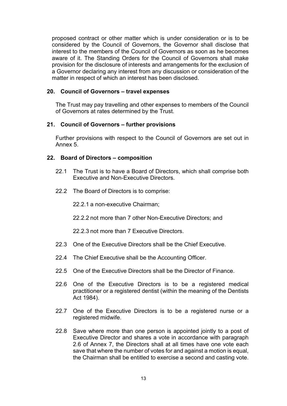proposed contract or other matter which is under consideration or is to be considered by the Council of Governors, the Governor shall disclose that interest to the members of the Council of Governors as soon as he becomes aware of it. The Standing Orders for the Council of Governors shall make provision for the disclosure of interests and arrangements for the exclusion of a Governor declaring any interest from any discussion or consideration of the matter in respect of which an interest has been disclosed.

# <span id="page-13-0"></span>**20. Council of Governors – travel expenses**

The Trust may pay travelling and other expenses to members of the Council of Governors at rates determined by the Trust.

#### <span id="page-13-1"></span>**21. Council of Governors – further provisions**

Further provisions with respect to the Council of Governors are set out in Annex 5.

#### <span id="page-13-2"></span>**22. Board of Directors – composition**

- 22.1 The Trust is to have a Board of Directors, which shall comprise both Executive and Non-Executive Directors.
- 22.2 The Board of Directors is to comprise:

22.2.1 a non-executive Chairman;

22.2.2 not more than 7 other Non-Executive Directors; and

22.2.3 not more than 7 Executive Directors.

- 22.3 One of the Executive Directors shall be the Chief Executive.
- 22.4 The Chief Executive shall be the Accounting Officer.
- 22.5 One of the Executive Directors shall be the Director of Finance.
- 22.6 One of the Executive Directors is to be a registered medical practitioner or a registered dentist (within the meaning of the Dentists Act 1984).
- 22.7 One of the Executive Directors is to be a registered nurse or a registered midwife.
- 22.8 Save where more than one person is appointed jointly to a post of Executive Director and shares a vote in accordance with paragraph 2.6 of Annex 7, the Directors shall at all times have one vote each save that where the number of votes for and against a motion is equal, the Chairman shall be entitled to exercise a second and casting vote.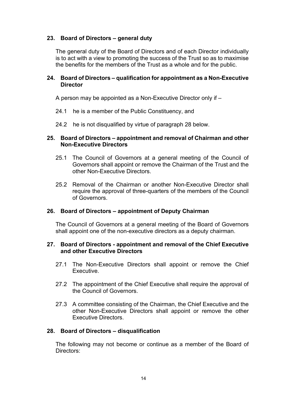# <span id="page-14-0"></span>**23. Board of Directors – general duty**

The general duty of the Board of Directors and of each Director individually is to act with a view to promoting the success of the Trust so as to maximise the benefits for the members of the Trust as a whole and for the public.

# <span id="page-14-1"></span>**24. Board of Directors – qualification for appointment as a Non-Executive Director**

A person may be appointed as a Non-Executive Director only if –

- 24.1 he is a member of the Public Constituency, and
- 24.2 he is not disqualified by virtue of paragraph 28 below.

#### <span id="page-14-2"></span>**25. Board of Directors – appointment and removal of Chairman and other Non-Executive Directors**

- 25.1 The Council of Governors at a general meeting of the Council of Governors shall appoint or remove the Chairman of the Trust and the other Non-Executive Directors.
- 25.2 Removal of the Chairman or another Non-Executive Director shall require the approval of three-quarters of the members of the Council of Governors.

# <span id="page-14-3"></span>**26. Board of Directors – appointment of Deputy Chairman**

The Council of Governors at a general meeting of the Board of Governors shall appoint one of the non-executive directors as a deputy chairman.

#### <span id="page-14-4"></span>**27. Board of Directors - appointment and removal of the Chief Executive and other Executive Directors**

- 27.1 The Non-Executive Directors shall appoint or remove the Chief Executive.
- 27.2 The appointment of the Chief Executive shall require the approval of the Council of Governors.
- 27.3 A committee consisting of the Chairman, the Chief Executive and the other Non-Executive Directors shall appoint or remove the other Executive Directors.

# <span id="page-14-5"></span>**28. Board of Directors – disqualification**

The following may not become or continue as a member of the Board of Directors: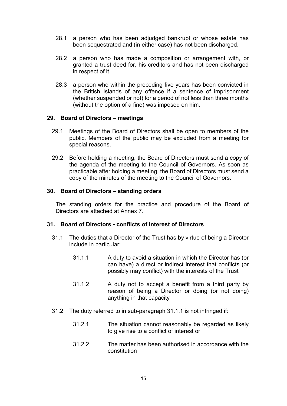- 28.1 a person who has been adjudged bankrupt or whose estate has been sequestrated and (in either case) has not been discharged.
- 28.2 a person who has made a composition or arrangement with, or granted a trust deed for, his creditors and has not been discharged in respect of it.
- 28.3 a person who within the preceding five years has been convicted in the British Islands of any offence if a sentence of imprisonment (whether suspended or not) for a period of not less than three months (without the option of a fine) was imposed on him.

#### <span id="page-15-0"></span>**29. Board of Directors – meetings**

- 29.1 Meetings of the Board of Directors shall be open to members of the public. Members of the public may be excluded from a meeting for special reasons.
- 29.2 Before holding a meeting, the Board of Directors must send a copy of the agenda of the meeting to the Council of Governors. As soon as practicable after holding a meeting, the Board of Directors must send a copy of the minutes of the meeting to the Council of Governors.

#### <span id="page-15-1"></span>**30. Board of Directors – standing orders**

The standing orders for the practice and procedure of the Board of Directors are attached at Annex 7.

#### <span id="page-15-2"></span>**31. Board of Directors - conflicts of interest of Directors**

- 31.1 The duties that a Director of the Trust has by virtue of being a Director include in particular:
	- 31.1.1 A duty to avoid a situation in which the Director has (or can have) a direct or indirect interest that conflicts (or possibly may conflict) with the interests of the Trust
	- 31.1.2 A duty not to accept a benefit from a third party by reason of being a Director or doing (or not doing) anything in that capacity
- 31.2 The duty referred to in sub-paragraph 31.1.1 is not infringed if:
	- 31.2.1 The situation cannot reasonably be regarded as likely to give rise to a conflict of interest or
	- 31.2.2 The matter has been authorised in accordance with the constitution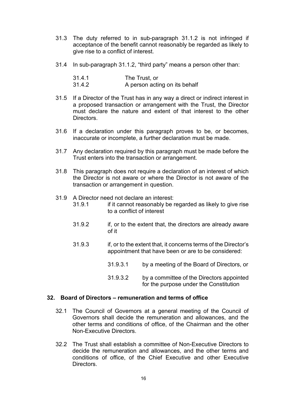- 31.3 The duty referred to in sub-paragraph 31.1.2 is not infringed if acceptance of the benefit cannot reasonably be regarded as likely to give rise to a conflict of interest.
- 31.4 In sub-paragraph 31.1.2, "third party" means a person other than:

| 31.4.1 | The Trust, or                 |
|--------|-------------------------------|
| 31.4.2 | A person acting on its behalf |

- 31.5 If a Director of the Trust has in any way a direct or indirect interest in a proposed transaction or arrangement with the Trust, the Director must declare the nature and extent of that interest to the other Directors.
- 31.6 If a declaration under this paragraph proves to be, or becomes, inaccurate or incomplete, a further declaration must be made.
- 31.7 Any declaration required by this paragraph must be made before the Trust enters into the transaction or arrangement.
- 31.8 This paragraph does not require a declaration of an interest of which the Director is not aware or where the Director is not aware of the transaction or arrangement in question.
- 31.9 A Director need not declare an interest:
	- if it cannot reasonably be regarded as likely to give rise to a conflict of interest
	- 31.9.2 if, or to the extent that, the directors are already aware of it
	- 31.9.3 if, or to the extent that, it concerns terms of the Director's appointment that have been or are to be considered:
		- 31.9.3.1 by a meeting of the Board of Directors, or
		- 31.9.3.2 by a committee of the Directors appointed for the purpose under the Constitution

#### <span id="page-16-0"></span>**32. Board of Directors – remuneration and terms of office**

- 32.1 The Council of Governors at a general meeting of the Council of Governors shall decide the remuneration and allowances, and the other terms and conditions of office, of the Chairman and the other Non-Executive Directors.
- 32.2 The Trust shall establish a committee of Non-Executive Directors to decide the remuneration and allowances, and the other terms and conditions of office, of the Chief Executive and other Executive Directors.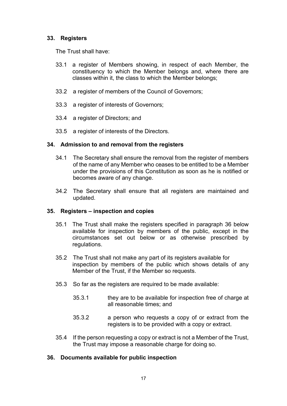# <span id="page-17-0"></span>**33. Registers**

The Trust shall have:

- 33.1 a register of Members showing, in respect of each Member, the constituency to which the Member belongs and, where there are classes within it, the class to which the Member belongs;
- 33.2 a register of members of the Council of Governors;
- 33.3 a register of interests of Governors;
- 33.4 a register of Directors; and
- 33.5 a register of interests of the Directors.

#### <span id="page-17-1"></span>**34. Admission to and removal from the registers**

- 34.1 The Secretary shall ensure the removal from the register of members of the name of any Member who ceases to be entitled to be a Member under the provisions of this Constitution as soon as he is notified or becomes aware of any change.
- 34.2 The Secretary shall ensure that all registers are maintained and updated.

# <span id="page-17-2"></span>**35. Registers – inspection and copies**

- 35.1 The Trust shall make the registers specified in paragraph 36 below available for inspection by members of the public, except in the circumstances set out below or as otherwise prescribed by regulations.
- 35.2 The Trust shall not make any part of its registers available for inspection by members of the public which shows details of any Member of the Trust, if the Member so requests.
- 35.3 So far as the registers are required to be made available:
	- 35.3.1 they are to be available for inspection free of charge at all reasonable times; and
	- 35.3.2 a person who requests a copy of or extract from the registers is to be provided with a copy or extract.
- 35.4 If the person requesting a copy or extract is not a Member of the Trust, the Trust may impose a reasonable charge for doing so.

# <span id="page-17-3"></span>**36. Documents available for public inspection**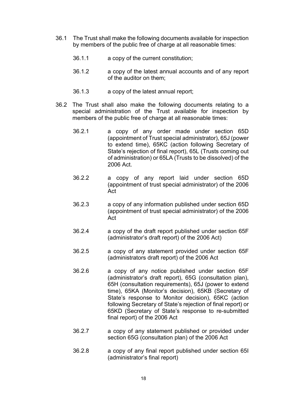- 36.1 The Trust shall make the following documents available for inspection by members of the public free of charge at all reasonable times:
	- 36.1.1 a copy of the current constitution;
	- 36.1.2 a copy of the latest annual accounts and of any report of the auditor on them;
	- 36.1.3 a copy of the latest annual report;
- 36.2 The Trust shall also make the following documents relating to a special administration of the Trust available for inspection by members of the public free of charge at all reasonable times:
	- 36.2.1 a copy of any order made under section 65D (appointment of Trust special administrator), 65J (power to extend time), 65KC (action following Secretary of State's rejection of final report), 65L (Trusts coming out of administration) or 65LA (Trusts to be dissolved) of the 2006 Act.
	- 36.2.2 a copy of any report laid under section 65D (appointment of trust special administrator) of the 2006 Act
	- 36.2.3 a copy of any information published under section 65D (appointment of trust special administrator) of the 2006 Act
	- 36.2.4 a copy of the draft report published under section 65F (administrator's draft report) of the 2006 Act)
	- 36.2.5 a copy of any statement provided under section 65F (administrators draft report) of the 2006 Act
	- 36.2.6 a copy of any notice published under section 65F (administrator's draft report), 65G (consultation plan), 65H (consultation requirements), 65J (power to extend time), 65KA (Monitor's decision), 65KB (Secretary of State's response to Monitor decision), 65KC (action following Secretary of State's rejection of final report) or 65KD (Secretary of State's response to re-submitted final report) of the 2006 Act
	- 36.2.7 a copy of any statement published or provided under section 65G (consultation plan) of the 2006 Act
	- 36.2.8 a copy of any final report published under section 65I (administrator's final report)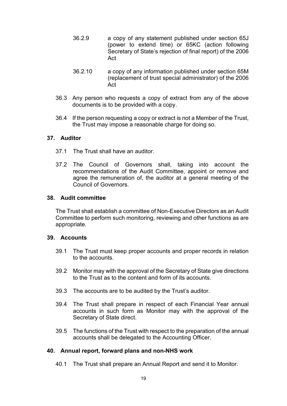- 36.2.9 a copy of any statement published under section 65J (power to extend time) or 65KC (action following Secretary of State's rejection of final report) of the 2006 Act
- 36.2.10 a copy of any information published under section 65M (replacement of trust special administrator) of the 2006 Act
- 36.3 Any person who requests a copy of extract from any of the above documents is to be provided with a copy.
- 36.4 If the person requesting a copy or extract is not a Member of the Trust, the Trust may impose a reasonable charge for doing so.

#### <span id="page-19-0"></span>**37. Auditor**

- 37.1 The Trust shall have an auditor.
- 37.2 The Council of Governors shall, taking into account the recommendations of the Audit Committee, appoint or remove and agree the remuneration of, the auditor at a general meeting of the Council of Governors.

#### <span id="page-19-1"></span>**38. Audit committee**

The Trust shall establish a committee of Non-Executive Directors as an Audit Committee to perform such monitoring, reviewing and other functions as are appropriate.

#### <span id="page-19-2"></span>**39. Accounts**

- 39.1 The Trust must keep proper accounts and proper records in relation to the accounts.
- 39.2 Monitor may with the approval of the Secretary of State give directions to the Trust as to the content and form of its accounts.
- 39.3 The accounts are to be audited by the Trust's auditor.
- 39.4 The Trust shall prepare in respect of each Financial Year annual accounts in such form as Monitor may with the approval of the Secretary of State direct.
- 39.5 The functions of the Trust with respect to the preparation of the annual accounts shall be delegated to the Accounting Officer.

# <span id="page-19-3"></span>**40. Annual report, forward plans and non-NHS work**

40.1 The Trust shall prepare an Annual Report and send it to Monitor.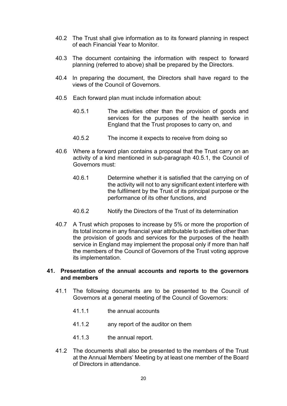- 40.2 The Trust shall give information as to its forward planning in respect of each Financial Year to Monitor.
- 40.3 The document containing the information with respect to forward planning (referred to above) shall be prepared by the Directors.
- 40.4 In preparing the document, the Directors shall have regard to the views of the Council of Governors.
- 40.5 Each forward plan must include information about:
	- 40.5.1 The activities other than the provision of goods and services for the purposes of the health service in England that the Trust proposes to carry on, and
	- 40.5.2 The income it expects to receive from doing so
- 40.6 Where a forward plan contains a proposal that the Trust carry on an activity of a kind mentioned in sub-paragraph 40.5.1, the Council of Governors must:
	- 40.6.1 Determine whether it is satisfied that the carrying on of the activity will not to any significant extent interfere with the fulfilment by the Trust of its principal purpose or the performance of its other functions, and
	- 40.6.2 Notify the Directors of the Trust of its determination
- 40.7 A Trust which proposes to increase by 5% or more the proportion of its total income in any financial year attributable to activities other than the provision of goods and services for the purposes of the health service in England may implement the proposal only if more than half the members of the Council of Governors of the Trust voting approve its implementation.

# <span id="page-20-0"></span>**41. Presentation of the annual accounts and reports to the governors and members**

- 41.1 The following documents are to be presented to the Council of Governors at a general meeting of the Council of Governors:
	- 41.1.1 the annual accounts
	- 41.1.2 any report of the auditor on them
	- 41.1.3 the annual report.
- 41.2 The documents shall also be presented to the members of the Trust at the Annual Members' Meeting by at least one member of the Board of Directors in attendance.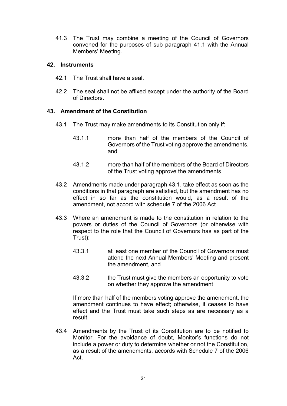41.3 The Trust may combine a meeting of the Council of Governors convened for the purposes of sub paragraph 41.1 with the Annual Members' Meeting.

#### <span id="page-21-0"></span>**42. Instruments**

- 42.1 The Trust shall have a seal.
- 42.2 The seal shall not be affixed except under the authority of the Board of Directors.

# <span id="page-21-1"></span>**43. Amendment of the Constitution**

- 43.1 The Trust may make amendments to its Constitution only if:
	- 43.1.1 more than half of the members of the Council of Governors of the Trust voting approve the amendments, and
	- 43.1.2 more than half of the members of the Board of Directors of the Trust voting approve the amendments
- 43.2 Amendments made under paragraph 43.1, take effect as soon as the conditions in that paragraph are satisfied, but the amendment has no effect in so far as the constitution would, as a result of the amendment, not accord with schedule 7 of the 2006 Act
- 43.3 Where an amendment is made to the constitution in relation to the powers or duties of the Council of Governors (or otherwise with respect to the role that the Council of Governors has as part of the Trust):
	- 43.3.1 at least one member of the Council of Governors must attend the next Annual Members' Meeting and present the amendment, and
	- 43.3.2 the Trust must give the members an opportunity to vote on whether they approve the amendment

If more than half of the members voting approve the amendment, the amendment continues to have effect; otherwise, it ceases to have effect and the Trust must take such steps as are necessary as a result.

43.4 Amendments by the Trust of its Constitution are to be notified to Monitor. For the avoidance of doubt, Monitor's functions do not include a power or duty to determine whether or not the Constitution, as a result of the amendments, accords with Schedule 7 of the 2006 Act.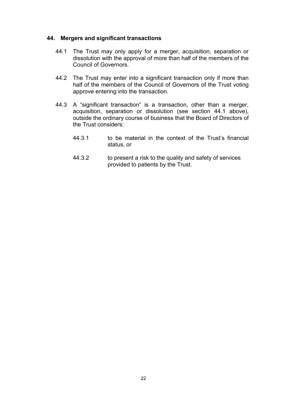#### <span id="page-22-0"></span>**44. Mergers and significant transactions**

- 44.1 The Trust may only apply for a merger, acquisition, separation or dissolution with the approval of more than half of the members of the Council of Governors.
- 44.2 The Trust may enter into a significant transaction only if more than half of the members of the Council of Governors of the Trust voting approve entering into the transaction.
- <span id="page-22-1"></span>44.3 A "significant transaction" is a transaction, other than a merger, acquisition, separation or dissolution (see section 44.1 above), outside the ordinary course of business that the Board of Directors of the Trust considers:
	- 44.3.1 to be material in the context of the Trust's financial status, or
	- 44.3.2 to present a risk to the quality and safety of services provided to patients by the Trust.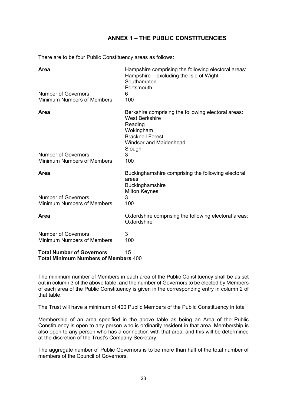# **ANNEX 1 – THE PUBLIC CONSTITUENCIES**

<span id="page-23-0"></span>There are to be four Public Constituency areas as follows:

| Area                                                                            | Hampshire comprising the following electoral areas:<br>Hampshire – excluding the Isle of Wight<br>Southampton<br>Portsmouth                                                |
|---------------------------------------------------------------------------------|----------------------------------------------------------------------------------------------------------------------------------------------------------------------------|
| <b>Number of Governors</b><br><b>Minimum Numbers of Members</b>                 | 6<br>100                                                                                                                                                                   |
| Area                                                                            | Berkshire comprising the following electoral areas:<br><b>West Berkshire</b><br>Reading<br>Wokingham<br><b>Bracknell Forest</b><br><b>Windsor and Maidenhead</b><br>Slough |
| <b>Number of Governors</b><br><b>Minimum Numbers of Members</b>                 | 3<br>100                                                                                                                                                                   |
| Area                                                                            | Buckinghamshire comprising the following electoral<br>areas:<br>Buckinghamshire<br><b>Milton Keynes</b>                                                                    |
| <b>Number of Governors</b><br><b>Minimum Numbers of Members</b>                 | 3<br>100                                                                                                                                                                   |
| Area                                                                            | Oxfordshire comprising the following electoral areas:<br>Oxfordshire                                                                                                       |
| <b>Number of Governors</b><br><b>Minimum Numbers of Members</b>                 | 3<br>100                                                                                                                                                                   |
| <b>Total Number of Governors</b><br><b>Total Minimum Numbers of Members 400</b> | 15                                                                                                                                                                         |

The minimum number of Members in each area of the Public Constituency shall be as set out in column 3 of the above table, and the number of Governors to be elected by Members of each area of the Public Constituency is given in the corresponding entry in column 2 of that table.

The Trust will have a minimum of 400 Public Members of the Public Constituency in total

Membership of an area specified in the above table as being an Area of the Public Constituency is open to any person who is ordinarily resident in that area. Membership is also open to any person who has a connection with that area, and this will be determined at the discretion of the Trust's Company Secretary.

The aggregate number of Public Governors is to be more than half of the total number of members of the Council of Governors.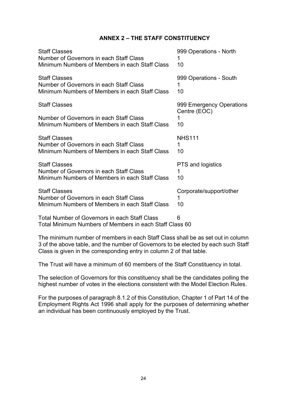# **ANNEX 2 – THE STAFF CONSTITUENCY**

<span id="page-24-0"></span>

| <b>Staff Classes</b>                                                                                              | 999 Operations - North                   |
|-------------------------------------------------------------------------------------------------------------------|------------------------------------------|
| Number of Governors in each Staff Class                                                                           | 1                                        |
| Minimum Numbers of Members in each Staff Class                                                                    | 10                                       |
| <b>Staff Classes</b>                                                                                              | 999 Operations - South                   |
| Number of Governors in each Staff Class                                                                           | 1                                        |
| Minimum Numbers of Members in each Staff Class                                                                    | 10                                       |
| <b>Staff Classes</b>                                                                                              | 999 Emergency Operations<br>Centre (EOC) |
| Number of Governors in each Staff Class                                                                           | 1                                        |
| Minimum Numbers of Members in each Staff Class                                                                    | 10                                       |
| <b>Staff Classes</b>                                                                                              | <b>NHS111</b>                            |
| Number of Governors in each Staff Class                                                                           | 1                                        |
| Minimum Numbers of Members in each Staff Class                                                                    | 10                                       |
| <b>Staff Classes</b><br>Number of Governors in each Staff Class<br>Minimum Numbers of Members in each Staff Class | PTS and logistics<br>10                  |
| <b>Staff Classes</b><br>Number of Governors in each Staff Class<br>Minimum Numbers of Members in each Staff Class | Corporate/support/other<br>10            |
| <b>Total Number of Governors in each Staff Class</b>                                                              | 6                                        |

Total Minimum Numbers of Members in each Staff Class 60

The minimum number of members in each Staff Class shall be as set out in column 3 of the above table, and the number of Governors to be elected by each such Staff Class is given in the corresponding entry in column 2 of that table.

The Trust will have a minimum of 60 members of the Staff Constituency in total.

The selection of Governors for this constituency shall be the candidates polling the highest number of votes in the elections consistent with the Model Election Rules.

For the purposes of paragraph 8.1.2 of this Constitution, Chapter 1 of Part 14 of the Employment Rights Act 1996 shall apply for the purposes of determining whether an individual has been continuously employed by the Trust.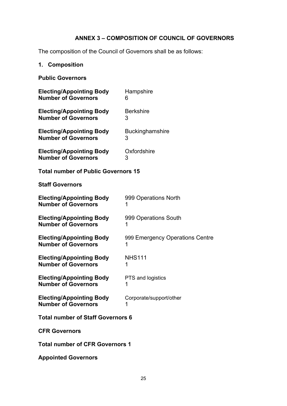# **ANNEX 3 – COMPOSITION OF COUNCIL OF GOVERNORS**

<span id="page-25-0"></span>The composition of the Council of Governors shall be as follows:

# <span id="page-25-1"></span>**1. Composition**

# **Public Governors**

| <b>Electing/Appointing Body</b>            | Hampshire                       |
|--------------------------------------------|---------------------------------|
| <b>Number of Governors</b>                 | 6                               |
| <b>Electing/Appointing Body</b>            | <b>Berkshire</b>                |
| <b>Number of Governors</b>                 | 3                               |
| <b>Electing/Appointing Body</b>            | Buckinghamshire                 |
| <b>Number of Governors</b>                 | 3                               |
| <b>Electing/Appointing Body</b>            | Oxfordshire                     |
| <b>Number of Governors</b>                 | 3                               |
| <b>Total number of Public Governors 15</b> |                                 |
| <b>Staff Governors</b>                     |                                 |
| <b>Electing/Appointing Body</b>            | 999 Operations North            |
| <b>Number of Governors</b>                 | 1                               |
| <b>Electing/Appointing Body</b>            | 999 Operations South            |
| <b>Number of Governors</b>                 | 1                               |
| <b>Electing/Appointing Body</b>            | 999 Emergency Operations Centre |
| <b>Number of Governors</b>                 | 1                               |
| <b>Electing/Appointing Body</b>            | <b>NHS111</b>                   |
| <b>Number of Governors</b>                 | 1                               |
| <b>Electing/Appointing Body</b>            | PTS and logistics               |
| <b>Number of Governors</b>                 | 1                               |
| <b>Electing/Appointing Body</b>            | Corporate/support/other         |
| <b>Number of Governors</b>                 | 1                               |
| Total number of Staff Governore 6          |                                 |

**Total number of Staff Governors 6**

**CFR Governors**

**Total number of CFR Governors 1**

**Appointed Governors**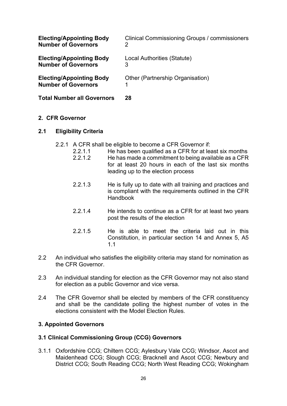| <b>Electing/Appointing Body</b>                               | Clinical Commissioning Groups / commissioners |
|---------------------------------------------------------------|-----------------------------------------------|
| <b>Number of Governors</b>                                    | 2                                             |
| <b>Electing/Appointing Body</b>                               | Local Authorities (Statute)                   |
| <b>Number of Governors</b>                                    | 3                                             |
| <b>Electing/Appointing Body</b><br><b>Number of Governors</b> | Other (Partnership Organisation)              |
| <b>Total Number all Governors</b>                             | 28                                            |

# <span id="page-26-0"></span>**2. CFR Governor**

# **2.1 Eligibility Criteria**

- 2.2.1 A CFR shall be eligible to become a CFR Governor if:
	- 2.2.1.1 He has been qualified as a CFR for at least six months<br>2.2.1.2 He has made a commitment to being available as a CFR
	- He has made a commitment to being available as a CFR for at least 20 hours in each of the last six months leading up to the election process
	- 2.2.1.3 He is fully up to date with all training and practices and is compliant with the requirements outlined in the CFR Handbook
	- 2.2.1.4 He intends to continue as a CFR for at least two years post the results of the election
	- 2.2.1.5 He is able to meet the criteria laid out in this Constitution, in particular section 14 and Annex 5, A5 1.1
- 2.2 An individual who satisfies the eligibility criteria may stand for nomination as the CFR Governor.
- 2.3 An individual standing for election as the CFR Governor may not also stand for election as a public Governor and vice versa.
- 2.4 The CFR Governor shall be elected by members of the CFR constituency and shall be the candidate polling the highest number of votes in the elections consistent with the Model Election Rules.

# <span id="page-26-1"></span>**3. Appointed Governors**

# **3.1 Clinical Commissioning Group (CCG) Governors**

3.1.1 Oxfordshire CCG; Chiltern CCG; Aylesbury Vale CCG; Windsor, Ascot and Maidenhead CCG; Slough CCG; Bracknell and Ascot CCG; Newbury and District CCG; South Reading CCG; North West Reading CCG; Wokingham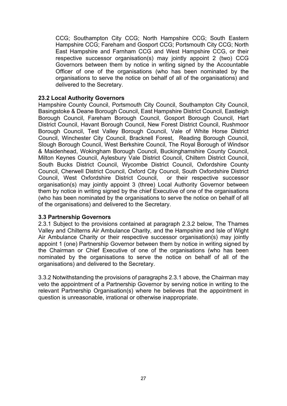CCG; Southampton City CCG; North Hampshire CCG; South Eastern Hampshire CCG; Fareham and Gosport CCG; Portsmouth City CCG; North East Hampshire and Farnham CCG and West Hampshire CCG, or their respective successor organisation(s) may jointly appoint 2 (two) CCG Governors between them by notice in writing signed by the Accountable Officer of one of the organisations (who has been nominated by the organisations to serve the notice on behalf of all of the organisations) and delivered to the Secretary.

# **23.2 Local Authority Governors**

Hampshire County Council, Portsmouth City Council, Southampton City Council, Basingstoke & Deane Borough Council, East Hampshire District Council, Eastleigh Borough Council, Fareham Borough Council, Gosport Borough Council, Hart District Council, Havant Borough Council, New Forest District Council, Rushmoor Borough Council, Test Valley Borough Council, Vale of White Horse District Council, Winchester City Council, Bracknell Forest, Reading Borough Council, Slough Borough Council, West Berkshire Council, The Royal Borough of Windsor & Maidenhead, Wokingham Borough Council, Buckinghamshire County Council, Milton Keynes Council, Aylesbury Vale District Council, Chiltern District Council, South Bucks District Council, Wycombe District Council, Oxfordshire County Council, Cherwell District Council, Oxford City Council, South Oxfordshire District Council, West Oxfordshire District Council, or their respective successor organisation(s) may jointly appoint 3 (three) Local Authority Governor between them by notice in writing signed by the chief Executive of one of the organisations (who has been nominated by the organisations to serve the notice on behalf of all of the organisations) and delivered to the Secretary.

# **3.3 Partnership Governors**

2.3.1 Subject to the provisions contained at paragraph 2.3.2 below, The Thames Valley and Chilterns Air Ambulance Charity, and the Hampshire and Isle of Wight Air Ambulance Charity or their respective successor organisation(s) may jointly appoint 1 (one) Partnership Governor between them by notice in writing signed by the Chairman or Chief Executive of one of the organisations (who has been nominated by the organisations to serve the notice on behalf of all of the organisations) and delivered to the Secretary.

3.3.2 Notwithstanding the provisions of paragraphs 2.3.1 above, the Chairman may veto the appointment of a Partnership Governor by serving notice in writing to the relevant Partnership Organisation(s) where he believes that the appointment in question is unreasonable, irrational or otherwise inappropriate.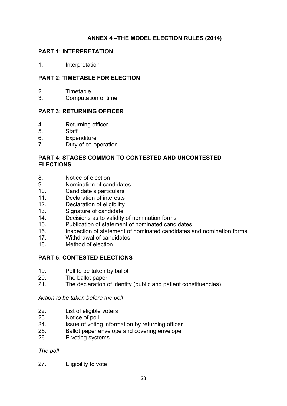# **ANNEX 4 –THE MODEL ELECTION RULES (2014)**

# <span id="page-28-1"></span><span id="page-28-0"></span>**PART 1: INTERPRETATION**

1. Interpretation

# **PART 2: TIMETABLE FOR ELECTION**

- 2. Timetable<br>3. Computati
- 3. Computation of time

# **PART 3: RETURNING OFFICER**

- 4. Returning officer<br>5. Staff
- **Staff**
- 6. Expenditure
- 7. Duty of co-operation

# **PART 4: STAGES COMMON TO CONTESTED AND UNCONTESTED ELECTIONS**

- 8. Notice of election
- 9. Nomination of candidates
- 10. Candidate's particulars
- 11. Declaration of interests<br>12. Declaration of eligibility
- Declaration of eligibility
- 13. Signature of candidate<br>14. Decisions as to validity
- 14. Decisions as to validity of nomination forms<br>15. Publication of statement of nominated candi
- Publication of statement of nominated candidates
- 16. Inspection of statement of nominated candidates and nomination forms<br>17. Withdrawal of candidates
- Withdrawal of candidates
- 18. Method of election

# **PART 5: CONTESTED ELECTIONS**

- 19. Poll to be taken by ballot
- 20. The ballot paper
- 21. The declaration of identity (public and patient constituencies)

*Action to be taken before the poll*

- 22. List of eligible voters
- 23. Notice of poll<br>24 Ssue of voting
- Issue of voting information by returning officer
- 25. Ballot paper envelope and covering envelope
- 26. E-voting systems

# *The poll*

27. Eligibility to vote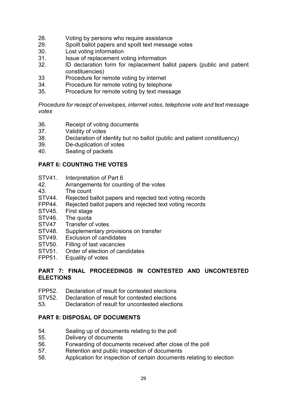- 28. Voting by persons who require assistance<br>29. Spoilt ballot papers and spoilt text message
- 29. Spoilt ballot papers and spoilt text message votes<br>30. Lost voting information
- 30. Lost voting information<br>31 lssue of replacement vo
- 31. Issue of replacement voting information<br>32. ID declaration form for replacement ba
- ID declaration form for replacement ballot papers (public and patient constituencies)
- 33 Procedure for remote voting by internet<br>34 Procedure for remote voting by telephor
- Procedure for remote voting by telephone
- 35. Procedure for remote voting by text message

*Procedure for receipt of envelopes, internet votes, telephone vote and text message votes*

- 36. Receipt of voting documents<br>37. Validity of votes
- 37. Validity of votes<br>38. Declaration of id
- Declaration of identity but no ballot (public and patient constituency)
- 39. De-duplication of votes<br>40. Sealing of packets
- Sealing of packets

# **PART 6: COUNTING THE VOTES**

- STV41. Interpretation of Part 6<br>42 Arrangements for coun
- Arrangements for counting of the votes
- 43. The count
- STV44. Rejected ballot papers and rejected text voting records<br>FPP44. Rejected ballot papers and rejected text voting records
- FPP44. Rejected ballot papers and rejected text voting records<br>STV45. First stage
- First stage
- STV46. The quota<br>STV47 Transfer of
- Transfer of votes
- STV48. Supplementary provisions on transfer<br>STV49. Exclusion of candidates
- Exclusion of candidates
- STV50. Filling of last vacancies
- STV51. Order of election of candidates<br>FPP51. Equality of votes
- Equality of votes

# **PART 7: FINAL PROCEEDINGS IN CONTESTED AND UNCONTESTED ELECTIONS**

- FPP52. Declaration of result for contested elections
- STV52. Declaration of result for contested elections
- 53. Declaration of result for uncontested elections

# **PART 8: DISPOSAL OF DOCUMENTS**

- 54. Sealing up of documents relating to the poll<br>55. Delivery of documents
- Delivery of documents
- 56. Forwarding of documents received after close of the poll
- 57. Retention and public inspection of documents
- 58. Application for inspection of certain documents relating to election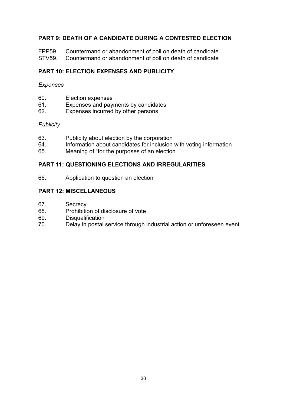# **PART 9: DEATH OF A CANDIDATE DURING A CONTESTED ELECTION**

FPP59. Countermand or abandonment of poll on death of candidate<br>STV59. Countermand or abandonment of poll on death of candidate Countermand or abandonment of poll on death of candidate

# **PART 10: ELECTION EXPENSES AND PUBLICITY**

# *Expenses*

- 60. Election expenses<br>61. Expenses and pay
- Expenses and payments by candidates
- 62. Expenses incurred by other persons

# *Publicity*

- 63. Publicity about election by the corporation
- 64. Information about candidates for inclusion with voting information<br>65. Meaning of "for the purposes of an election"
- Meaning of "for the purposes of an election"

# **PART 11: QUESTIONING ELECTIONS AND IRREGULARITIES**

66. Application to question an election

# **PART 12: MISCELLANEOUS**

- 67. Secrecy
- 68. Prohibition of disclosure of vote<br>69. Disqualification
- 69. Disqualification<br>70. Delay in postal s
- Delay in postal service through industrial action or unforeseen event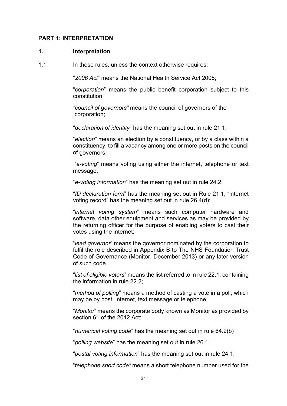#### <span id="page-31-0"></span>**PART 1: INTERPRETATION**

#### **1. Interpretation**

1.1 In these rules, unless the context otherwise requires:

"*2006 Act*" means the National Health Service Act 2006;

"*corporation*" means the public benefit corporation subject to this constitution;

*"council of governors"* means the council of governors of the corporation;

"*declaration of identity*" has the meaning set out in rule 21.1;

"*election*" means an election by a constituency, or by a class within a constituency, to fill a vacancy among one or more posts on the council of governors;

"*e-voting*" means voting using either the internet, telephone or text message;

"*e-voting information*" has the meaning set out in rule 24.2;

"*ID declaration form*" has the meaning set out in Rule 21.1; "internet voting record" has the meaning set out in rule 26.4(d);

"*internet voting system*" means such computer hardware and software, data other equipment and services as may be provided by the returning officer for the purpose of enabling voters to cast their votes using the internet;

"*lead governor*" means the governor nominated by the corporation to fulfil the role described in Appendix B to The NHS Foundation Trust Code of Governance (Monitor, December 2013) or any later version of such code.

"*list of eligible voters*" means the list referred to in rule 22.1, containing the information in rule 22.2;

"*method of polling*" means a method of casting a vote in a poll, which may be by post, internet, text message or telephone;

"*Monitor*" means the corporate body known as Monitor as provided by section 61 of the 2012 Act;

"*numerical voting code*" has the meaning set out in rule 64.2(b)

"*polling website*" has the meaning set out in rule 26.1;

"*postal voting information*" has the meaning set out in rule 24.1;

"*telephone short code"* means a short telephone number used for the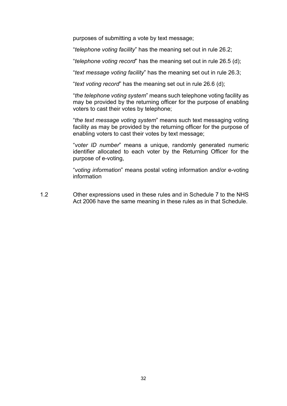purposes of submitting a vote by text message;

"*telephone voting facility*" has the meaning set out in rule 26.2;

"*telephone voting record*" has the meaning set out in rule 26.5 (d);

"*text message voting facility*" has the meaning set out in rule 26.3;

"*text voting record*" has the meaning set out in rule 26.6 (d);

"*the telephone voting system*" means such telephone voting facility as may be provided by the returning officer for the purpose of enabling voters to cast their votes by telephone;

"*the text message voting system*" means such text messaging voting facility as may be provided by the returning officer for the purpose of enabling voters to cast their votes by text message;

"*voter ID number*" means a unique, randomly generated numeric identifier allocated to each voter by the Returning Officer for the purpose of e-voting,

"*voting information*" means postal voting information and/or e-voting information

1.2 Other expressions used in these rules and in Schedule 7 to the NHS Act 2006 have the same meaning in these rules as in that Schedule.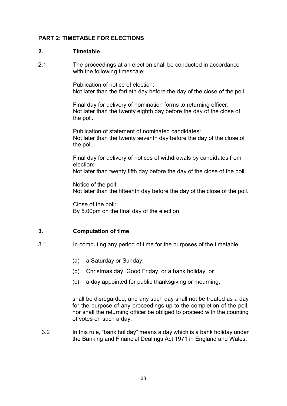# <span id="page-33-0"></span>**PART 2: TIMETABLE FOR ELECTIONS**

# **2. Timetable**

2.1 The proceedings at an election shall be conducted in accordance with the following timescale:

> Publication of notice of election: Not later than the fortieth day before the day of the close of the poll.

Final day for delivery of nomination forms to returning officer: Not later than the twenty eighth day before the day of the close of the poll.

Publication of statement of nominated candidates: Not later than the twenty seventh day before the day of the close of the poll.

Final day for delivery of notices of withdrawals by candidates from election:

Not later than twenty fifth day before the day of the close of the poll.

Notice of the poll: Not later than the fifteenth day before the day of the close of the poll.

Close of the poll: By 5.00pm on the final day of the election.

# **3. Computation of time**

- 3.1 In computing any period of time for the purposes of the timetable:
	- (a) a Saturday or Sunday;
	- (b) Christmas day, Good Friday, or a bank holiday, or
	- (c) a day appointed for public thanksgiving or mourning,

shall be disregarded, and any such day shall not be treated as a day for the purpose of any proceedings up to the completion of the poll, nor shall the returning officer be obliged to proceed with the counting of votes on such a day.

3.2 In this rule, "bank holiday" means a day which is a bank holiday under the Banking and Financial Dealings Act 1971 in England and Wales.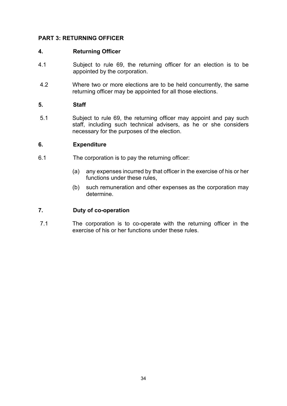# <span id="page-34-0"></span>**PART 3: RETURNING OFFICER**

# **4. Returning Officer**

- 4.1 Subject to rule 69, the returning officer for an election is to be appointed by the corporation.
- 4.2 Where two or more elections are to be held concurrently, the same returning officer may be appointed for all those elections.

# **5. Staff**

5.1 Subject to rule 69, the returning officer may appoint and pay such staff, including such technical advisers, as he or she considers necessary for the purposes of the election.

# **6. Expenditure**

- 6.1 The corporation is to pay the returning officer:
	- (a) any expenses incurred by that officer in the exercise of his or her functions under these rules,
	- (b) such remuneration and other expenses as the corporation may determine.

# **7. Duty of co-operation**

7.1 The corporation is to co-operate with the returning officer in the exercise of his or her functions under these rules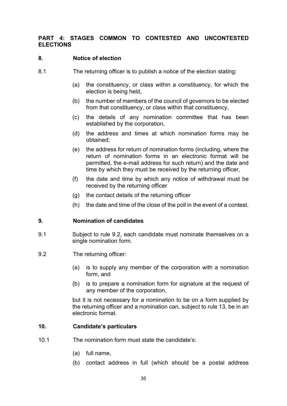# <span id="page-35-0"></span>**PART 4: STAGES COMMON TO CONTESTED AND UNCONTESTED ELECTIONS**

# **8. Notice of election**

- 8.1 The returning officer is to publish a notice of the election stating:
	- (a) the constituency, or class within a constituency, for which the election is being held,
	- (b) the number of members of the council of governors to be elected from that constituency, or class within that constituency,
	- (c) the details of any nomination committee that has been established by the corporation,
	- (d) the address and times at which nomination forms may be obtained;
	- (e) the address for return of nomination forms (including, where the return of nomination forms in an electronic format will be permitted, the e-mail address for such return) and the date and time by which they must be received by the returning officer,
	- (f) the date and time by which any notice of withdrawal must be received by the returning officer
	- (g) the contact details of the returning officer
	- (h) the date and time of the close of the poll in the event of a contest.

# **9. Nomination of candidates**

- 9.1 Subject to rule 9.2, each candidate must nominate themselves on a single nomination form.
- 9.2 The returning officer:
	- (a) is to supply any member of the corporation with a nomination form, and
	- (b) is to prepare a nomination form for signature at the request of any member of the corporation,

but it is not necessary for a nomination to be on a form supplied by the returning officer and a nomination can, subject to rule 13, be in an electronic format.

# **10. Candidate's particulars**

- 10.1 The nomination form must state the candidate's:
	- (a) full name,
	- (b) contact address in full (which should be a postal address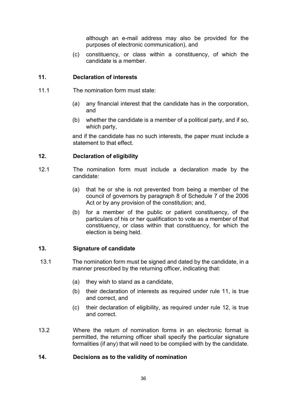although an e-mail address may also be provided for the purposes of electronic communication), and

(c) constituency, or class within a constituency, of which the candidate is a member.

# **11. Declaration of interests**

- 11.1 The nomination form must state:
	- (a) any financial interest that the candidate has in the corporation, and
	- (b) whether the candidate is a member of a political party, and if so, which party,

and if the candidate has no such interests, the paper must include a statement to that effect.

## **12. Declaration of eligibility**

- 12.1 The nomination form must include a declaration made by the candidate:
	- (a) that he or she is not prevented from being a member of the council of governors by paragraph 8 of Schedule 7 of the 2006 Act or by any provision of the constitution; and,
	- (b) for a member of the public or patient constituency, of the particulars of his or her qualification to vote as a member of that constituency, or class within that constituency, for which the election is being held.

# **13. Signature of candidate**

- 13.1 The nomination form must be signed and dated by the candidate, in a manner prescribed by the returning officer, indicating that:
	- (a) they wish to stand as a candidate,
	- (b) their declaration of interests as required under rule 11, is true and correct, and
	- (c) their declaration of eligibility, as required under rule 12, is true and correct.
- 13.2 Where the return of nomination forms in an electronic format is permitted, the returning officer shall specify the particular signature formalities (if any) that will need to be complied with by the candidate.

## **14. Decisions as to the validity of nomination**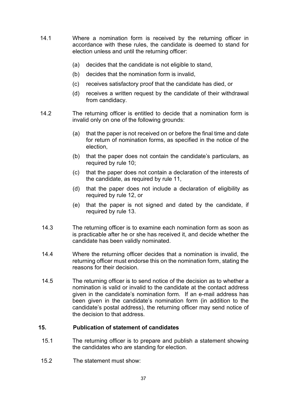- 14.1 Where a nomination form is received by the returning officer in accordance with these rules, the candidate is deemed to stand for election unless and until the returning officer:
	- (a) decides that the candidate is not eligible to stand,
	- (b) decides that the nomination form is invalid,
	- (c) receives satisfactory proof that the candidate has died, or
	- (d) receives a written request by the candidate of their withdrawal from candidacy.
- 14.2 The returning officer is entitled to decide that a nomination form is invalid only on one of the following grounds:
	- (a) that the paper is not received on or before the final time and date for return of nomination forms, as specified in the notice of the election,
	- (b) that the paper does not contain the candidate's particulars, as required by rule 10;
	- (c) that the paper does not contain a declaration of the interests of the candidate, as required by rule 11,
	- (d) that the paper does not include a declaration of eligibility as required by rule 12, or
	- (e) that the paper is not signed and dated by the candidate, if required by rule 13.
- 14.3 The returning officer is to examine each nomination form as soon as is practicable after he or she has received it, and decide whether the candidate has been validly nominated.
- 14.4 Where the returning officer decides that a nomination is invalid, the returning officer must endorse this on the nomination form, stating the reasons for their decision.
- 14.5 The returning officer is to send notice of the decision as to whether a nomination is valid or invalid to the candidate at the contact address given in the candidate's nomination form. If an e-mail address has been given in the candidate's nomination form (in addition to the candidate's postal address), the returning officer may send notice of the decision to that address.

## **15. Publication of statement of candidates**

- 15.1 The returning officer is to prepare and publish a statement showing the candidates who are standing for election.
- 15.2 The statement must show: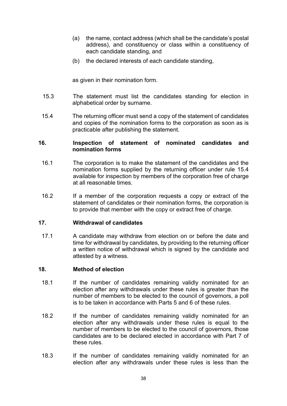- (a) the name, contact address (which shall be the candidate's postal address), and constituency or class within a constituency of each candidate standing, and
- (b) the declared interests of each candidate standing,

as given in their nomination form.

- 15.3 The statement must list the candidates standing for election in alphabetical order by surname.
- 15.4 The returning officer must send a copy of the statement of candidates and copies of the nomination forms to the corporation as soon as is practicable after publishing the statement.

#### **16. Inspection of statement of nominated candidates and nomination forms**

- 16.1 The corporation is to make the statement of the candidates and the nomination forms supplied by the returning officer under rule 15.4 available for inspection by members of the corporation free of charge at all reasonable times.
- 16.2 If a member of the corporation requests a copy or extract of the statement of candidates or their nomination forms, the corporation is to provide that member with the copy or extract free of charge.

## **17. Withdrawal of candidates**

17.1 A candidate may withdraw from election on or before the date and time for withdrawal by candidates, by providing to the returning officer a written notice of withdrawal which is signed by the candidate and attested by a witness.

## **18. Method of election**

- 18.1 If the number of candidates remaining validly nominated for an election after any withdrawals under these rules is greater than the number of members to be elected to the council of governors, a poll is to be taken in accordance with Parts 5 and 6 of these rules.
- 18.2 If the number of candidates remaining validly nominated for an election after any withdrawals under these rules is equal to the number of members to be elected to the council of governors, those candidates are to be declared elected in accordance with Part 7 of these rules.
- 18.3 If the number of candidates remaining validly nominated for an election after any withdrawals under these rules is less than the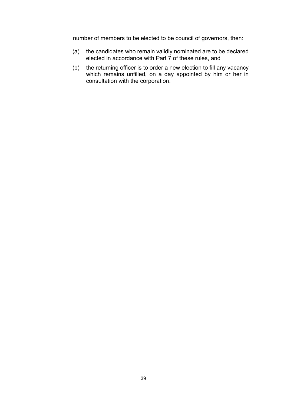number of members to be elected to be council of governors, then:

- (a) the candidates who remain validly nominated are to be declared elected in accordance with Part 7 of these rules, and
- (b) the returning officer is to order a new election to fill any vacancy which remains unfilled, on a day appointed by him or her in consultation with the corporation.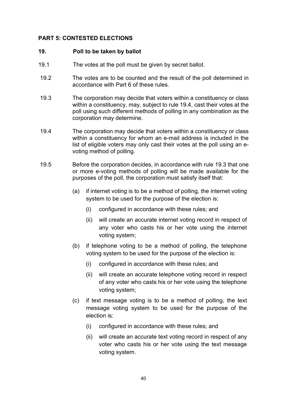# **PART 5: CONTESTED ELECTIONS**

#### **19. Poll to be taken by ballot**

- 19.1 The votes at the poll must be given by secret ballot.
- 19.2 The votes are to be counted and the result of the poll determined in accordance with Part 6 of these rules.
- 19.3 The corporation may decide that voters within a constituency or class within a constituency, may, subject to rule 19.4, cast their votes at the poll using such different methods of polling in any combination as the corporation may determine.
- 19.4 The corporation may decide that voters within a constituency or class within a constituency for whom an e-mail address is included in the list of eligible voters may only cast their votes at the poll using an evoting method of polling.
- 19.5 Before the corporation decides, in accordance with rule 19.3 that one or more e-voting methods of polling will be made available for the purposes of the poll, the corporation must satisfy itself that:
	- (a) if internet voting is to be a method of polling, the internet voting system to be used for the purpose of the election is:
		- (i) configured in accordance with these rules; and
		- (ii) will create an accurate internet voting record in respect of any voter who casts his or her vote using the internet voting system;
	- (b) if telephone voting to be a method of polling, the telephone voting system to be used for the purpose of the election is:
		- (i) configured in accordance with these rules; and
		- (ii) will create an accurate telephone voting record in respect of any voter who casts his or her vote using the telephone voting system;
	- (c) if text message voting is to be a method of polling, the text message voting system to be used for the purpose of the election is:
		- (i) configured in accordance with these rules; and
		- (ii) will create an accurate text voting record in respect of any voter who casts his or her vote using the text message voting system.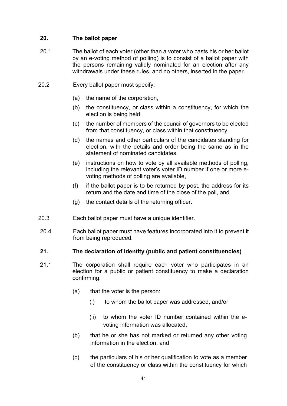# **20. The ballot paper**

- 20.1 The ballot of each voter (other than a voter who casts his or her ballot by an e-voting method of polling) is to consist of a ballot paper with the persons remaining validly nominated for an election after any withdrawals under these rules, and no others, inserted in the paper.
- 20.2 Every ballot paper must specify:
	- (a) the name of the corporation,
	- (b) the constituency, or class within a constituency, for which the election is being held,
	- (c) the number of members of the council of governors to be elected from that constituency, or class within that constituency,
	- (d) the names and other particulars of the candidates standing for election, with the details and order being the same as in the statement of nominated candidates,
	- (e) instructions on how to vote by all available methods of polling, including the relevant voter's voter ID number if one or more evoting methods of polling are available,
	- (f) if the ballot paper is to be returned by post, the address for its return and the date and time of the close of the poll, and
	- (g) the contact details of the returning officer.
- 20.3 Each ballot paper must have a unique identifier.
- 20.4 Each ballot paper must have features incorporated into it to prevent it from being reproduced.

# **21. The declaration of identity (public and patient constituencies)**

- 21.1 The corporation shall require each voter who participates in an election for a public or patient constituency to make a declaration confirming:
	- (a) that the voter is the person:
		- (i) to whom the ballot paper was addressed, and/or
		- (ii) to whom the voter ID number contained within the evoting information was allocated,
	- (b) that he or she has not marked or returned any other voting information in the election, and
	- (c) the particulars of his or her qualification to vote as a member of the constituency or class within the constituency for which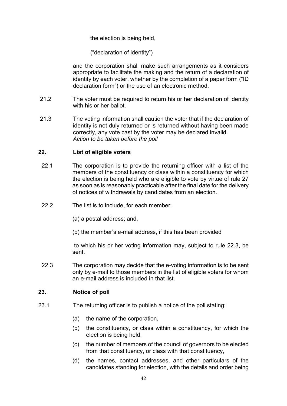the election is being held,

("declaration of identity")

and the corporation shall make such arrangements as it considers appropriate to facilitate the making and the return of a declaration of identity by each voter, whether by the completion of a paper form ("ID declaration form") or the use of an electronic method.

- 21.2 The voter must be required to return his or her declaration of identity with his or her ballot.
- 21.3 The voting information shall caution the voter that if the declaration of identity is not duly returned or is returned without having been made correctly, any vote cast by the voter may be declared invalid. *Action to be taken before the poll*

## **22. List of eligible voters**

- 22.1 The corporation is to provide the returning officer with a list of the members of the constituency or class within a constituency for which the election is being held who are eligible to vote by virtue of rule 27 as soon as is reasonably practicable after the final date for the delivery of notices of withdrawals by candidates from an election.
- 22.2 The list is to include, for each member:

(a) a postal address; and,

(b) the member's e-mail address, if this has been provided

to which his or her voting information may, subject to rule 22.3, be sent.

22.3 The corporation may decide that the e-voting information is to be sent only by e-mail to those members in the list of eligible voters for whom an e-mail address is included in that list.

## **23. Notice of poll**

- 23.1 The returning officer is to publish a notice of the poll stating:
	- (a) the name of the corporation,
	- (b) the constituency, or class within a constituency, for which the election is being held,
	- (c) the number of members of the council of governors to be elected from that constituency, or class with that constituency,
	- (d) the names, contact addresses, and other particulars of the candidates standing for election, with the details and order being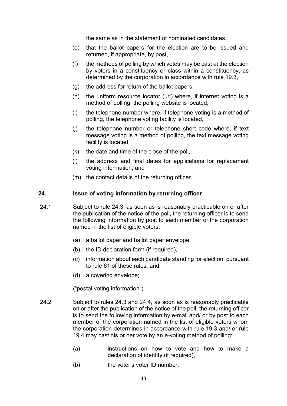the same as in the statement of nominated candidates,

- (e) that the ballot papers for the election are to be issued and returned, if appropriate, by post,
- (f) the methods of polling by which votes may be cast at the election by voters in a constituency or class within a constituency, as determined by the corporation in accordance with rule 19.3,
- (g) the address for return of the ballot papers,
- (h) the uniform resource locator (url) where, if internet voting is a method of polling, the polling website is located;
- (i) the telephone number where, if telephone voting is a method of polling, the telephone voting facility is located,
- (j) the telephone number or telephone short code where, if text message voting is a method of polling, the text message voting facility is located,
- (k) the date and time of the close of the poll,
- (l) the address and final dates for applications for replacement voting information, and
- (m) the contact details of the returning officer.

#### **24. Issue of voting information by returning officer**

- 24.1 Subject to rule 24.3, as soon as is reasonably practicable on or after the publication of the notice of the poll, the returning officer is to send the following information by post to each member of the corporation named in the list of eligible voters:
	- (a) a ballot paper and ballot paper envelope,
	- (b) the ID declaration form (if required),
	- (c) information about each candidate standing for election, pursuant to rule 61 of these rules, and
	- (d) a covering envelope;

("postal voting information").

- 24.2 Subject to rules 24.3 and 24.4, as soon as is reasonably practicable on or after the publication of the notice of the poll, the returning officer is to send the following information by e-mail and/ or by post to each member of the corporation named in the list of eligible voters whom the corporation determines in accordance with rule 19.3 and/ or rule 19.4 may cast his or her vote by an e-voting method of polling:
	- (a) instructions on how to vote and how to make a declaration of identity (if required),
	- (b) the voter's voter ID number,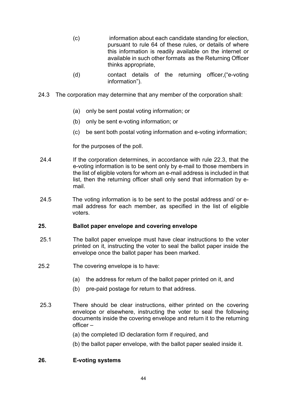- (c) information about each candidate standing for election, pursuant to rule 64 of these rules, or details of where this information is readily available on the internet or available in such other formats as the Returning Officer thinks appropriate,
- (d) contact details of the returning officer,("e-voting information").
- 24.3 The corporation may determine that any member of the corporation shall:
	- (a) only be sent postal voting information; or
	- (b) only be sent e-voting information; or
	- (c) be sent both postal voting information and e-voting information;

for the purposes of the poll.

- 24.4 If the corporation determines, in accordance with rule 22.3, that the e-voting information is to be sent only by e-mail to those members in the list of eligible voters for whom an e-mail address is included in that list, then the returning officer shall only send that information by email.
- 24.5 The voting information is to be sent to the postal address and/ or email address for each member, as specified in the list of eligible voters.

## **25. Ballot paper envelope and covering envelope**

- 25.1 The ballot paper envelope must have clear instructions to the voter printed on it, instructing the voter to seal the ballot paper inside the envelope once the ballot paper has been marked.
- 25.2 The covering envelope is to have:
	- (a) the address for return of the ballot paper printed on it, and
	- (b) pre-paid postage for return to that address.
- 25.3 There should be clear instructions, either printed on the covering envelope or elsewhere, instructing the voter to seal the following documents inside the covering envelope and return it to the returning officer –
	- (a) the completed ID declaration form if required, and
	- (b) the ballot paper envelope, with the ballot paper sealed inside it.

# **26. E-voting systems**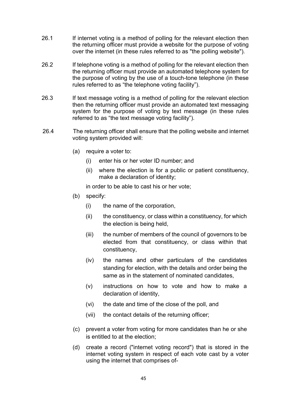- 26.1 If internet voting is a method of polling for the relevant election then the returning officer must provide a website for the purpose of voting over the internet (in these rules referred to as "the polling website").
- 26.2 If telephone voting is a method of polling for the relevant election then the returning officer must provide an automated telephone system for the purpose of voting by the use of a touch-tone telephone (in these rules referred to as "the telephone voting facility").
- 26.3 If text message voting is a method of polling for the relevant election then the returning officer must provide an automated text messaging system for the purpose of voting by text message (in these rules referred to as "the text message voting facility").
- 26.4 The returning officer shall ensure that the polling website and internet voting system provided will:
	- (a) require a voter to:
		- (i) enter his or her voter ID number; and
		- (ii) where the election is for a public or patient constituency, make a declaration of identity;

in order to be able to cast his or her vote;

- (b) specify:
	- (i) the name of the corporation,
	- (ii) the constituency, or class within a constituency, for which the election is being held,
	- (iii) the number of members of the council of governors to be elected from that constituency, or class within that constituency,
	- (iv) the names and other particulars of the candidates standing for election, with the details and order being the same as in the statement of nominated candidates,
	- (v) instructions on how to vote and how to make a declaration of identity,
	- (vi) the date and time of the close of the poll, and
	- (vii) the contact details of the returning officer;
- (c) prevent a voter from voting for more candidates than he or she is entitled to at the election;
- (d) create a record ("internet voting record") that is stored in the internet voting system in respect of each vote cast by a voter using the internet that comprises of-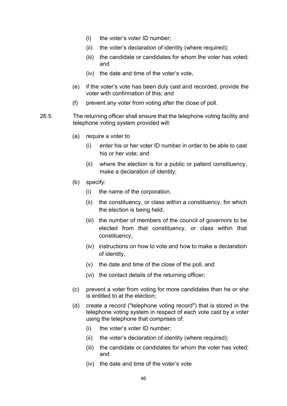- (i) the voter's voter ID number;
- (ii) the voter's declaration of identity (where required);
- (iii) the candidate or candidates for whom the voter has voted; and
- (iv) the date and time of the voter's vote,
- (e) if the voter's vote has been duly cast and recorded, provide the voter with confirmation of this; and
- (f) prevent any voter from voting after the close of poll.
- 26.5 The returning officer shall ensure that the telephone voting facility and telephone voting system provided will:
	- (a) require a voter to
		- (i) enter his or her voter ID number in order to be able to cast his or her vote; and
		- (ii) where the election is for a public or patient constituency, make a declaration of identity;
	- (b) specify:
		- (i) the name of the corporation,
		- (ii) the constituency, or class within a constituency, for which the election is being held,
		- (iii) the number of members of the council of governors to be elected from that constituency, or class within that constituency,
		- (iv) instructions on how to vote and how to make a declaration of identity,
		- (v) the date and time of the close of the poll, and
		- (vi) the contact details of the returning officer;
	- (c) prevent a voter from voting for more candidates than he or she is entitled to at the election;
	- (d) create a record ("telephone voting record") that is stored in the telephone voting system in respect of each vote cast by a voter using the telephone that comprises of:
		- (i) the voter's voter ID number;
		- (ii) the voter's declaration of identity (where required);
		- (iii) the candidate or candidates for whom the voter has voted; and
		- (iv) the date and time of the voter's vote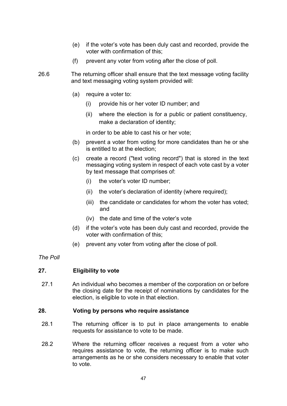- (e) if the voter's vote has been duly cast and recorded, provide the voter with confirmation of this;
- (f) prevent any voter from voting after the close of poll.
- 26.6 The returning officer shall ensure that the text message voting facility and text messaging voting system provided will:
	- (a) require a voter to:
		- (i) provide his or her voter ID number; and
		- (ii) where the election is for a public or patient constituency, make a declaration of identity;

in order to be able to cast his or her vote;

- (b) prevent a voter from voting for more candidates than he or she is entitled to at the election;
- (c) create a record ("text voting record") that is stored in the text messaging voting system in respect of each vote cast by a voter by text message that comprises of:
	- (i) the voter's voter ID number;
	- (ii) the voter's declaration of identity (where required);
	- (iii) the candidate or candidates for whom the voter has voted; and
	- (iv) the date and time of the voter's vote
- (d) if the voter's vote has been duly cast and recorded, provide the voter with confirmation of this;
- (e) prevent any voter from voting after the close of poll.

#### *The Poll*

## **27. Eligibility to vote**

27.1 An individual who becomes a member of the corporation on or before the closing date for the receipt of nominations by candidates for the election, is eligible to vote in that election.

#### **28. Voting by persons who require assistance**

- 28.1 The returning officer is to put in place arrangements to enable requests for assistance to vote to be made.
- 28.2 Where the returning officer receives a request from a voter who requires assistance to vote, the returning officer is to make such arrangements as he or she considers necessary to enable that voter to vote.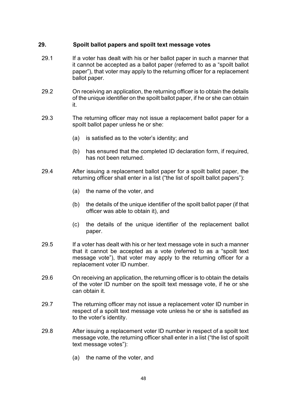# **29. Spoilt ballot papers and spoilt text message votes**

- 29.1 If a voter has dealt with his or her ballot paper in such a manner that it cannot be accepted as a ballot paper (referred to as a "spoilt ballot paper"), that voter may apply to the returning officer for a replacement ballot paper.
- 29.2 On receiving an application, the returning officer is to obtain the details of the unique identifier on the spoilt ballot paper, if he or she can obtain it.
- 29.3 The returning officer may not issue a replacement ballot paper for a spoilt ballot paper unless he or she:
	- (a) is satisfied as to the voter's identity; and
	- (b) has ensured that the completed ID declaration form, if required, has not been returned.
- 29.4 After issuing a replacement ballot paper for a spoilt ballot paper, the returning officer shall enter in a list ("the list of spoilt ballot papers"):
	- (a) the name of the voter, and
	- (b) the details of the unique identifier of the spoilt ballot paper (if that officer was able to obtain it), and
	- (c) the details of the unique identifier of the replacement ballot paper.
- 29.5 If a voter has dealt with his or her text message vote in such a manner that it cannot be accepted as a vote (referred to as a "spoilt text message vote"), that voter may apply to the returning officer for a replacement voter ID number.
- 29.6 On receiving an application, the returning officer is to obtain the details of the voter ID number on the spoilt text message vote, if he or she can obtain it.
- 29.7 The returning officer may not issue a replacement voter ID number in respect of a spoilt text message vote unless he or she is satisfied as to the voter's identity.
- 29.8 After issuing a replacement voter ID number in respect of a spoilt text message vote, the returning officer shall enter in a list ("the list of spoilt text message votes"):
	- (a) the name of the voter, and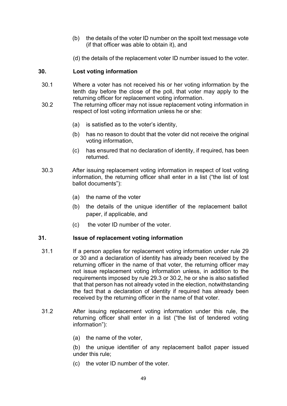- (b) the details of the voter ID number on the spoilt text message vote (if that officer was able to obtain it), and
- (d) the details of the replacement voter ID number issued to the voter.

# **30. Lost voting information**

- 30.1 Where a voter has not received his or her voting information by the tenth day before the close of the poll, that voter may apply to the returning officer for replacement voting information.
- 30.2 The returning officer may not issue replacement voting information in respect of lost voting information unless he or she:
	- (a) is satisfied as to the voter's identity,
	- (b) has no reason to doubt that the voter did not receive the original voting information,
	- (c) has ensured that no declaration of identity, if required, has been returned.
- 30.3 After issuing replacement voting information in respect of lost voting information, the returning officer shall enter in a list ("the list of lost ballot documents"):
	- (a) the name of the voter
	- (b) the details of the unique identifier of the replacement ballot paper, if applicable, and
	- (c) the voter ID number of the voter.

## **31. Issue of replacement voting information**

- 31.1 If a person applies for replacement voting information under rule 29 or 30 and a declaration of identity has already been received by the returning officer in the name of that voter, the returning officer may not issue replacement voting information unless, in addition to the requirements imposed by rule 29.3 or 30.2, he or she is also satisfied that that person has not already voted in the election, notwithstanding the fact that a declaration of identity if required has already been received by the returning officer in the name of that voter.
- 31.2 After issuing replacement voting information under this rule, the returning officer shall enter in a list ("the list of tendered voting information"):
	- (a) the name of the voter,

(b) the unique identifier of any replacement ballot paper issued under this rule;

(c) the voter ID number of the voter.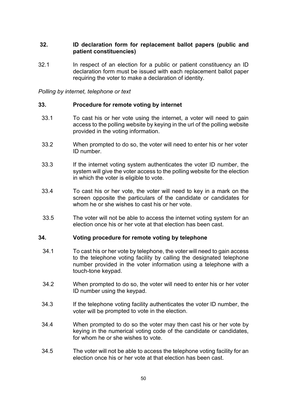## **32. ID declaration form for replacement ballot papers (public and patient constituencies)**

32.1 In respect of an election for a public or patient constituency an ID declaration form must be issued with each replacement ballot paper requiring the voter to make a declaration of identity.

*Polling by internet, telephone or text*

## **33. Procedure for remote voting by internet**

- 33.1 To cast his or her vote using the internet, a voter will need to gain access to the polling website by keying in the url of the polling website provided in the voting information.
- 33.2 When prompted to do so, the voter will need to enter his or her voter ID number.
- 33.3 If the internet voting system authenticates the voter ID number, the system will give the voter access to the polling website for the election in which the voter is eligible to vote.
- 33.4 To cast his or her vote, the voter will need to key in a mark on the screen opposite the particulars of the candidate or candidates for whom he or she wishes to cast his or her vote.
- 33.5 The voter will not be able to access the internet voting system for an election once his or her vote at that election has been cast.

#### **34. Voting procedure for remote voting by telephone**

- 34.1 To cast his or her vote by telephone, the voter will need to gain access to the telephone voting facility by calling the designated telephone number provided in the voter information using a telephone with a touch-tone keypad.
- 34.2 When prompted to do so, the voter will need to enter his or her voter ID number using the keypad.
- 34.3 If the telephone voting facility authenticates the voter ID number, the voter will be prompted to vote in the election.
- 34.4 When prompted to do so the voter may then cast his or her vote by keying in the numerical voting code of the candidate or candidates, for whom he or she wishes to vote.
- 34.5 The voter will not be able to access the telephone voting facility for an election once his or her vote at that election has been cast.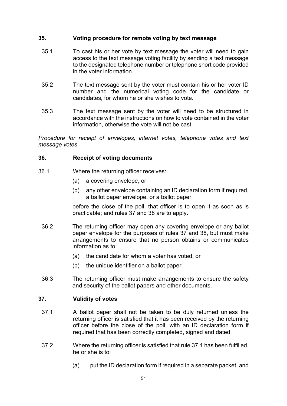## **35. Voting procedure for remote voting by text message**

- 35.1 To cast his or her vote by text message the voter will need to gain access to the text message voting facility by sending a text message to the designated telephone number or telephone short code provided in the voter information.
- 35.2 The text message sent by the voter must contain his or her voter ID number and the numerical voting code for the candidate or candidates, for whom he or she wishes to vote.
- 35.3 The text message sent by the voter will need to be structured in accordance with the instructions on how to vote contained in the voter information, otherwise the vote will not be cast.

*Procedure for receipt of envelopes, internet votes, telephone votes and text message votes*

## **36. Receipt of voting documents**

- 36.1 Where the returning officer receives:
	- (a) a covering envelope, or
	- (b) any other envelope containing an ID declaration form if required, a ballot paper envelope, or a ballot paper,

before the close of the poll, that officer is to open it as soon as is practicable; and rules 37 and 38 are to apply.

- 36.2 The returning officer may open any covering envelope or any ballot paper envelope for the purposes of rules 37 and 38, but must make arrangements to ensure that no person obtains or communicates information as to:
	- (a) the candidate for whom a voter has voted, or
	- (b) the unique identifier on a ballot paper.
- 36.3 The returning officer must make arrangements to ensure the safety and security of the ballot papers and other documents.

## **37. Validity of votes**

- 37.1 A ballot paper shall not be taken to be duly returned unless the returning officer is satisfied that it has been received by the returning officer before the close of the poll, with an ID declaration form if required that has been correctly completed, signed and dated.
- 37.2 Where the returning officer is satisfied that rule 37.1 has been fulfilled, he or she is to:
	- (a) put the ID declaration form if required in a separate packet, and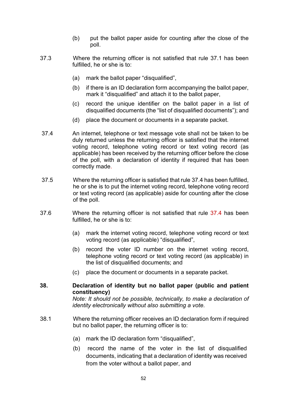- (b) put the ballot paper aside for counting after the close of the poll.
- 37.3 Where the returning officer is not satisfied that rule 37.1 has been fulfilled, he or she is to:
	- (a) mark the ballot paper "disqualified",
	- (b) if there is an ID declaration form accompanying the ballot paper, mark it "disqualified" and attach it to the ballot paper,
	- (c) record the unique identifier on the ballot paper in a list of disqualified documents (the "list of disqualified documents"); and
	- (d) place the document or documents in a separate packet.
- 37.4 An internet, telephone or text message vote shall not be taken to be duly returned unless the returning officer is satisfied that the internet voting record, telephone voting record or text voting record (as applicable) has been received by the returning officer before the close of the poll, with a declaration of identity if required that has been correctly made.
- 37.5 Where the returning officer is satisfied that rule 37.4 has been fulfilled, he or she is to put the internet voting record, telephone voting record or text voting record (as applicable) aside for counting after the close of the poll.
- 37.6 Where the returning officer is not satisfied that rule 37.4 has been fulfilled, he or she is to:
	- (a) mark the internet voting record, telephone voting record or text voting record (as applicable) "disqualified",
	- (b) record the voter ID number on the internet voting record, telephone voting record or text voting record (as applicable) in the list of disqualified documents; and
	- (c) place the document or documents in a separate packet.

## **38. Declaration of identity but no ballot paper (public and patient constituency)**

*Note: It should not be possible, technically, to make a declaration of identity electronically without also submitting a vote.*

- 38.1 Where the returning officer receives an ID declaration form if required but no ballot paper, the returning officer is to:
	- (a) mark the ID declaration form "disqualified",
	- (b) record the name of the voter in the list of disqualified documents, indicating that a declaration of identity was received from the voter without a ballot paper, and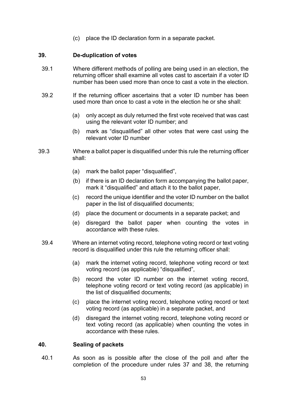(c) place the ID declaration form in a separate packet.

# **39. De-duplication of votes**

- 39.1 Where different methods of polling are being used in an election, the returning officer shall examine all votes cast to ascertain if a voter ID number has been used more than once to cast a vote in the election.
- 39.2 If the returning officer ascertains that a voter ID number has been used more than once to cast a vote in the election he or she shall:
	- (a) only accept as duly returned the first vote received that was cast using the relevant voter ID number; and
	- (b) mark as "disqualified" all other votes that were cast using the relevant voter ID number
- 39.3 Where a ballot paper is disqualified under this rule the returning officer shall:
	- (a) mark the ballot paper "disqualified",
	- (b) if there is an ID declaration form accompanying the ballot paper, mark it "disqualified" and attach it to the ballot paper,
	- (c) record the unique identifier and the voter ID number on the ballot paper in the list of disqualified documents;
	- (d) place the document or documents in a separate packet; and
	- (e) disregard the ballot paper when counting the votes in accordance with these rules.
	- 39.4 Where an internet voting record, telephone voting record or text voting record is disqualified under this rule the returning officer shall:
		- (a) mark the internet voting record, telephone voting record or text voting record (as applicable) "disqualified",
		- (b) record the voter ID number on the internet voting record, telephone voting record or text voting record (as applicable) in the list of disqualified documents;
		- (c) place the internet voting record, telephone voting record or text voting record (as applicable) in a separate packet, and
		- (d) disregard the internet voting record, telephone voting record or text voting record (as applicable) when counting the votes in accordance with these rules.

## **40. Sealing of packets**

40.1 As soon as is possible after the close of the poll and after the completion of the procedure under rules 37 and 38, the returning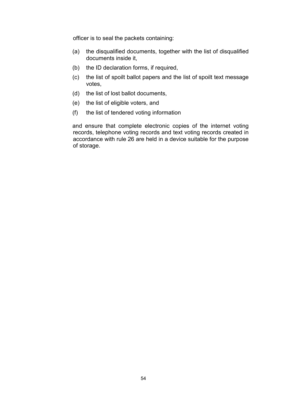officer is to seal the packets containing:

- (a) the disqualified documents, together with the list of disqualified documents inside it,
- (b) the ID declaration forms, if required,
- (c) the list of spoilt ballot papers and the list of spoilt text message votes,
- (d) the list of lost ballot documents,
- (e) the list of eligible voters, and
- (f) the list of tendered voting information

and ensure that complete electronic copies of the internet voting records, telephone voting records and text voting records created in accordance with rule 26 are held in a device suitable for the purpose of storage.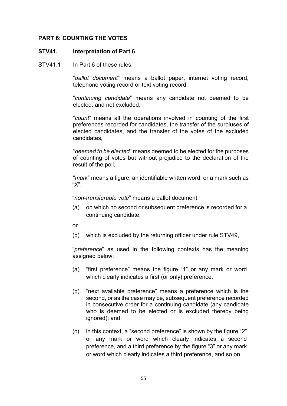## **PART 6: COUNTING THE VOTES**

#### **STV41. Interpretation of Part 6**

STV41.1 In Part 6 of these rules:

"*ballot document*" means a ballot paper, internet voting record, telephone voting record or text voting record.

"*continuing candidate*" means any candidate not deemed to be elected, and not excluded,

"*count*" means all the operations involved in counting of the first preferences recorded for candidates, the transfer of the surpluses of elected candidates, and the transfer of the votes of the excluded candidates,

"*deemed to be elected*" means deemed to be elected for the purposes of counting of votes but without prejudice to the declaration of the result of the poll,

"*mark*" means a figure, an identifiable written word, or a mark such as "X",

"*non-transferable vote*" means a ballot document:

(a) on which no second or subsequent preference is recorded for a continuing candidate,

or

(b) which is excluded by the returning officer under rule STV49,

"*preference*" as used in the following contexts has the meaning assigned below:

- (a) "first preference" means the figure "1" or any mark or word which clearly indicates a first (or only) preference,
- (b) "next available preference" means a preference which is the second, or as the case may be, subsequent preference recorded in consecutive order for a continuing candidate (any candidate who is deemed to be elected or is excluded thereby being ignored); and
- (c) in this context, a "second preference" is shown by the figure "2" or any mark or word which clearly indicates a second preference, and a third preference by the figure "3" or any mark or word which clearly indicates a third preference, and so on,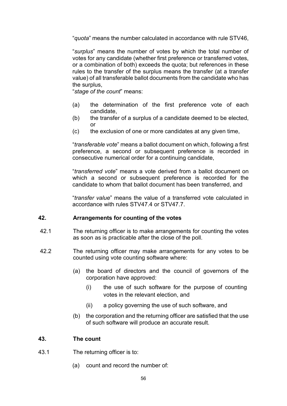"*quota*" means the number calculated in accordance with rule STV46,

"*surplus*" means the number of votes by which the total number of votes for any candidate (whether first preference or transferred votes, or a combination of both) exceeds the quota; but references in these rules to the transfer of the surplus means the transfer (at a transfer value) of all transferable ballot documents from the candidate who has the surplus,

"*stage of the count*" means:

- (a) the determination of the first preference vote of each candidate,
- (b) the transfer of a surplus of a candidate deemed to be elected, or
- (c) the exclusion of one or more candidates at any given time,

"*transferable vote*" means a ballot document on which, following a first preference, a second or subsequent preference is recorded in consecutive numerical order for a continuing candidate,

"*transferred vote*" means a vote derived from a ballot document on which a second or subsequent preference is recorded for the candidate to whom that ballot document has been transferred, and

"*transfer value*" means the value of a transferred vote calculated in accordance with rules STV47.4 or STV47.7.

## **42. Arrangements for counting of the votes**

- 42.1 The returning officer is to make arrangements for counting the votes as soon as is practicable after the close of the poll.
- 42.2 The returning officer may make arrangements for any votes to be counted using vote counting software where:
	- (a) the board of directors and the council of governors of the corporation have approved:
		- (i) the use of such software for the purpose of counting votes in the relevant election, and
		- (ii) a policy governing the use of such software, and
	- (b) the corporation and the returning officer are satisfied that the use of such software will produce an accurate result.

## **43. The count**

- 43.1 The returning officer is to:
	- (a) count and record the number of: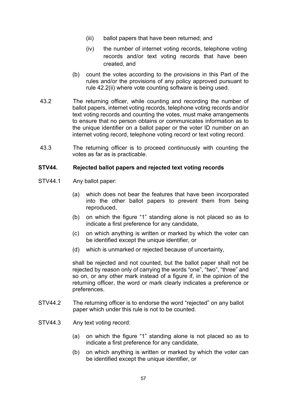- (iii) ballot papers that have been returned; and
- (iv) the number of internet voting records, telephone voting records and/or text voting records that have been created, and
- (b) count the votes according to the provisions in this Part of the rules and/or the provisions of any policy approved pursuant to rule 42.2(ii) where vote counting software is being used.
- 43.2 The returning officer, while counting and recording the number of ballot papers, internet voting records, telephone voting records and/or text voting records and counting the votes, must make arrangements to ensure that no person obtains or communicates information as to the unique identifier on a ballot paper or the voter ID number on an internet voting record, telephone voting record or text voting record.
- 43.3 The returning officer is to proceed continuously with counting the votes as far as is practicable.

## **STV44. Rejected ballot papers and rejected text voting records**

- STV44.1 Any ballot paper:
	- (a) which does not bear the features that have been incorporated into the other ballot papers to prevent them from being reproduced,
	- (b) on which the figure "1" standing alone is not placed so as to indicate a first preference for any candidate,
	- (c) on which anything is written or marked by which the voter can be identified except the unique identifier, or
	- (d) which is unmarked or rejected because of uncertainty,

shall be rejected and not counted, but the ballot paper shall not be rejected by reason only of carrying the words "one", "two", "three" and so on, or any other mark instead of a figure if, in the opinion of the returning officer, the word or mark clearly indicates a preference or preferences.

- STV44.2 The returning officer is to endorse the word "rejected" on any ballot paper which under this rule is not to be counted.
- STV44.3 Any text voting record:
	- (a) on which the figure "1" standing alone is not placed so as to indicate a first preference for any candidate,
	- (b) on which anything is written or marked by which the voter can be identified except the unique identifier, or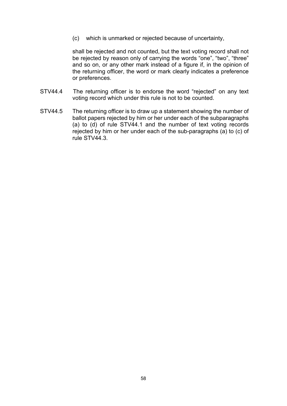(c) which is unmarked or rejected because of uncertainty,

shall be rejected and not counted, but the text voting record shall not be rejected by reason only of carrying the words "one", "two", "three" and so on, or any other mark instead of a figure if, in the opinion of the returning officer, the word or mark clearly indicates a preference or preferences.

- STV44.4 The returning officer is to endorse the word "rejected" on any text voting record which under this rule is not to be counted.
- STV44.5 The returning officer is to draw up a statement showing the number of ballot papers rejected by him or her under each of the subparagraphs (a) to (d) of rule STV44.1 and the number of text voting records rejected by him or her under each of the sub-paragraphs (a) to (c) of rule STV44.3.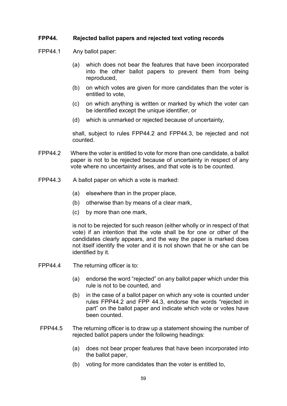## **FPP44. Rejected ballot papers and rejected text voting records**

FPP44.1 Any ballot paper:

- (a) which does not bear the features that have been incorporated into the other ballot papers to prevent them from being reproduced,
- (b) on which votes are given for more candidates than the voter is entitled to vote,
- (c) on which anything is written or marked by which the voter can be identified except the unique identifier, or
- (d) which is unmarked or rejected because of uncertainty,

shall, subject to rules FPP44.2 and FPP44.3, be rejected and not counted.

- FPP44.2 Where the voter is entitled to vote for more than one candidate, a ballot paper is not to be rejected because of uncertainty in respect of any vote where no uncertainty arises, and that vote is to be counted.
- FPP44.3 A ballot paper on which a vote is marked:
	- (a) elsewhere than in the proper place,
	- (b) otherwise than by means of a clear mark,
	- (c) by more than one mark,

is not to be rejected for such reason (either wholly or in respect of that vote) if an intention that the vote shall be for one or other of the candidates clearly appears, and the way the paper is marked does not itself identify the voter and it is not shown that he or she can be identified by it.

- FPP44.4 The returning officer is to:
	- (a) endorse the word "rejected" on any ballot paper which under this rule is not to be counted, and
	- (b) in the case of a ballot paper on which any vote is counted under rules FPP44.2 and FPP 44.3, endorse the words "rejected in part" on the ballot paper and indicate which vote or votes have been counted.
- FPP44.5 The returning officer is to draw up a statement showing the number of rejected ballot papers under the following headings:
	- (a) does not bear proper features that have been incorporated into the ballot paper,
	- (b) voting for more candidates than the voter is entitled to,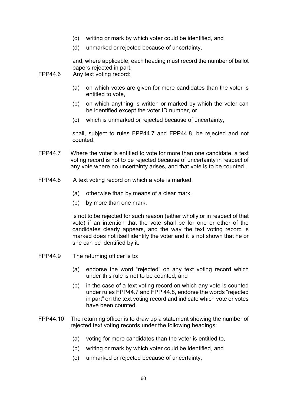- (c) writing or mark by which voter could be identified, and
- (d) unmarked or rejected because of uncertainty,

and, where applicable, each heading must record the number of ballot papers rejected in part.

- FPP44.6 Any text voting record:
	- (a) on which votes are given for more candidates than the voter is entitled to vote,
	- (b) on which anything is written or marked by which the voter can be identified except the voter ID number, or
	- (c) which is unmarked or rejected because of uncertainty,

shall, subject to rules FPP44.7 and FPP44.8, be rejected and not counted.

- FPP44.7 Where the voter is entitled to vote for more than one candidate, a text voting record is not to be rejected because of uncertainty in respect of any vote where no uncertainty arises, and that vote is to be counted.
- FPP44.8 A text voting record on which a vote is marked:
	- (a) otherwise than by means of a clear mark,
	- (b) by more than one mark,

is not to be rejected for such reason (either wholly or in respect of that vote) if an intention that the vote shall be for one or other of the candidates clearly appears, and the way the text voting record is marked does not itself identify the voter and it is not shown that he or she can be identified by it.

- FPP44.9 The returning officer is to:
	- (a) endorse the word "rejected" on any text voting record which under this rule is not to be counted, and
	- (b) in the case of a text voting record on which any vote is counted under rules FPP44.7 and FPP 44.8, endorse the words "rejected in part" on the text voting record and indicate which vote or votes have been counted.
- FPP44.10 The returning officer is to draw up a statement showing the number of rejected text voting records under the following headings:
	- (a) voting for more candidates than the voter is entitled to,
	- (b) writing or mark by which voter could be identified, and
	- (c) unmarked or rejected because of uncertainty,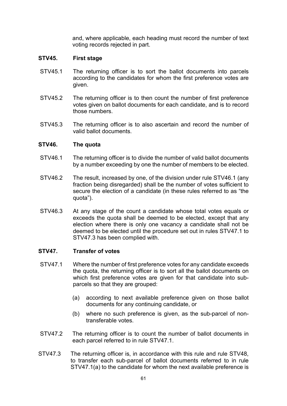and, where applicable, each heading must record the number of text voting records rejected in part.

## **STV45. First stage**

- STV45.1 The returning officer is to sort the ballot documents into parcels according to the candidates for whom the first preference votes are given.
- STV45.2 The returning officer is to then count the number of first preference votes given on ballot documents for each candidate, and is to record those numbers.
- STV45.3 The returning officer is to also ascertain and record the number of valid ballot documents.

## **STV46. The quota**

- STV46.1 The returning officer is to divide the number of valid ballot documents by a number exceeding by one the number of members to be elected.
- STV46.2 The result, increased by one, of the division under rule STV46.1 (any fraction being disregarded) shall be the number of votes sufficient to secure the election of a candidate (in these rules referred to as "the quota").
- STV46.3 At any stage of the count a candidate whose total votes equals or exceeds the quota shall be deemed to be elected, except that any election where there is only one vacancy a candidate shall not be deemed to be elected until the procedure set out in rules STV47.1 to STV47.3 has been complied with.

## **STV47. Transfer of votes**

- STV47.1 Where the number of first preference votes for any candidate exceeds the quota, the returning officer is to sort all the ballot documents on which first preference votes are given for that candidate into subparcels so that they are grouped:
	- (a) according to next available preference given on those ballot documents for any continuing candidate, or
	- (b) where no such preference is given, as the sub-parcel of nontransferable votes.
- STV47.2 The returning officer is to count the number of ballot documents in each parcel referred to in rule STV47.1.
- STV47.3 The returning officer is, in accordance with this rule and rule STV48, to transfer each sub-parcel of ballot documents referred to in rule STV47.1(a) to the candidate for whom the next available preference is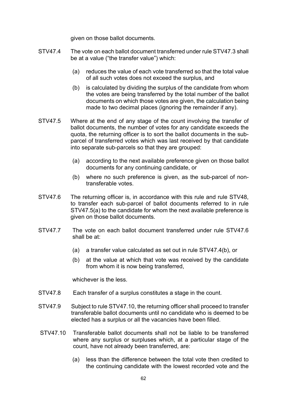given on those ballot documents.

- STV47.4 The vote on each ballot document transferred under rule STV47.3 shall be at a value ("the transfer value") which:
	- (a) reduces the value of each vote transferred so that the total value of all such votes does not exceed the surplus, and
	- (b) is calculated by dividing the surplus of the candidate from whom the votes are being transferred by the total number of the ballot documents on which those votes are given, the calculation being made to two decimal places (ignoring the remainder if any).
- STV47.5 Where at the end of any stage of the count involving the transfer of ballot documents, the number of votes for any candidate exceeds the quota, the returning officer is to sort the ballot documents in the subparcel of transferred votes which was last received by that candidate into separate sub-parcels so that they are grouped:
	- (a) according to the next available preference given on those ballot documents for any continuing candidate, or
	- (b) where no such preference is given, as the sub-parcel of nontransferable votes.
- STV47.6 The returning officer is, in accordance with this rule and rule STV48, to transfer each sub-parcel of ballot documents referred to in rule STV47.5(a) to the candidate for whom the next available preference is given on those ballot documents.
- STV47.7 The vote on each ballot document transferred under rule STV47.6 shall be at:
	- (a) a transfer value calculated as set out in rule STV47.4(b), or
	- (b) at the value at which that vote was received by the candidate from whom it is now being transferred,

whichever is the less.

- STV47.8 Each transfer of a surplus constitutes a stage in the count.
- STV47.9 Subject to rule STV47.10, the returning officer shall proceed to transfer transferable ballot documents until no candidate who is deemed to be elected has a surplus or all the vacancies have been filled.
- STV47.10 Transferable ballot documents shall not be liable to be transferred where any surplus or surpluses which, at a particular stage of the count, have not already been transferred, are:
	- (a) less than the difference between the total vote then credited to the continuing candidate with the lowest recorded vote and the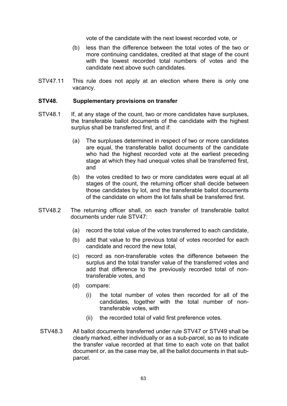vote of the candidate with the next lowest recorded vote, or

- (b) less than the difference between the total votes of the two or more continuing candidates, credited at that stage of the count with the lowest recorded total numbers of votes and the candidate next above such candidates.
- STV47.11 This rule does not apply at an election where there is only one vacancy.

#### **STV48. Supplementary provisions on transfer**

- STV48.1 If, at any stage of the count, two or more candidates have surpluses, the transferable ballot documents of the candidate with the highest surplus shall be transferred first, and if:
	- (a) The surpluses determined in respect of two or more candidates are equal, the transferable ballot documents of the candidate who had the highest recorded vote at the earliest preceding stage at which they had unequal votes shall be transferred first, and
	- (b) the votes credited to two or more candidates were equal at all stages of the count, the returning officer shall decide between those candidates by lot, and the transferable ballot documents of the candidate on whom the lot falls shall be transferred first.
- STV48.2 The returning officer shall, on each transfer of transferable ballot documents under rule STV47:
	- (a) record the total value of the votes transferred to each candidate,
	- (b) add that value to the previous total of votes recorded for each candidate and record the new total,
	- (c) record as non-transferable votes the difference between the surplus and the total transfer value of the transferred votes and add that difference to the previously recorded total of nontransferable votes, and
	- (d) compare:
		- (i) the total number of votes then recorded for all of the candidates, together with the total number of nontransferable votes, with
		- (ii) the recorded total of valid first preference votes.
- STV48.3 All ballot documents transferred under rule STV47 or STV49 shall be clearly marked, either individually or as a sub-parcel, so as to indicate the transfer value recorded at that time to each vote on that ballot document or, as the case may be, all the ballot documents in that subparcel.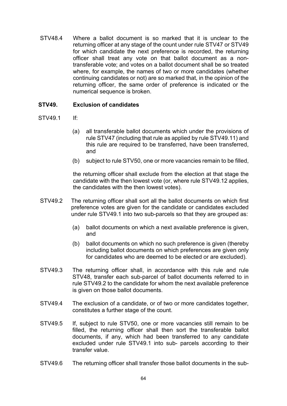STV48.4 Where a ballot document is so marked that it is unclear to the returning officer at any stage of the count under rule STV47 or STV49 for which candidate the next preference is recorded, the returning officer shall treat any vote on that ballot document as a nontransferable vote; and votes on a ballot document shall be so treated where, for example, the names of two or more candidates (whether continuing candidates or not) are so marked that, in the opinion of the returning officer, the same order of preference is indicated or the numerical sequence is broken.

## **STV49. Exclusion of candidates**

- STV49.1 If:
	- (a) all transferable ballot documents which under the provisions of rule STV47 (including that rule as applied by rule STV49.11) and this rule are required to be transferred, have been transferred, and
	- (b) subject to rule STV50, one or more vacancies remain to be filled,

the returning officer shall exclude from the election at that stage the candidate with the then lowest vote (or, where rule STV49.12 applies, the candidates with the then lowest votes).

- STV49.2 The returning officer shall sort all the ballot documents on which first preference votes are given for the candidate or candidates excluded under rule STV49.1 into two sub-parcels so that they are grouped as:
	- (a) ballot documents on which a next available preference is given, and
	- (b) ballot documents on which no such preference is given (thereby including ballot documents on which preferences are given only for candidates who are deemed to be elected or are excluded).
- STV49.3 The returning officer shall, in accordance with this rule and rule STV48, transfer each sub-parcel of ballot documents referred to in rule STV49.2 to the candidate for whom the next available preference is given on those ballot documents.
- STV49.4 The exclusion of a candidate, or of two or more candidates together, constitutes a further stage of the count.
- STV49.5 If, subject to rule STV50, one or more vacancies still remain to be filled, the returning officer shall then sort the transferable ballot documents, if any, which had been transferred to any candidate excluded under rule STV49.1 into sub- parcels according to their transfer value.
- STV49.6 The returning officer shall transfer those ballot documents in the sub-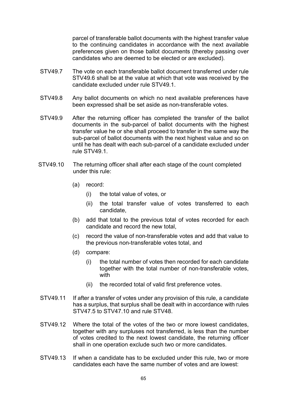parcel of transferable ballot documents with the highest transfer value to the continuing candidates in accordance with the next available preferences given on those ballot documents (thereby passing over candidates who are deemed to be elected or are excluded).

- STV49.7 The vote on each transferable ballot document transferred under rule STV49.6 shall be at the value at which that vote was received by the candidate excluded under rule STV49.1.
- STV49.8 Any ballot documents on which no next available preferences have been expressed shall be set aside as non-transferable votes.
- STV49.9 After the returning officer has completed the transfer of the ballot documents in the sub-parcel of ballot documents with the highest transfer value he or she shall proceed to transfer in the same way the sub-parcel of ballot documents with the next highest value and so on until he has dealt with each sub-parcel of a candidate excluded under rule STV49.1.
- STV49.10 The returning officer shall after each stage of the count completed under this rule:
	- (a) record:
		- (i) the total value of votes, or
		- (ii) the total transfer value of votes transferred to each candidate,
	- (b) add that total to the previous total of votes recorded for each candidate and record the new total,
	- (c) record the value of non-transferable votes and add that value to the previous non-transferable votes total, and
	- (d) compare:
		- (i) the total number of votes then recorded for each candidate together with the total number of non-transferable votes, with
		- (ii) the recorded total of valid first preference votes.
- STV49.11 If after a transfer of votes under any provision of this rule, a candidate has a surplus, that surplus shall be dealt with in accordance with rules STV47.5 to STV47.10 and rule STV48.
- STV49.12 Where the total of the votes of the two or more lowest candidates, together with any surpluses not transferred, is less than the number of votes credited to the next lowest candidate, the returning officer shall in one operation exclude such two or more candidates.
- STV49.13 If when a candidate has to be excluded under this rule, two or more candidates each have the same number of votes and are lowest: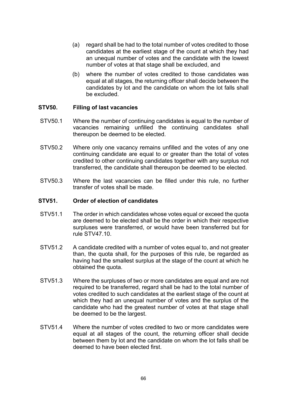- (a) regard shall be had to the total number of votes credited to those candidates at the earliest stage of the count at which they had an unequal number of votes and the candidate with the lowest number of votes at that stage shall be excluded, and
- (b) where the number of votes credited to those candidates was equal at all stages, the returning officer shall decide between the candidates by lot and the candidate on whom the lot falls shall be excluded.

## **STV50. Filling of last vacancies**

- STV50.1 Where the number of continuing candidates is equal to the number of vacancies remaining unfilled the continuing candidates shall thereupon be deemed to be elected.
- STV50.2 Where only one vacancy remains unfilled and the votes of any one continuing candidate are equal to or greater than the total of votes credited to other continuing candidates together with any surplus not transferred, the candidate shall thereupon be deemed to be elected.
- STV50.3 Where the last vacancies can be filled under this rule, no further transfer of votes shall be made.

#### **STV51. Order of election of candidates**

- STV51.1 The order in which candidates whose votes equal or exceed the quota are deemed to be elected shall be the order in which their respective surpluses were transferred, or would have been transferred but for rule STV47.10.
- STV51.2 A candidate credited with a number of votes equal to, and not greater than, the quota shall, for the purposes of this rule, be regarded as having had the smallest surplus at the stage of the count at which he obtained the quota.
- STV51.3 Where the surpluses of two or more candidates are equal and are not required to be transferred, regard shall be had to the total number of votes credited to such candidates at the earliest stage of the count at which they had an unequal number of votes and the surplus of the candidate who had the greatest number of votes at that stage shall be deemed to be the largest.
- STV51.4 Where the number of votes credited to two or more candidates were equal at all stages of the count, the returning officer shall decide between them by lot and the candidate on whom the lot falls shall be deemed to have been elected first.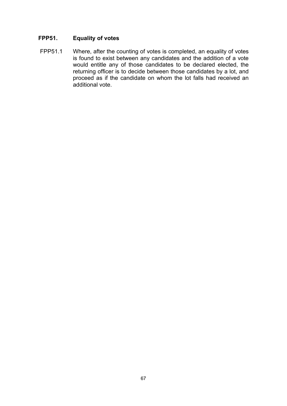# **FPP51. Equality of votes**

FPP51.1 Where, after the counting of votes is completed, an equality of votes is found to exist between any candidates and the addition of a vote would entitle any of those candidates to be declared elected, the returning officer is to decide between those candidates by a lot, and proceed as if the candidate on whom the lot falls had received an additional vote.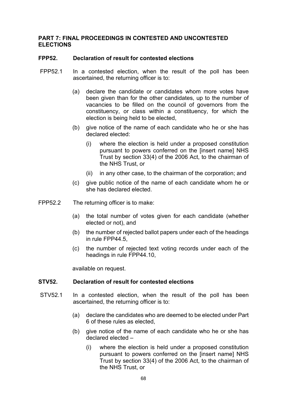#### **PART 7: FINAL PROCEEDINGS IN CONTESTED AND UNCONTESTED ELECTIONS**

#### **FPP52. Declaration of result for contested elections**

- FPP52.1 In a contested election, when the result of the poll has been ascertained, the returning officer is to:
	- (a) declare the candidate or candidates whom more votes have been given than for the other candidates, up to the number of vacancies to be filled on the council of governors from the constituency, or class within a constituency, for which the election is being held to be elected,
	- (b) give notice of the name of each candidate who he or she has declared elected:
		- (i) where the election is held under a proposed constitution pursuant to powers conferred on the [insert name] NHS Trust by section 33(4) of the 2006 Act, to the chairman of the NHS Trust, or
		- (ii) in any other case, to the chairman of the corporation; and
	- (c) give public notice of the name of each candidate whom he or she has declared elected.
- FPP52.2 The returning officer is to make:
	- (a) the total number of votes given for each candidate (whether elected or not), and
	- (b) the number of rejected ballot papers under each of the headings in rule FPP44.5,
	- (c) the number of rejected text voting records under each of the headings in rule FPP44.10,

available on request.

#### **STV52. Declaration of result for contested elections**

- STV52.1 In a contested election, when the result of the poll has been ascertained, the returning officer is to:
	- (a) declare the candidates who are deemed to be elected under Part 6 of these rules as elected,
	- (b) give notice of the name of each candidate who he or she has declared elected –
		- (i) where the election is held under a proposed constitution pursuant to powers conferred on the [insert name] NHS Trust by section 33(4) of the 2006 Act, to the chairman of the NHS Trust, or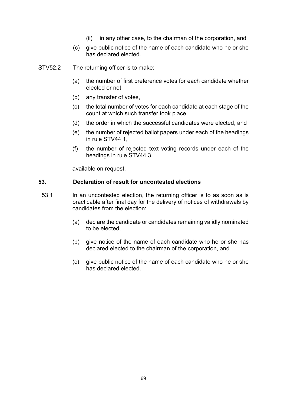- (ii) in any other case, to the chairman of the corporation, and
- (c) give public notice of the name of each candidate who he or she has declared elected.
- STV52.2 The returning officer is to make:
	- (a) the number of first preference votes for each candidate whether elected or not,
	- (b) any transfer of votes,
	- (c) the total number of votes for each candidate at each stage of the count at which such transfer took place,
	- (d) the order in which the successful candidates were elected, and
	- (e) the number of rejected ballot papers under each of the headings in rule STV44.1,
	- (f) the number of rejected text voting records under each of the headings in rule STV44.3,

available on request.

#### **53. Declaration of result for uncontested elections**

- 53.1 In an uncontested election, the returning officer is to as soon as is practicable after final day for the delivery of notices of withdrawals by candidates from the election:
	- (a) declare the candidate or candidates remaining validly nominated to be elected,
	- (b) give notice of the name of each candidate who he or she has declared elected to the chairman of the corporation, and
	- (c) give public notice of the name of each candidate who he or she has declared elected.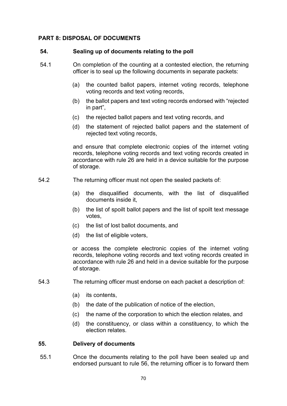## **PART 8: DISPOSAL OF DOCUMENTS**

#### **54. Sealing up of documents relating to the poll**

- 54.1 On completion of the counting at a contested election, the returning officer is to seal up the following documents in separate packets:
	- (a) the counted ballot papers, internet voting records, telephone voting records and text voting records,
	- (b) the ballot papers and text voting records endorsed with "rejected in part",
	- (c) the rejected ballot papers and text voting records, and
	- (d) the statement of rejected ballot papers and the statement of rejected text voting records,

and ensure that complete electronic copies of the internet voting records, telephone voting records and text voting records created in accordance with rule 26 are held in a device suitable for the purpose of storage.

- 54.2 The returning officer must not open the sealed packets of:
	- (a) the disqualified documents, with the list of disqualified documents inside it,
	- (b) the list of spoilt ballot papers and the list of spoilt text message votes,
	- (c) the list of lost ballot documents, and
	- (d) the list of eligible voters,

or access the complete electronic copies of the internet voting records, telephone voting records and text voting records created in accordance with rule 26 and held in a device suitable for the purpose of storage.

- 54.3 The returning officer must endorse on each packet a description of:
	- (a) its contents,
	- (b) the date of the publication of notice of the election,
	- (c) the name of the corporation to which the election relates, and
	- (d) the constituency, or class within a constituency, to which the election relates.

## **55. Delivery of documents**

55.1 Once the documents relating to the poll have been sealed up and endorsed pursuant to rule 56, the returning officer is to forward them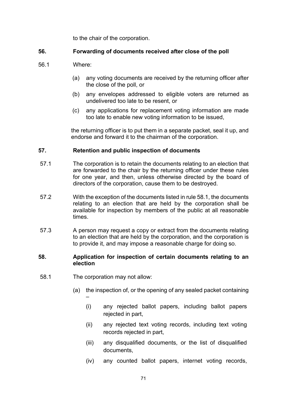to the chair of the corporation.

## **56. Forwarding of documents received after close of the poll**

- 56.1 Where:
	- (a) any voting documents are received by the returning officer after the close of the poll, or
	- (b) any envelopes addressed to eligible voters are returned as undelivered too late to be resent, or
	- (c) any applications for replacement voting information are made too late to enable new voting information to be issued,

the returning officer is to put them in a separate packet, seal it up, and endorse and forward it to the chairman of the corporation.

## **57. Retention and public inspection of documents**

- 57.1 The corporation is to retain the documents relating to an election that are forwarded to the chair by the returning officer under these rules for one year, and then, unless otherwise directed by the board of directors of the corporation, cause them to be destroyed.
- 57.2 With the exception of the documents listed in rule 58.1, the documents relating to an election that are held by the corporation shall be available for inspection by members of the public at all reasonable times.
- 57.3 A person may request a copy or extract from the documents relating to an election that are held by the corporation, and the corporation is to provide it, and may impose a reasonable charge for doing so.

#### **58. Application for inspection of certain documents relating to an election**

- 58.1 The corporation may not allow:
	- (a) the inspection of, or the opening of any sealed packet containing –
		- (i) any rejected ballot papers, including ballot papers rejected in part,
		- (ii) any rejected text voting records, including text voting records rejected in part,
		- (iii) any disqualified documents, or the list of disqualified documents,
		- (iv) any counted ballot papers, internet voting records,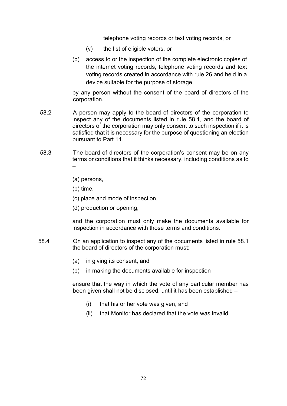telephone voting records or text voting records, or

- (v) the list of eligible voters, or
- (b) access to or the inspection of the complete electronic copies of the internet voting records, telephone voting records and text voting records created in accordance with rule 26 and held in a device suitable for the purpose of storage,

by any person without the consent of the board of directors of the corporation.

- 58.2 A person may apply to the board of directors of the corporation to inspect any of the documents listed in rule 58.1, and the board of directors of the corporation may only consent to such inspection if it is satisfied that it is necessary for the purpose of questioning an election pursuant to Part 11.
- 58.3 The board of directors of the corporation's consent may be on any terms or conditions that it thinks necessary, including conditions as to –
	- (a) persons,
	- (b) time,
	- (c) place and mode of inspection,
	- (d) production or opening,

and the corporation must only make the documents available for inspection in accordance with those terms and conditions.

- 58.4 On an application to inspect any of the documents listed in rule 58.1 the board of directors of the corporation must:
	- (a) in giving its consent, and
	- (b) in making the documents available for inspection

ensure that the way in which the vote of any particular member has been given shall not be disclosed, until it has been established –

- (i) that his or her vote was given, and
- (ii) that Monitor has declared that the vote was invalid.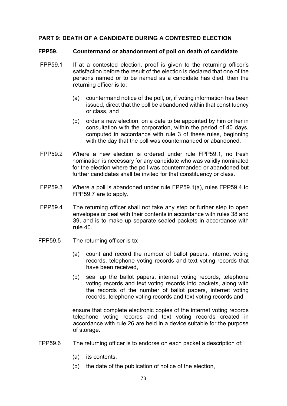# **PART 9: DEATH OF A CANDIDATE DURING A CONTESTED ELECTION**

#### **FPP59. Countermand or abandonment of poll on death of candidate**

- FPP59.1 If at a contested election, proof is given to the returning officer's satisfaction before the result of the election is declared that one of the persons named or to be named as a candidate has died, then the returning officer is to:
	- (a) countermand notice of the poll, or, if voting information has been issued, direct that the poll be abandoned within that constituency or class, and
	- (b) order a new election, on a date to be appointed by him or her in consultation with the corporation, within the period of 40 days, computed in accordance with rule 3 of these rules, beginning with the day that the poll was countermanded or abandoned.
- FPP59.2 Where a new election is ordered under rule FPP59.1, no fresh nomination is necessary for any candidate who was validly nominated for the election where the poll was countermanded or abandoned but further candidates shall be invited for that constituency or class.
- FPP59.3 Where a poll is abandoned under rule FPP59.1(a), rules FPP59.4 to FPP59.7 are to apply.
- FPP59.4 The returning officer shall not take any step or further step to open envelopes or deal with their contents in accordance with rules 38 and 39, and is to make up separate sealed packets in accordance with rule 40.
- FPP59.5 The returning officer is to:
	- (a) count and record the number of ballot papers, internet voting records, telephone voting records and text voting records that have been received,
	- (b) seal up the ballot papers, internet voting records, telephone voting records and text voting records into packets, along with the records of the number of ballot papers, internet voting records, telephone voting records and text voting records and

ensure that complete electronic copies of the internet voting records telephone voting records and text voting records created in accordance with rule 26 are held in a device suitable for the purpose of storage.

- FPP59.6 The returning officer is to endorse on each packet a description of:
	- (a) its contents,
	- (b) the date of the publication of notice of the election,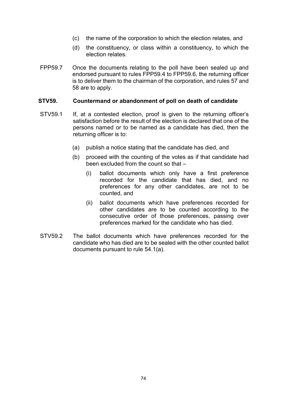- (c) the name of the corporation to which the election relates, and
- (d) the constituency, or class within a constituency, to which the election relates.
- FPP59.7 Once the documents relating to the poll have been sealed up and endorsed pursuant to rules FPP59.4 to FPP59.6, the returning officer is to deliver them to the chairman of the corporation, and rules 57 and 58 are to apply.

#### **STV59. Countermand or abandonment of poll on death of candidate**

- STV59.1 If, at a contested election, proof is given to the returning officer's satisfaction before the result of the election is declared that one of the persons named or to be named as a candidate has died, then the returning officer is to:
	- (a) publish a notice stating that the candidate has died, and
	- (b) proceed with the counting of the votes as if that candidate had been excluded from the count so that –
		- (i) ballot documents which only have a first preference recorded for the candidate that has died, and no preferences for any other candidates, are not to be counted, and
		- (ii) ballot documents which have preferences recorded for other candidates are to be counted according to the consecutive order of those preferences, passing over preferences marked for the candidate who has died.
- STV59.2 The ballot documents which have preferences recorded for the candidate who has died are to be sealed with the other counted ballot documents pursuant to rule 54.1(a).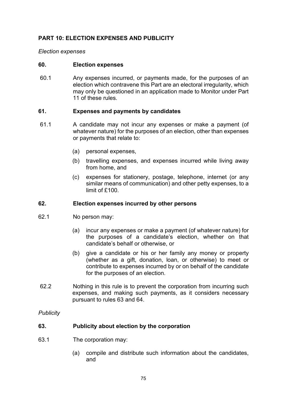# **PART 10: ELECTION EXPENSES AND PUBLICITY**

#### *Election expenses*

#### **60. Election expenses**

60.1 Any expenses incurred, or payments made, for the purposes of an election which contravene this Part are an electoral irregularity, which may only be questioned in an application made to Monitor under Part 11 of these rules.

#### **61. Expenses and payments by candidates**

- 61.1 A candidate may not incur any expenses or make a payment (of whatever nature) for the purposes of an election, other than expenses or payments that relate to:
	- (a) personal expenses,
	- (b) travelling expenses, and expenses incurred while living away from home, and
	- (c) expenses for stationery, postage, telephone, internet (or any similar means of communication) and other petty expenses, to a limit of £100.

#### **62. Election expenses incurred by other persons**

- 62.1 No person may:
	- (a) incur any expenses or make a payment (of whatever nature) for the purposes of a candidate's election, whether on that candidate's behalf or otherwise, or
	- (b) give a candidate or his or her family any money or property (whether as a gift, donation, loan, or otherwise) to meet or contribute to expenses incurred by or on behalf of the candidate for the purposes of an election.
- 62.2 Nothing in this rule is to prevent the corporation from incurring such expenses, and making such payments, as it considers necessary pursuant to rules 63 and 64.

*Publicity*

#### **63. Publicity about election by the corporation**

- 63.1 The corporation may:
	- (a) compile and distribute such information about the candidates, and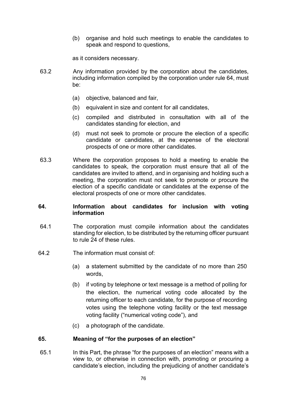(b) organise and hold such meetings to enable the candidates to speak and respond to questions,

as it considers necessary.

- 63.2 Any information provided by the corporation about the candidates, including information compiled by the corporation under rule 64, must be:
	- (a) objective, balanced and fair,
	- (b) equivalent in size and content for all candidates,
	- (c) compiled and distributed in consultation with all of the candidates standing for election, and
	- (d) must not seek to promote or procure the election of a specific candidate or candidates, at the expense of the electoral prospects of one or more other candidates.
- 63.3 Where the corporation proposes to hold a meeting to enable the candidates to speak, the corporation must ensure that all of the candidates are invited to attend, and in organising and holding such a meeting, the corporation must not seek to promote or procure the election of a specific candidate or candidates at the expense of the electoral prospects of one or more other candidates.

#### **64. Information about candidates for inclusion with voting information**

- 64.1 The corporation must compile information about the candidates standing for election, to be distributed by the returning officer pursuant to rule 24 of these rules.
- 64.2 The information must consist of:
	- (a) a statement submitted by the candidate of no more than 250 words,
	- (b) if voting by telephone or text message is a method of polling for the election, the numerical voting code allocated by the returning officer to each candidate, for the purpose of recording votes using the telephone voting facility or the text message voting facility ("numerical voting code"), and
	- (c) a photograph of the candidate.

#### **65. Meaning of "for the purposes of an election"**

65.1 In this Part, the phrase "for the purposes of an election" means with a view to, or otherwise in connection with, promoting or procuring a candidate's election, including the prejudicing of another candidate's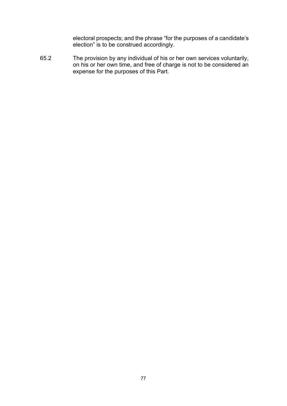electoral prospects; and the phrase "for the purposes of a candidate's election" is to be construed accordingly.

65.2 The provision by any individual of his or her own services voluntarily, on his or her own time, and free of charge is not to be considered an expense for the purposes of this Part.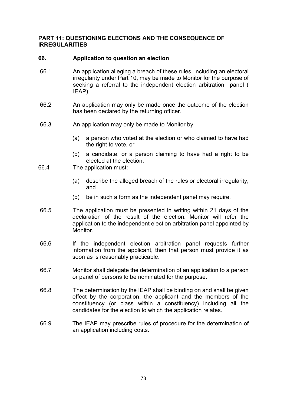#### **PART 11: QUESTIONING ELECTIONS AND THE CONSEQUENCE OF IRREGULARITIES**

# **66. Application to question an election**

- 66.1 An application alleging a breach of these rules, including an electoral irregularity under Part 10, may be made to Monitor for the purpose of seeking a referral to the independent election arbitration panel ( IEAP).
- 66.2 An application may only be made once the outcome of the election has been declared by the returning officer.
- 66.3 An application may only be made to Monitor by:
	- (a) a person who voted at the election or who claimed to have had the right to vote, or
	- (b) a candidate, or a person claiming to have had a right to be elected at the election.
- 66.4 The application must:
	- (a) describe the alleged breach of the rules or electoral irregularity, and
	- (b) be in such a form as the independent panel may require.
- 66.5 The application must be presented in writing within 21 days of the declaration of the result of the election. Monitor will refer the application to the independent election arbitration panel appointed by **Monitor**
- 66.6 If the independent election arbitration panel requests further information from the applicant, then that person must provide it as soon as is reasonably practicable.
- 66.7 Monitor shall delegate the determination of an application to a person or panel of persons to be nominated for the purpose.
- 66.8 The determination by the IEAP shall be binding on and shall be given effect by the corporation, the applicant and the members of the constituency (or class within a constituency) including all the candidates for the election to which the application relates.
- 66.9 The IEAP may prescribe rules of procedure for the determination of an application including costs.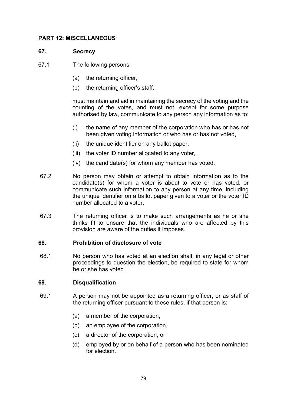# **PART 12: MISCELLANEOUS**

# **67. Secrecy**

- 67.1 The following persons:
	- (a) the returning officer,
	- (b) the returning officer's staff,

must maintain and aid in maintaining the secrecy of the voting and the counting of the votes, and must not, except for some purpose authorised by law, communicate to any person any information as to:

- (i) the name of any member of the corporation who has or has not been given voting information or who has or has not voted,
- (ii) the unique identifier on any ballot paper,
- (iii) the voter ID number allocated to any voter,
- (iv) the candidate(s) for whom any member has voted.
- 67.2 No person may obtain or attempt to obtain information as to the candidate(s) for whom a voter is about to vote or has voted, or communicate such information to any person at any time, including the unique identifier on a ballot paper given to a voter or the voter ID number allocated to a voter.
- 67.3 The returning officer is to make such arrangements as he or she thinks fit to ensure that the individuals who are affected by this provision are aware of the duties it imposes.

#### **68. Prohibition of disclosure of vote**

68.1 No person who has voted at an election shall, in any legal or other proceedings to question the election, be required to state for whom he or she has voted.

#### **69. Disqualification**

- 69.1 A person may not be appointed as a returning officer, or as staff of the returning officer pursuant to these rules, if that person is:
	- (a) a member of the corporation,
	- (b) an employee of the corporation,
	- (c) a director of the corporation, or
	- (d) employed by or on behalf of a person who has been nominated for election.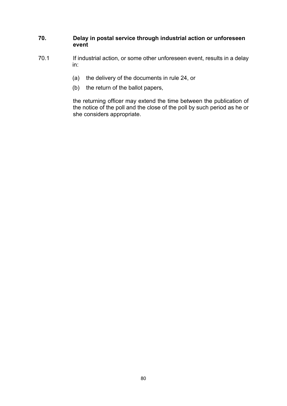# **70. Delay in postal service through industrial action or unforeseen event**

- 70.1 If industrial action, or some other unforeseen event, results in a delay in:
	- (a) the delivery of the documents in rule 24, or
	- (b) the return of the ballot papers,

the returning officer may extend the time between the publication of the notice of the poll and the close of the poll by such period as he or she considers appropriate.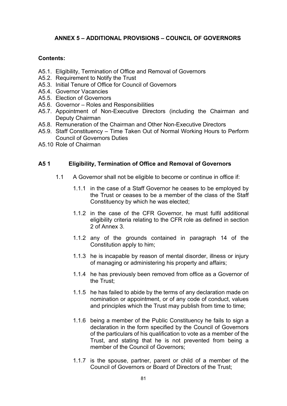# **ANNEX 5 – ADDITIONAL PROVISIONS – COUNCIL OF GOVERNORS**

# **Contents:**

- A5.1. Eligibility, Termination of Office and Removal of Governors
- A5.2. Requirement to Notify the Trust
- A5.3. Initial Tenure of Office for Council of Governors
- A5.4. Governor Vacancies
- A5.5. Election of Governors
- A5.6. Governor Roles and Responsibilities
- A5.7. Appointment of Non-Executive Directors (including the Chairman and Deputy Chairman
- A5.8. Remuneration of the Chairman and Other Non-Executive Directors
- A5.9. Staff Constituency Time Taken Out of Normal Working Hours to Perform Council of Governors Duties
- A5.10 Role of Chairman

#### **A5 1 Eligibility, Termination of Office and Removal of Governors**

- 1.1 A Governor shall not be eligible to become or continue in office if:
	- 1.1.1 in the case of a Staff Governor he ceases to be employed by the Trust or ceases to be a member of the class of the Staff Constituency by which he was elected;
	- 1.1.2 in the case of the CFR Governor, he must fulfil additional eligibility criteria relating to the CFR role as defined in section 2 of Annex 3.
	- 1.1.2 any of the grounds contained in paragraph 14 of the Constitution apply to him;
	- 1.1.3 he is incapable by reason of mental disorder, illness or injury of managing or administering his property and affairs;
	- 1.1.4 he has previously been removed from office as a Governor of the Trust;
	- 1.1.5 he has failed to abide by the terms of any declaration made on nomination or appointment, or of any code of conduct, values and principles which the Trust may publish from time to time;
	- 1.1.6 being a member of the Public Constituency he fails to sign a declaration in the form specified by the Council of Governors of the particulars of his qualification to vote as a member of the Trust, and stating that he is not prevented from being a member of the Council of Governors;
	- 1.1.7 is the spouse, partner, parent or child of a member of the Council of Governors or Board of Directors of the Trust;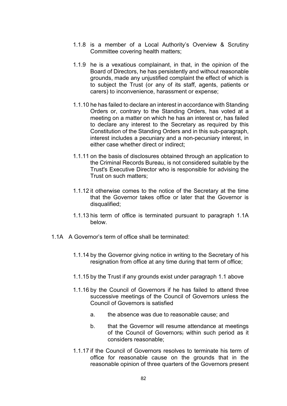- 1.1.8 is a member of a Local Authority's Overview & Scrutiny Committee covering health matters;
- 1.1.9 he is a vexatious complainant, in that, in the opinion of the Board of Directors, he has persistently and without reasonable grounds, made any unjustified complaint the effect of which is to subject the Trust (or any of its staff, agents, patients or carers) to inconvenience, harassment or expense;
- 1.1.10 he has failed to declare an interest in accordance with Standing Orders or, contrary to the Standing Orders, has voted at a meeting on a matter on which he has an interest or, has failed to declare any interest to the Secretary as required by this Constitution of the Standing Orders and in this sub-paragraph, interest includes a pecuniary and a non-pecuniary interest, in either case whether direct or indirect;
- 1.1.11 on the basis of disclosures obtained through an application to the Criminal Records Bureau, is not considered suitable by the Trust's Executive Director who is responsible for advising the Trust on such matters;
- 1.1.12 it otherwise comes to the notice of the Secretary at the time that the Governor takes office or later that the Governor is disqualified;
- 1.1.13 his term of office is terminated pursuant to paragraph 1.1A below.
- 1.1A A Governor's term of office shall be terminated:
	- 1.1.14 by the Governor giving notice in writing to the Secretary of his resignation from office at any time during that term of office;
	- 1.1.15 by the Trust if any grounds exist under paragraph 1.1 above
	- 1.1.16 by the Council of Governors if he has failed to attend three successive meetings of the Council of Governors unless the Council of Governors is satisfied
		- a. the absence was due to reasonable cause; and
		- b. that the Governor will resume attendance at meetings of the Council of Governors; within such period as it considers reasonable;
	- 1.1.17 if the Council of Governors resolves to terminate his term of office for reasonable cause on the grounds that in the reasonable opinion of three quarters of the Governors present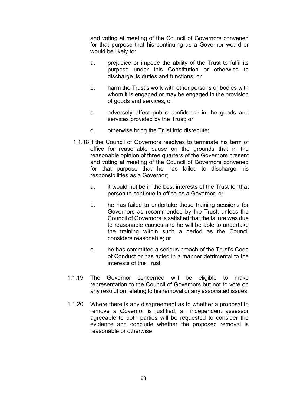and voting at meeting of the Council of Governors convened for that purpose that his continuing as a Governor would or would be likely to:

- a. prejudice or impede the ability of the Trust to fulfil its purpose under this Constitution or otherwise to discharge its duties and functions; or
- b. harm the Trust's work with other persons or bodies with whom it is engaged or may be engaged in the provision of goods and services; or
- c. adversely affect public confidence in the goods and services provided by the Trust; or
- d. otherwise bring the Trust into disrepute;
- 1.1.18 if the Council of Governors resolves to terminate his term of office for reasonable cause on the grounds that in the reasonable opinion of three quarters of the Governors present and voting at meeting of the Council of Governors convened for that purpose that he has failed to discharge his responsibilities as a Governor;
	- a. it would not be in the best interests of the Trust for that person to continue in office as a Governor; or
	- b. he has failed to undertake those training sessions for Governors as recommended by the Trust, unless the Council of Governors is satisfied that the failure was due to reasonable causes and he will be able to undertake the training within such a period as the Council considers reasonable; or
	- c. he has committed a serious breach of the Trust's Code of Conduct or has acted in a manner detrimental to the interests of the Trust.
- 1.1.19 The Governor concerned will be eligible to make representation to the Council of Governors but not to vote on any resolution relating to his removal or any associated issues.
- 1.1.20 Where there is any disagreement as to whether a proposal to remove a Governor is justified, an independent assessor agreeable to both parties will be requested to consider the evidence and conclude whether the proposed removal is reasonable or otherwise.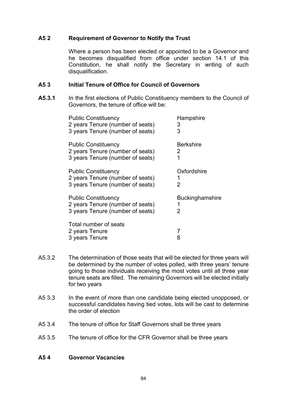# **A5 2 Requirement of Governor to Notify the Trust**

Where a person has been elected or appointed to be a Governor and he becomes disqualified from office under section 14.1 of this Constitution, he shall notify the Secretary in writing of such disqualification.

#### **A5 3 Initial Tenure of Office for Council of Governors**

**A5.3.1** In the first elections of Public Constituency members to the Council of Governors, the tenure of office will be:

| <b>Public Constituency</b>                                                                         | Hampshire              |
|----------------------------------------------------------------------------------------------------|------------------------|
| 2 years Tenure (number of seats)                                                                   | 3                      |
| 3 years Tenure (number of seats)                                                                   | 3                      |
| <b>Public Constituency</b>                                                                         | Berkshire              |
| 2 years Tenure (number of seats)                                                                   | 2                      |
| 3 years Tenure (number of seats)                                                                   | 1                      |
| <b>Public Constituency</b><br>2 years Tenure (number of seats)<br>3 years Tenure (number of seats) | Oxfordshire<br>2       |
| <b>Public Constituency</b>                                                                         | <b>Buckinghamshire</b> |
| 2 years Tenure (number of seats)                                                                   | 1                      |
| 3 years Tenure (number of seats)                                                                   | 2                      |
| Total number of seats<br>2 years Tenure<br>3 years Tenure                                          | 8                      |

- A5.3.2 The determination of those seats that will be elected for three years will be determined by the number of votes polled, with three years' tenure going to those individuals receiving the most votes until all three year tenure seats are filled. The remaining Governors will be elected initially for two years
- A5 3.3 In the event of more than one candidate being elected unopposed, or successful candidates having tied votes, lots will be cast to determine the order of election
- A5 3.4 The tenure of office for Staff Governors shall be three years
- A5 3.5 The tenure of office for the CFR Governor shall be three years

#### **A5 4 Governor Vacancies**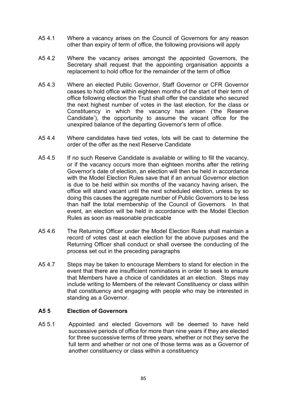- A5 4.1 Where a vacancy arises on the Council of Governors for any reason other than expiry of term of office, the following provisions will apply
- A5 4.2 Where the vacancy arises amongst the appointed Governors, the Secretary shall request that the appointing organisation appoints a replacement to hold office for the remainder of the term of office
- A5 4.3 Where an elected Public Governor, Staff Governor or CFR Governor ceases to hold office within eighteen months of the start of their term of office following election the Trust shall offer the candidate who secured the next highest number of votes in the last election, for the class or Constituency in which the vacancy has arisen ('the Reserve Candidate'), the opportunity to assume the vacant office for the unexpired balance of the departing Governor's term of office.
- A5 4.4 Where candidates have tied votes, lots will be cast to determine the order of the offer as the next Reserve Candidate
- A5 4.5 If no such Reserve Candidate is available or willing to fill the vacancy, or if the vacancy occurs more than eighteen months after the retiring Governor's date of election, an election will then be held in accordance with the Model Election Rules save that if an annual Governor election is due to be held within six months of the vacancy having arisen, the office will stand vacant until the next scheduled election, unless by so doing this causes the aggregate number of Public Governors to be less than half the total membership of the Council of Governors. In that event, an election will be held in accordance with the Model Election Rules as soon as reasonable practicable
- A5 4.6 The Returning Officer under the Model Election Rules shall maintain a record of votes cast at each election for the above purposes and the Returning Officer shall conduct or shall oversee the conducting of the process set out in the preceding paragraphs
- A5 4.7 Steps may be taken to encourage Members to stand for election in the event that there are insufficient nominations in order to seek to ensure that Members have a choice of candidates at an election. Steps may include writing to Members of the relevant Constituency or class within that constituency and engaging with people who may be interested in standing as a Governor.

#### **A5 5 Election of Governors**

A5 5.1 Appointed and elected Governors will be deemed to have held successive periods of office for more than nine years if they are elected for three successive terms of three years, whether or not they serve the full term and whether or not one of those terms was as a Governor of another constituency or class within a constituency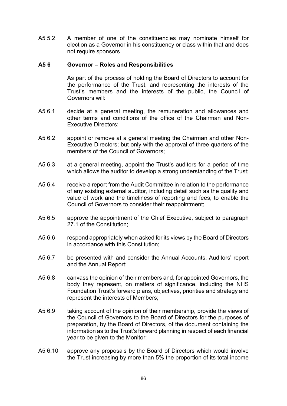A5 5.2 A member of one of the constituencies may nominate himself for election as a Governor in his constituency or class within that and does not require sponsors

#### **A5 6 Governor – Roles and Responsibilities**

As part of the process of holding the Board of Directors to account for the performance of the Trust, and representing the interests of the Trust's members and the interests of the public, the Council of Governors will:

- A5 6.1 decide at a general meeting, the remuneration and allowances and other terms and conditions of the office of the Chairman and Non-Executive Directors;
- A5 6.2 appoint or remove at a general meeting the Chairman and other Non-Executive Directors; but only with the approval of three quarters of the members of the Council of Governors;
- A5 6.3 at a general meeting, appoint the Trust's auditors for a period of time which allows the auditor to develop a strong understanding of the Trust;
- A5 6.4 receive a report from the Audit Committee in relation to the performance of any existing external auditor, including detail such as the quality and value of work and the timeliness of reporting and fees, to enable the Council of Governors to consider their reappointment;
- A5 6.5 approve the appointment of the Chief Executive, subject to paragraph 27.1 of the Constitution;
- A5 6.6 respond appropriately when asked for its views by the Board of Directors in accordance with this Constitution;
- A5 6.7 be presented with and consider the Annual Accounts, Auditors' report and the Annual Report;
- A5 6.8 canvass the opinion of their members and, for appointed Governors, the body they represent, on matters of significance, including the NHS Foundation Trust's forward plans, objectives, priorities and strategy and represent the interests of Members;
- A5 6.9 taking account of the opinion of their membership, provide the views of the Council of Governors to the Board of Directors for the purposes of preparation, by the Board of Directors, of the document containing the information as to the Trust's forward planning in respect of each financial year to be given to the Monitor;
- A5 6.10 approve any proposals by the Board of Directors which would involve the Trust increasing by more than 5% the proportion of its total income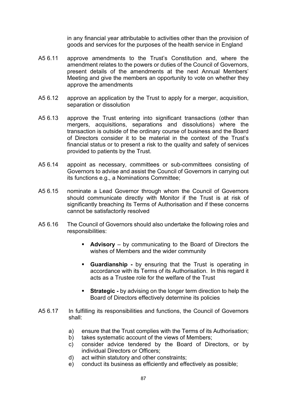in any financial year attributable to activities other than the provision of goods and services for the purposes of the health service in England

- A5 6.11 approve amendments to the Trust's Constitution and, where the amendment relates to the powers or duties of the Council of Governors, present details of the amendments at the next Annual Members' Meeting and give the members an opportunity to vote on whether they approve the amendments
- A5 6.12 approve an application by the Trust to apply for a merger, acquisition, separation or dissolution
- A5 6.13 approve the Trust entering into significant transactions (other than mergers, acquisitions, separations and dissolutions) where the transaction is outside of the ordinary course of business and the Board of Directors consider it to be material in the context of the Trust's financial status or to present a risk to the quality and safety of services provided to patients by the Trust.
- A5 6.14 appoint as necessary, committees or sub-committees consisting of Governors to advise and assist the Council of Governors in carrying out its functions e.g., a Nominations Committee;
- A5 6.15 nominate a Lead Governor through whom the Council of Governors should communicate directly with Monitor if the Trust is at risk of significantly breaching its Terms of Authorisation and if these concerns cannot be satisfactorily resolved
- A5 6.16 The Council of Governors should also undertake the following roles and responsibilities:
	- **Advisory**  by communicating to the Board of Directors the wishes of Members and the wider community
	- **Guardianship -** by ensuring that the Trust is operating in accordance with its Terms of its Authorisation. In this regard it acts as a Trustee role for the welfare of the Trust
	- **Strategic -** by advising on the longer term direction to help the Board of Directors effectively determine its policies
- A5 6.17 In fulfilling its responsibilities and functions, the Council of Governors shall:
	- a) ensure that the Trust complies with the Terms of its Authorisation;
	- b) takes systematic account of the views of Members;
	- c) consider advice tendered by the Board of Directors, or by individual Directors or Officers;
	- d) act within statutory and other constraints;
	- e) conduct its business as efficiently and effectively as possible;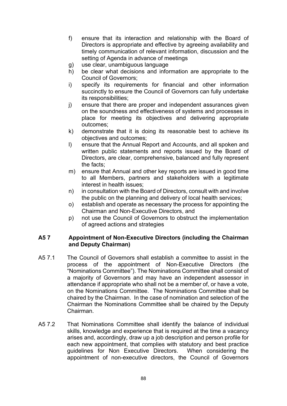- f) ensure that its interaction and relationship with the Board of Directors is appropriate and effective by agreeing availability and timely communication of relevant information, discussion and the setting of Agenda in advance of meetings
- g) use clear, unambiguous language
- h) be clear what decisions and information are appropriate to the Council of Governors;
- i) specify its requirements for financial and other information succinctly to ensure the Council of Governors can fully undertake its responsibilities;
- j) ensure that there are proper and independent assurances given on the soundness and effectiveness of systems and processes in place for meeting its objectives and delivering appropriate outcomes;
- k) demonstrate that it is doing its reasonable best to achieve its objectives and outcomes;
- l) ensure that the Annual Report and Accounts, and all spoken and written public statements and reports issued by the Board of Directors, are clear, comprehensive, balanced and fully represent the facts;
- m) ensure that Annual and other key reports are issued in good time to all Members, partners and stakeholders with a legitimate interest in health issues;
- n) in consultation with the Board of Directors, consult with and involve the public on the planning and delivery of local health services;
- o) establish and operate as necessary the process for appointing the Chairman and Non-Executive Directors, and
- p) not use the Council of Governors to obstruct the implementation of agreed actions and strategies

# **A5 7 Appointment of Non-Executive Directors (including the Chairman and Deputy Chairman)**

- A5 7.1 The Council of Governors shall establish a committee to assist in the process of the appointment of Non-Executive Directors (the "Nominations Committee"). The Nominations Committee shall consist of a majority of Governors and may have an independent assessor in attendance if appropriate who shall not be a member of, or have a vote, on the Nominations Committee. The Nominations Committee shall be chaired by the Chairman. In the case of nomination and selection of the Chairman the Nominations Committee shall be chaired by the Deputy Chairman.
- A5 7.2 That Nominations Committee shall identify the balance of individual skills, knowledge and experience that is required at the time a vacancy arises and, accordingly, draw up a job description and person profile for each new appointment, that complies with statutory and best practice guidelines for Non Executive Directors. When considering the appointment of non-executive directors, the Council of Governors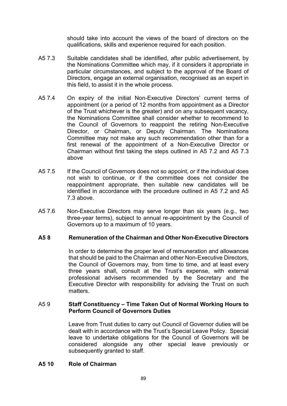should take into account the views of the board of directors on the qualifications, skills and experience required for each position.

- A5 7.3 Suitable candidates shall be identified, after public advertisement, by the Nominations Committee which may, if it considers it appropriate in particular circumstances, and subject to the approval of the Board of Directors, engage an external organisation, recognised as an expert in this field, to assist it in the whole process.
- A5 7.4 On expiry of the initial Non-Executive Directors' current terms of appointment (or a period of 12 months from appointment as a Director of the Trust whichever is the greater) and on any subsequent vacancy, the Nominations Committee shall consider whether to recommend to the Council of Governors to reappoint the retiring Non-Executive Director, or Chairman, or Deputy Chairman. The Nominations Committee may not make any such recommendation other than for a first renewal of the appointment of a Non-Executive Director or Chairman without first taking the steps outlined in A5 7.2 and A5 7.3 above
- A5 7.5 If the Council of Governors does not so appoint, or if the individual does not wish to continue, or if the committee does not consider the reappointment appropriate, then suitable new candidates will be identified in accordance with the procedure outlined in A5 7.2 and A5 7.3 above.
- A5 7.6 Non-Executive Directors may serve longer than six years (e.g., two three-year terms), subject to annual re-appointment by the Council of Governors up to a maximum of 10 years.

#### **A5 8 Remuneration of the Chairman and Other Non-Executive Directors**

In order to determine the proper level of remuneration and allowances that should be paid to the Chairman and other Non-Executive Directors, the Council of Governors may, from time to time, and at least every three years shall, consult at the Trust's expense, with external professional advisers recommended by the Secretary and the Executive Director with responsibility for advising the Trust on such matters.

#### A5 9 **Staff Constituency – Time Taken Out of Normal Working Hours to Perform Council of Governors Duties**

Leave from Trust duties to carry out Council of Governor duties will be dealt with in accordance with the Trust's Special Leave Policy. Special leave to undertake obligations for the Council of Governors will be considered alongside any other special leave previously or subsequently granted to staff.

#### **A5 10 Role of Chairman**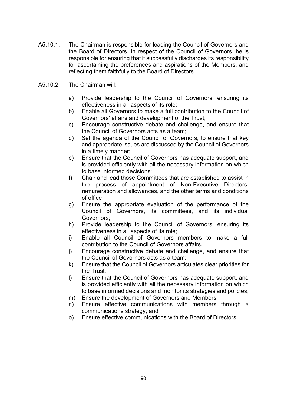- A5.10.1. The Chairman is responsible for leading the Council of Governors and the Board of Directors. In respect of the Council of Governors, he is responsible for ensuring that it successfully discharges its responsibility for ascertaining the preferences and aspirations of the Members, and reflecting them faithfully to the Board of Directors.
- A5.10.2 The Chairman will:
	- a) Provide leadership to the Council of Governors, ensuring its effectiveness in all aspects of its role;
	- b) Enable all Governors to make a full contribution to the Council of Governors' affairs and development of the Trust;
	- c) Encourage constructive debate and challenge, and ensure that the Council of Governors acts as a team;
	- d) Set the agenda of the Council of Governors, to ensure that key and appropriate issues are discussed by the Council of Governors in a timely manner;
	- e) Ensure that the Council of Governors has adequate support, and is provided efficiently with all the necessary information on which to base informed decisions;
	- f) Chair and lead those Committees that are established to assist in the process of appointment of Non-Executive Directors, remuneration and allowances, and the other terms and conditions of office
	- g) Ensure the appropriate evaluation of the performance of the Council of Governors, its committees, and its individual Governors;
	- h) Provide leadership to the Council of Governors, ensuring its effectiveness in all aspects of its role;
	- i) Enable all Council of Governors members to make a full contribution to the Council of Governors affairs,
	- j) Encourage constructive debate and challenge, and ensure that the Council of Governors acts as a team;
	- k) Ensure that the Council of Governors articulates clear priorities for the Trust;
	- l) Ensure that the Council of Governors has adequate support, and is provided efficiently with all the necessary information on which to base informed decisions and monitor its strategies and policies;
	- m) Ensure the development of Governors and Members;
	- n) Ensure effective communications with members through a communications strategy; and
	- o) Ensure effective communications with the Board of Directors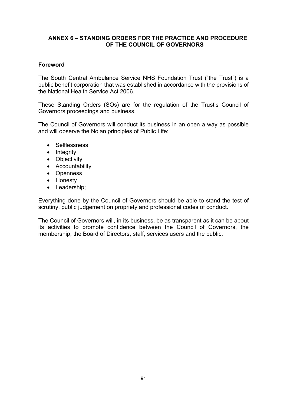# **ANNEX 6 – STANDING ORDERS FOR THE PRACTICE AND PROCEDURE OF THE COUNCIL OF GOVERNORS**

# **Foreword**

The South Central Ambulance Service NHS Foundation Trust ("the Trust") is a public benefit corporation that was established in accordance with the provisions of the National Health Service Act 2006.

These Standing Orders (SOs) are for the regulation of the Trust's Council of Governors proceedings and business.

The Council of Governors will conduct its business in an open a way as possible and will observe the Nolan principles of Public Life:

- Selflessness
- Integrity
- Objectivity
- Accountability
- Openness
- Honesty
- Leadership;

Everything done by the Council of Governors should be able to stand the test of scrutiny, public judgement on propriety and professional codes of conduct.

The Council of Governors will, in its business, be as transparent as it can be about its activities to promote confidence between the Council of Governors, the membership, the Board of Directors, staff, services users and the public.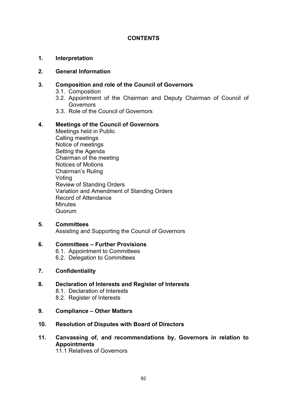# **CONTENTS**

#### **1. Interpretation**

#### **2. General Information**

#### **3. Composition and role of the Council of Governors**

- 3.1. Composition
- 3.2. Appointment of the Chairman and Deputy Chairman of Council of Governors
- 3.3. Role of the Council of Governors

#### **4. Meetings of the Council of Governors**

Meetings held in Public Calling meetings Notice of meetings Setting the Agenda Chairman of the meeting Notices of Motions Chairman's Ruling Voting Review of Standing Orders Variation and Amendment of Standing Orders Record of Attendance **Minutes** Quorum

#### **5. Committees**

Assisting and Supporting the Council of Governors

#### **6. Committees – Further Provisions**

- 6.1. Appointment to Committees
- 6.2. Delegation to Committees

#### **7. Confidentiality**

#### **8. Declaration of Interests and Register of Interests**

- 8.1. Declaration of Interests
- 8.2. Register of Interests

#### **9. Compliance – Other Matters**

#### **10. Resolution of Disputes with Board of Directors**

# **11. Canvassing of, and recommendations by, Governors in relation to Appointments**

11.1 Relatives of Governors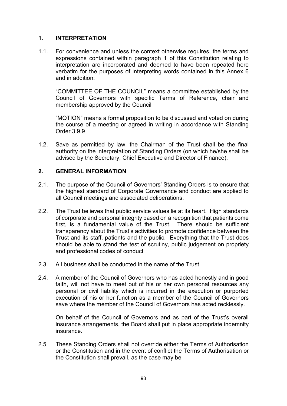# **1. INTERPRETATION**

1.1. For convenience and unless the context otherwise requires, the terms and expressions contained within paragraph 1 of this Constitution relating to interpretation are incorporated and deemed to have been repeated here verbatim for the purposes of interpreting words contained in this Annex 6 and in addition:

"COMMITTEE OF THE COUNCIL" means a committee established by the Council of Governors with specific Terms of Reference, chair and membership approved by the Council

"MOTION" means a formal proposition to be discussed and voted on during the course of a meeting or agreed in writing in accordance with Standing Order 3.9.9

1.2. Save as permitted by law, the Chairman of the Trust shall be the final authority on the interpretation of Standing Orders (on which he/she shall be advised by the Secretary, Chief Executive and Director of Finance).

#### **2. GENERAL INFORMATION**

- 2.1. The purpose of the Council of Governors' Standing Orders is to ensure that the highest standard of Corporate Governance and conduct are applied to all Council meetings and associated deliberations.
- 2.2. The Trust believes that public service values lie at its heart. High standards of corporate and personal integrity based on a recognition that patients come first, is a fundamental value of the Trust. There should be sufficient transparency about the Trust's activities to promote confidence between the Trust and its staff, patients and the public. Everything that the Trust does should be able to stand the test of scrutiny, public judgement on propriety and professional codes of conduct
- 2.3. All business shall be conducted in the name of the Trust
- 2.4. A member of the Council of Governors who has acted honestly and in good faith, will not have to meet out of his or her own personal resources any personal or civil liability which is incurred in the execution or purported execution of his or her function as a member of the Council of Governors save where the member of the Council of Governors has acted recklessly.

On behalf of the Council of Governors and as part of the Trust's overall insurance arrangements, the Board shall put in place appropriate indemnity insurance.

2.5 These Standing Orders shall not override either the Terms of Authorisation or the Constitution and in the event of conflict the Terms of Authorisation or the Constitution shall prevail, as the case may be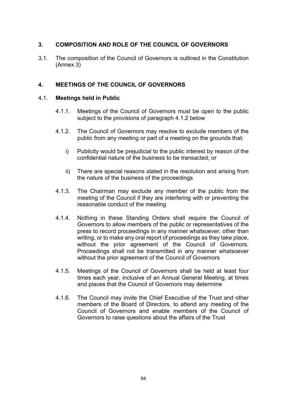# **3. COMPOSITION AND ROLE OF THE COUNCIL OF GOVERNORS**

3.1. The composition of the Council of Governors is outlined in the Constitution (Annex 3)

# **4. MEETINGS OF THE COUNCIL OF GOVERNORS**

#### 4.1. **Meetings held in Public**

- 4.1.1. Meetings of the Council of Governors must be open to the public subject to the provisions of paragraph 4.1.2 below
- 4.1.2. The Council of Governors may resolve to exclude members of the public from any meeting or part of a meeting on the grounds that:
	- i) Publicity would be prejudicial to the public interest by reason of the confidential nature of the business to be transacted; or
	- ii) There are special reasons stated in the resolution and arising from the nature of the business of the proceedings
- 4.1.3. The Chairman may exclude any member of the public from the meeting of the Council if they are interfering with or preventing the reasonable conduct of the meeting
- 4.1.4. Nothing in these Standing Orders shall require the Council of Governors to allow members of the public or representatives of the press to record proceedings in any manner whatsoever, other than writing, or to make any oral report of proceedings as they take place, without the prior agreement of the Council of Governors. Proceedings shall not be transmitted in any manner whatsoever without the prior agreement of the Council of Governors
- 4.1.5. Meetings of the Council of Governors shall be held at least four times each year, inclusive of an Annual General Meeting, at times and places that the Council of Governors may determine
- 4.1.6. The Council may invite the Chief Executive of the Trust and other members of the Board of Directors, to attend any meeting of the Council of Governors and enable members of the Council of Governors to raise questions about the affairs of the Trust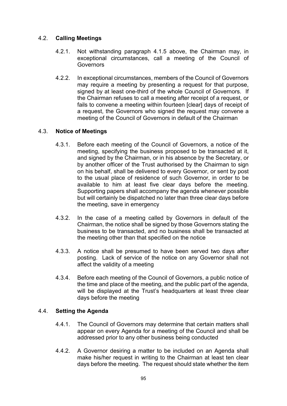# 4.2. **Calling Meetings**

- 4.2.1. Not withstanding paragraph 4.1.5 above, the Chairman may, in exceptional circumstances, call a meeting of the Council of **Governors**
- 4.2.2. In exceptional circumstances, members of the Council of Governors may require a meeting by presenting a request for that purpose, signed by at least one-third of the whole Council of Governors. If the Chairman refuses to call a meeting after receipt of a request, or fails to convene a meeting within fourteen [clear] days of receipt of a request, the Governors who signed the request may convene a meeting of the Council of Governors in default of the Chairman

# 4.3. **Notice of Meetings**

- 4.3.1. Before each meeting of the Council of Governors, a notice of the meeting, specifying the business proposed to be transacted at it, and signed by the Chairman, or in his absence by the Secretary, or by another officer of the Trust authorised by the Chairman to sign on his behalf, shall be delivered to every Governor, or sent by post to the usual place of residence of such Governor, in order to be available to him at least five clear days before the meeting. Supporting papers shall accompany the agenda whenever possible but will certainly be dispatched no later than three clear days before the meeting, save in emergency
- 4.3.2. In the case of a meeting called by Governors in default of the Chairman, the notice shall be signed by those Governors stating the business to be transacted, and no business shall be transacted at the meeting other than that specified on the notice
- 4.3.3. A notice shall be presumed to have been served two days after posting. Lack of service of the notice on any Governor shall not affect the validity of a meeting
- 4.3.4. Before each meeting of the Council of Governors, a public notice of the time and place of the meeting, and the public part of the agenda, will be displayed at the Trust's headquarters at least three clear days before the meeting

# 4.4. **Setting the Agenda**

- 4.4.1. The Council of Governors may determine that certain matters shall appear on every Agenda for a meeting of the Council and shall be addressed prior to any other business being conducted
- 4.4.2. A Governor desiring a matter to be included on an Agenda shall make his/her request in writing to the Chairman at least ten clear days before the meeting. The request should state whether the item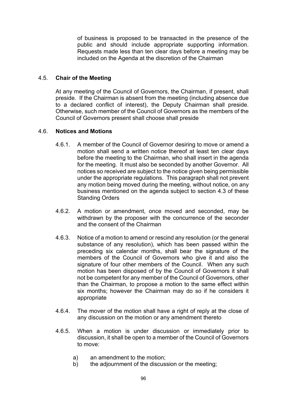of business is proposed to be transacted in the presence of the public and should include appropriate supporting information. Requests made less than ten clear days before a meeting may be included on the Agenda at the discretion of the Chairman

# 4.5. **Chair of the Meeting**

At any meeting of the Council of Governors, the Chairman, if present, shall preside. If the Chairman is absent from the meeting (including absence due to a declared conflict of interest), the Deputy Chairman shall preside. Otherwise, such member of the Council of Governors as the members of the Council of Governors present shall choose shall preside

#### 4.6. **Notices and Motions**

- 4.6.1. A member of the Council of Governor desiring to move or amend a motion shall send a written notice thereof at least ten clear days before the meeting to the Chairman, who shall insert in the agenda for the meeting. It must also be seconded by another Governor. All notices so received are subject to the notice given being permissible under the appropriate regulations. This paragraph shall not prevent any motion being moved during the meeting, without notice, on any business mentioned on the agenda subject to section 4.3 of these Standing Orders
- 4.6.2. A motion or amendment, once moved and seconded, may be withdrawn by the proposer with the concurrence of the seconder and the consent of the Chairman
- 4.6.3. Notice of a motion to amend or rescind any resolution (or the general substance of any resolution), which has been passed within the preceding six calendar months, shall bear the signature of the members of the Council of Governors who give it and also the signature of four other members of the Council. When any such motion has been disposed of by the Council of Governors it shall not be competent for any member of the Council of Governors, other than the Chairman, to propose a motion to the same effect within six months; however the Chairman may do so if he considers it appropriate
- 4.6.4. The mover of the motion shall have a right of reply at the close of any discussion on the motion or any amendment thereto
- 4.6.5. When a motion is under discussion or immediately prior to discussion, it shall be open to a member of the Council of Governors to move:
	- a) an amendment to the motion;
	- b) the adjournment of the discussion or the meeting;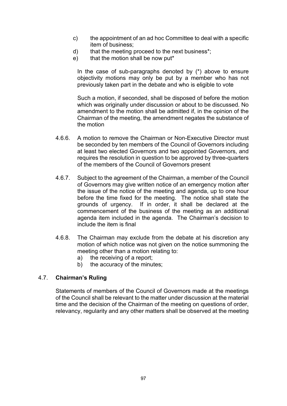- c) the appointment of an ad hoc Committee to deal with a specific item of business;
- d) that the meeting proceed to the next business\*;
- e) that the motion shall be now put\*

In the case of sub-paragraphs denoted by  $(*)$  above to ensure objectivity motions may only be put by a member who has not previously taken part in the debate and who is eligible to vote

Such a motion, if seconded, shall be disposed of before the motion which was originally under discussion or about to be discussed. No amendment to the motion shall be admitted if, in the opinion of the Chairman of the meeting, the amendment negates the substance of the motion

- 4.6.6. A motion to remove the Chairman or Non-Executive Director must be seconded by ten members of the Council of Governors including at least two elected Governors and two appointed Governors, and requires the resolution in question to be approved by three-quarters of the members of the Council of Governors present
- 4.6.7. Subject to the agreement of the Chairman, a member of the Council of Governors may give written notice of an emergency motion after the issue of the notice of the meeting and agenda, up to one hour before the time fixed for the meeting. The notice shall state the grounds of urgency. If in order, it shall be declared at the commencement of the business of the meeting as an additional agenda item included in the agenda. The Chairman's decision to include the item is final
- 4.6.8. The Chairman may exclude from the debate at his discretion any motion of which notice was not given on the notice summoning the meeting other than a motion relating to:
	- a) the receiving of a report;
	- b) the accuracy of the minutes;

#### 4.7. **Chairman's Ruling**

Statements of members of the Council of Governors made at the meetings of the Council shall be relevant to the matter under discussion at the material time and the decision of the Chairman of the meeting on questions of order, relevancy, regularity and any other matters shall be observed at the meeting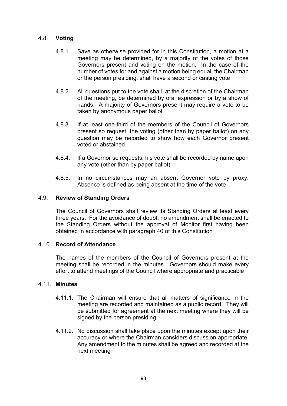#### 4.8. **Voting**

- 4.8.1. Save as otherwise provided for in this Constitution, a motion at a meeting may be determined, by a majority of the votes of those Governors present and voting on the motion. In the case of the number of votes for and against a motion being equal, the Chairman or the person presiding, shall have a second or casting vote
- 4.8.2. All questions put to the vote shall, at the discretion of the Chairman of the meeting, be determined by oral expression or by a show of hands. A majority of Governors present may require a vote to be taken by anonymous paper ballot
- 4.8.3. If at least one-third of the members of the Council of Governors present so request, the voting (other than by paper ballot) on any question may be recorded to show how each Governor present voted or abstained
- 4.8.4. If a Governor so requests, his vote shall be recorded by name upon any vote (other than by paper ballot)
- 4.8.5. In no circumstances may an absent Governor vote by proxy. Absence is defined as being absent at the time of the vote

#### 4.9. **Review of Standing Orders**

The Council of Governors shall review its Standing Orders at least every three years. For the avoidance of doubt, no amendment shall be enacted to the Standing Orders without the approval of Monitor first having been obtained in accordance with paragraph 40 of this Constitution

#### 4.10. **Record of Attendance**

The names of the members of the Council of Governors present at the meeting shall be recorded in the minutes. Governors should make every effort to attend meetings of the Council where appropriate and practicable

#### 4.11. **Minutes**

- 4.11.1. The Chairman will ensure that all matters of significance in the meeting are recorded and maintained as a public record. They will be submitted for agreement at the next meeting where they will be signed by the person presiding
- 4.11.2. No discussion shall take place upon the minutes except upon their accuracy or where the Chairman considers discussion appropriate. Any amendment to the minutes shall be agreed and recorded at the next meeting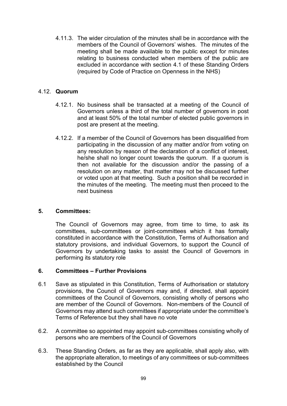4.11.3. The wider circulation of the minutes shall be in accordance with the members of the Council of Governors' wishes. The minutes of the meeting shall be made available to the public except for minutes relating to business conducted when members of the public are excluded in accordance with section 4.1 of these Standing Orders (required by Code of Practice on Openness in the NHS)

# 4.12. **Quorum**

- 4.12.1. No business shall be transacted at a meeting of the Council of Governors unless a third of the total number of governors in post and at least 50% of the total number of elected public governors in post are present at the meeting.
- 4.12.2. If a member of the Council of Governors has been disqualified from participating in the discussion of any matter and/or from voting on any resolution by reason of the declaration of a conflict of interest, he/she shall no longer count towards the quorum. If a quorum is then not available for the discussion and/or the passing of a resolution on any matter, that matter may not be discussed further or voted upon at that meeting. Such a position shall be recorded in the minutes of the meeting. The meeting must then proceed to the next business

# **5. Committees:**

The Council of Governors may agree, from time to time, to ask its committees, sub-committees or joint-committees which it has formally constituted in accordance with the Constitution, Terms of Authorisation and statutory provisions, and individual Governors, to support the Council of Governors by undertaking tasks to assist the Council of Governors in performing its statutory role

#### **6. Committees – Further Provisions**

- 6.1 Save as stipulated in this Constitution, Terms of Authorisation or statutory provisions, the Council of Governors may and, if directed, shall appoint committees of the Council of Governors, consisting wholly of persons who are member of the Council of Governors. Non-members of the Council of Governors may attend such committees if appropriate under the committee's Terms of Reference but they shall have no vote
- 6.2. A committee so appointed may appoint sub-committees consisting wholly of persons who are members of the Council of Governors
- 6.3. These Standing Orders, as far as they are applicable, shall apply also, with the appropriate alteration, to meetings of any committees or sub-committees established by the Council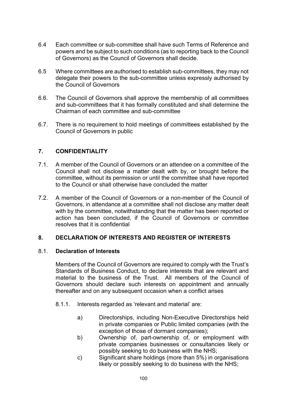- 6.4 Each committee or sub-committee shall have such Terms of Reference and powers and be subject to such conditions (as to reporting back to the Council of Governors) as the Council of Governors shall decide.
- 6.5 Where committees are authorised to establish sub-committees, they may not delegate their powers to the sub-committee unless expressly authorised by the Council of Governors
- 6.6. The Council of Governors shall approve the membership of all committees and sub-committees that it has formally constituted and shall determine the Chairman of each committee and sub-committee
- 6.7. There is no requirement to hold meetings of committees established by the Council of Governors in public

# **7. CONFIDENTIALITY**

- 7.1. A member of the Council of Governors or an attendee on a committee of the Council shall not disclose a matter dealt with by, or brought before the committee, without its permission or until the committee shall have reported to the Council or shall otherwise have concluded the matter
- 7.2. A member of the Council of Governors or a non-member of the Council of Governors, in attendance at a committee shall not disclose any matter dealt with by the committee, notwithstanding that the matter has been reported or action has been concluded, if the Council of Governors or committee resolves that it is confidential

#### **8. DECLARATION OF INTERESTS AND REGISTER OF INTERESTS**

#### 8.1. **Declaration of Interests**

Members of the Council of Governors are required to comply with the Trust's Standards of Business Conduct, to declare interests that are relevant and material to the business of the Trust. All members of the Council of Governors should declare such interests on appointment and annually thereafter and on any subsequent occasion when a conflict arises

- 8.1.1. Interests regarded as 'relevant and material' are:
	- a) Directorships, including Non-Executive Directorships held in private companies or Public limited companies (with the exception of those of dormant companies);
	- b) Ownership of, part-ownership of, or employment with private companies businesses or consultancies likely or possibly seeking to do business with the NHS;
	- c) Significant share holdings (more than 5%) in organisations likely or possibly seeking to do business with the NHS;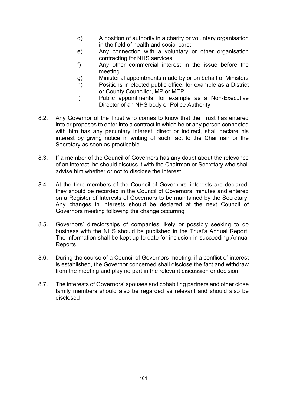- d) A position of authority in a charity or voluntary organisation in the field of health and social care;
- e) Any connection with a voluntary or other organisation contracting for NHS services;
- f) Any other commercial interest in the issue before the meeting
- g) Ministerial appointments made by or on behalf of Ministers
- h) Positions in elected public office, for example as a District or County Councillor, MP or MEP
- i) Public appointments, for example as a Non-Executive Director of an NHS body or Police Authority
- 8.2. Any Governor of the Trust who comes to know that the Trust has entered into or proposes to enter into a contract in which he or any person connected with him has any pecuniary interest, direct or indirect, shall declare his interest by giving notice in writing of such fact to the Chairman or the Secretary as soon as practicable
- 8.3. If a member of the Council of Governors has any doubt about the relevance of an interest, he should discuss it with the Chairman or Secretary who shall advise him whether or not to disclose the interest
- 8.4. At the time members of the Council of Governors' interests are declared, they should be recorded in the Council of Governors' minutes and entered on a Register of Interests of Governors to be maintained by the Secretary. Any changes in interests should be declared at the next Council of Governors meeting following the change occurring
- 8.5. Governors' directorships of companies likely or possibly seeking to do business with the NHS should be published in the Trust's Annual Report. The information shall be kept up to date for inclusion in succeeding Annual Reports
- 8.6. During the course of a Council of Governors meeting, if a conflict of interest is established, the Governor concerned shall disclose the fact and withdraw from the meeting and play no part in the relevant discussion or decision
- 8.7. The interests of Governors' spouses and cohabiting partners and other close family members should also be regarded as relevant and should also be disclosed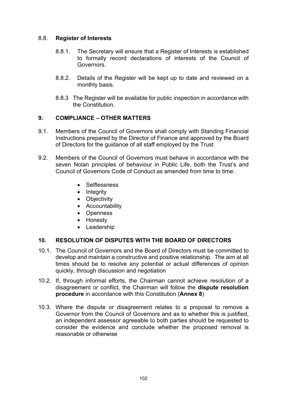# 8.8. **Register of Interests**

- 8.8.1. The Secretary will ensure that a Register of Interests is established to formally record declarations of interests of the Council of Governors.
- 8.8.2. Details of the Register will be kept up to date and reviewed on a monthly basis.
- 8.8.3 The Register will be available for public inspection in accordance with the Constitution.

# **9. COMPLIANCE – OTHER MATTERS**

- 9.1. Members of the Council of Governors shall comply with Standing Financial Instructions prepared by the Director of Finance and approved by the Board of Directors for the guidance of all staff employed by the Trust
- 9.2. Members of the Council of Governors must behave in accordance with the seven Nolan principles of behaviour in Public Life, both the Trust's and Council of Governors Code of Conduct as amended from time to time:
	- Selflessness
	- Integrity
	- Objectivity
	- Accountability
	- Openness
	- Honesty
	- Leadership

# **10. RESOLUTION OF DISPUTES WITH THE BOARD OF DIRECTORS**

- 10.1. The Council of Governors and the Board of Directors must be committed to develop and maintain a constructive and positive relationship. The aim at all times should be to resolve any potential or actual differences of opinion quickly, through discussion and negotiation
- 10.2. If, through informal efforts, the Chairman cannot achieve resolution of a disagreement or conflict, the Chairman will follow the **dispute resolution procedure** in accordance with this Constitution (**Annex 8**)
- 10.3. Where the dispute or disagreement relates to a proposal to remove a Governor from the Council of Governors and as to whether this is justified, an independent assessor agreeable to both parties should be requested to consider the evidence and conclude whether the proposed removal is reasonable or otherwise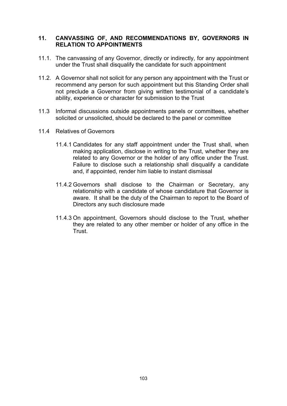# **11. CANVASSING OF, AND RECOMMENDATIONS BY, GOVERNORS IN RELATION TO APPOINTMENTS**

- 11.1. The canvassing of any Governor, directly or indirectly, for any appointment under the Trust shall disqualify the candidate for such appointment
- 11.2. A Governor shall not solicit for any person any appointment with the Trust or recommend any person for such appointment but this Standing Order shall not preclude a Governor from giving written testimonial of a candidate's ability, experience or character for submission to the Trust
- 11.3 Informal discussions outside appointments panels or committees, whether solicited or unsolicited, should be declared to the panel or committee
- 11.4 Relatives of Governors
	- 11.4.1 Candidates for any staff appointment under the Trust shall, when making application, disclose in writing to the Trust, whether they are related to any Governor or the holder of any office under the Trust. Failure to disclose such a relationship shall disqualify a candidate and, if appointed, render him liable to instant dismissal
	- 11.4.2 Governors shall disclose to the Chairman or Secretary, any relationship with a candidate of whose candidature that Governor is aware. It shall be the duty of the Chairman to report to the Board of Directors any such disclosure made
	- 11.4.3 On appointment, Governors should disclose to the Trust, whether they are related to any other member or holder of any office in the Trust.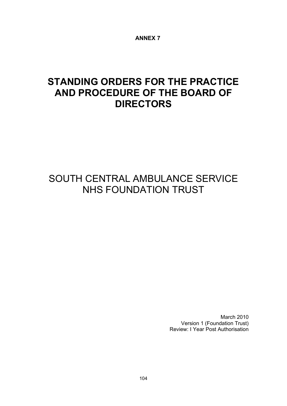**ANNEX 7**

# **STANDING ORDERS FOR THE PRACTICE AND PROCEDURE OF THE BOARD OF DIRECTORS**

# SOUTH CENTRAL AMBULANCE SERVICE NHS FOUNDATION TRUST

March 2010 Version 1 (Foundation Trust) Review: I Year Post Authorisation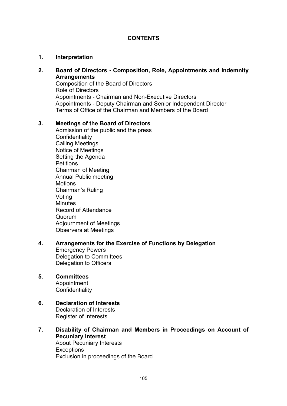# **CONTENTS**

#### **1. Interpretation**

#### **2. Board of Directors - Composition, Role, Appointments and Indemnity Arrangements**

Composition of the Board of Directors Role of Directors Appointments - Chairman and Non-Executive Directors Appointments - Deputy Chairman and Senior Independent Director Terms of Office of the Chairman and Members of the Board

#### **3. Meetings of the Board of Directors**

Admission of the public and the press **Confidentiality** Calling Meetings Notice of Meetings Setting the Agenda **Petitions** Chairman of Meeting Annual Public meeting **Motions** Chairman's Ruling Voting **Minutes** Record of Attendance Quorum Adjournment of Meetings Observers at Meetings

#### **4. Arrangements for the Exercise of Functions by Delegation** Emergency Powers Delegation to Committees Delegation to Officers

#### **5. Committees**

**Appointment Confidentiality** 

#### **6. Declaration of Interests** Declaration of Interests Register of Interests

**7. Disability of Chairman and Members in Proceedings on Account of Pecuniary Interest** About Pecuniary Interests **Exceptions** Exclusion in proceedings of the Board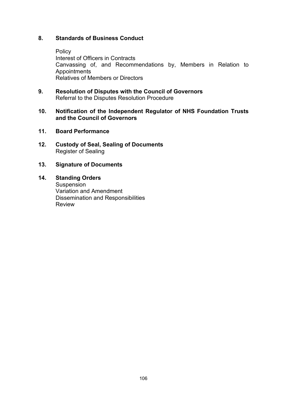# **8. Standards of Business Conduct**

Policy Interest of Officers in Contracts Canvassing of, and Recommendations by, Members in Relation to **Appointments** Relatives of Members or Directors

**9. Resolution of Disputes with the Council of Governors** Referral to the Disputes Resolution Procedure

#### **10. Notification of the Independent Regulator of NHS Foundation Trusts and the Council of Governors**

- **11. Board Performance**
- **12. Custody of Seal, Sealing of Documents** Register of Sealing
- **13. Signature of Documents**
- **14. Standing Orders**  Suspension Variation and Amendment Dissemination and Responsibilities Review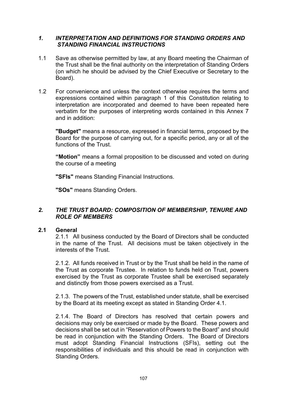# *1. INTERPRETATION AND DEFINITIONS FOR STANDING ORDERS AND STANDING FINANCIAL INSTRUCTIONS*

- 1.1 Save as otherwise permitted by law, at any Board meeting the Chairman of the Trust shall be the final authority on the interpretation of Standing Orders (on which he should be advised by the Chief Executive or Secretary to the Board).
- 1.2 For convenience and unless the context otherwise requires the terms and expressions contained within paragraph 1 of this Constitution relating to interpretation are incorporated and deemed to have been repeated here verbatim for the purposes of interpreting words contained in this Annex 7 and in addition:

**"Budget"** means a resource, expressed in financial terms, proposed by the Board for the purpose of carrying out, for a specific period, any or all of the functions of the Trust.

**"Motion"** means a formal proposition to be discussed and voted on during the course of a meeting

**"SFIs"** means Standing Financial Instructions.

**"SOs"** means Standing Orders.

# *2. THE TRUST BOARD: COMPOSITION OF MEMBERSHIP, TENURE AND ROLE OF MEMBERS*

#### **2.1 General**

2.1.1 All business conducted by the Board of Directors shall be conducted in the name of the Trust. All decisions must be taken objectively in the interests of the Trust.

2.1.2. All funds received in Trust or by the Trust shall be held in the name of the Trust as corporate Trustee. In relation to funds held on Trust, powers exercised by the Trust as corporate Trustee shall be exercised separately and distinctly from those powers exercised as a Trust.

2.1.3. The powers of the Trust, established under statute, shall be exercised by the Board at its meeting except as stated in Standing Order 4.1.

2.1.4. The Board of Directors has resolved that certain powers and decisions may only be exercised or made by the Board. These powers and decisions shall be set out in "Reservation of Powers to the Board" and should be read in conjunction with the Standing Orders. The Board of Directors must adopt Standing Financial Instructions (SFIs), setting out the responsibilities of individuals and this should be read in conjunction with Standing Orders.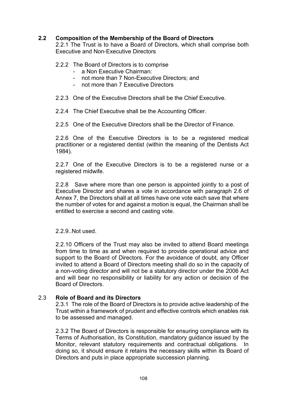## **2.2 Composition of the Membership of the Board of Directors**

2.2.1 The Trust is to have a Board of Directors, which shall comprise both Executive and Non-Executive Directors

#### 2.2.2 The Board of Directors is to comprise

- a Non Executive Chairman:
- not more than 7 Non-Executive Directors; and
- not more than 7 Executive Directors
- 2.2.3 One of the Executive Directors shall be the Chief Executive.
- 2.2.4 The Chief Executive shall be the Accounting Officer.
- 2.2.5 One of the Executive Directors shall be the Director of Finance.

2.2.6 One of the Executive Directors is to be a registered medical practitioner or a registered dentist (within the meaning of the Dentists Act 1984).

2.2.7 One of the Executive Directors is to be a registered nurse or a registered midwife.

2.2.8 Save where more than one person is appointed jointly to a post of Executive Director and shares a vote in accordance with paragraph 2.6 of Annex 7, the Directors shall at all times have one vote each save that where the number of votes for and against a motion is equal, the Chairman shall be entitled to exercise a second and casting vote.

#### 2.2.9..Not used.

2.2.10 Officers of the Trust may also be invited to attend Board meetings from time to time as and when required to provide operational advice and support to the Board of Directors. For the avoidance of doubt, any Officer invited to attend a Board of Directors meeting shall do so in the capacity of a non-voting director and will not be a statutory director under the 2006 Act and will bear no responsibility or liability for any action or decision of the Board of Directors.

#### 2.3 **Role of Board and its Directors**

2.3.1 The role of the Board of Directors is to provide active leadership of the Trust within a framework of prudent and effective controls which enables risk to be assessed and managed.

2.3.2 The Board of Directors is responsible for ensuring compliance with its Terms of Authorisation, its Constitution, mandatory guidance issued by the Monitor, relevant statutory requirements and contractual obligations. In doing so, it should ensure it retains the necessary skills within its Board of Directors and puts in place appropriate succession planning.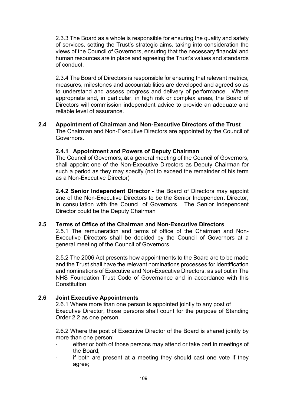2.3.3 The Board as a whole is responsible for ensuring the quality and safety of services, setting the Trust's strategic aims, taking into consideration the views of the Council of Governors, ensuring that the necessary financial and human resources are in place and agreeing the Trust's values and standards of conduct.

2.3.4 The Board of Directors is responsible for ensuring that relevant metrics, measures, milestones and accountabilities are developed and agreed so as to understand and assess progress and delivery of performance. Where appropriate and, in particular, in high risk or complex areas, the Board of Directors will commission independent advice to provide an adequate and reliable level of assurance.

# **2.4 Appointment of Chairman and Non-Executive Directors of the Trust**

The Chairman and Non-Executive Directors are appointed by the Council of Governors.

## **2.4.1 Appointment and Powers of Deputy Chairman**

The Council of Governors, at a general meeting of the Council of Governors, shall appoint one of the Non-Executive Directors as Deputy Chairman for such a period as they may specify (not to exceed the remainder of his term as a Non-Executive Director)

**2.4.2 Senior Independent Director** - the Board of Directors may appoint one of the Non-Executive Directors to be the Senior Independent Director, in consultation with the Council of Governors. The Senior Independent Director could be the Deputy Chairman

## **2.5 Terms of Office of the Chairman and Non-Executive Directors**

2.5.1 The remuneration and terms of office of the Chairman and Non-Executive Directors shall be decided by the Council of Governors at a general meeting of the Council of Governors

2.5.2 The 2006 Act presents how appointments to the Board are to be made and the Trust shall have the relevant nominations processes for identification and nominations of Executive and Non-Executive Directors, as set out in The NHS Foundation Trust Code of Governance and in accordance with this **Constitution** 

## **2.6 Joint Executive Appointments**

2.6.1 Where more than one person is appointed jointly to any post of Executive Director, those persons shall count for the purpose of Standing Order 2.2 as one person.

2.6.2 Where the post of Executive Director of the Board is shared jointly by more than one person:

- either or both of those persons may attend or take part in meetings of the Board;
- if both are present at a meeting they should cast one vote if they agree;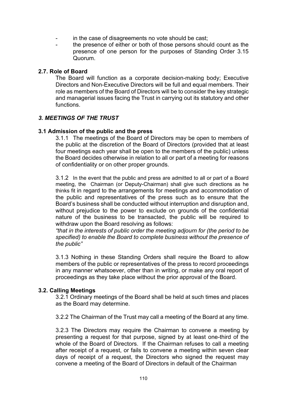- in the case of disagreements no vote should be cast;
- the presence of either or both of those persons should count as the presence of one person for the purposes of Standing Order 3.15 Quorum.

#### **2.7. Role of Board**

The Board will function as a corporate decision-making body; Executive Directors and Non-Executive Directors will be full and equal members. Their role as members of the Board of Directors will be to consider the key strategic and managerial issues facing the Trust in carrying out its statutory and other functions.

#### *3. MEETINGS OF THE TRUST*

#### **3.1 Admission of the public and the press**

3.1.1 The meetings of the Board of Directors may be open to members of the public at the discretion of the Board of Directors (provided that at least four meetings each year shall be open to the members of the public) unless the Board decides otherwise in relation to all or part of a meeting for reasons of confidentiality or on other proper grounds.

3.1.2 In the event that the public and press are admitted to all or part of a Board meeting, the Chairman (or Deputy-Chairman) shall give such directions as he thinks fit in regard to the arrangements for meetings and accommodation of the public and representatives of the press such as to ensure that the Board's business shall be conducted without interruption and disruption and, without prejudice to the power to exclude on grounds of the confidential nature of the business to be transacted, the public will be required to withdraw upon the Board resolving as follows:

*"that in the interests of public order the meeting adjourn for (the period to be specified) to enable the Board to complete business without the presence of the public"*

3.1.3 Nothing in these Standing Orders shall require the Board to allow members of the public or representatives of the press to record proceedings in any manner whatsoever, other than in writing, or make any oral report of proceedings as they take place without the prior approval of the Board.

#### **3.2. Calling Meetings**

3.2.1 Ordinary meetings of the Board shall be held at such times and places as the Board may determine.

3.2.2 The Chairman of the Trust may call a meeting of the Board at any time.

3.2.3 The Directors may require the Chairman to convene a meeting by presenting a request for that purpose, signed by at least one-third of the whole of the Board of Directors. If the Chairman refuses to call a meeting after receipt of a request, or fails to convene a meeting within seven clear days of receipt of a request, the Directors who signed the request may convene a meeting of the Board of Directors in default of the Chairman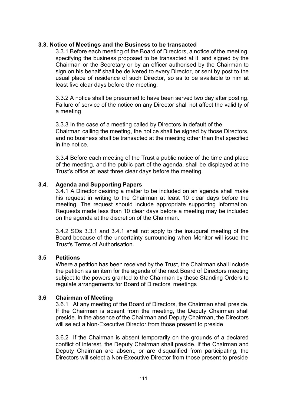#### **3.3. Notice of Meetings and the Business to be transacted**

3.3.1 Before each meeting of the Board of Directors, a notice of the meeting, specifying the business proposed to be transacted at it, and signed by the Chairman or the Secretary or by an officer authorised by the Chairman to sign on his behalf shall be delivered to every Director, or sent by post to the usual place of residence of such Director, so as to be available to him at least five clear days before the meeting.

3.3.2 A notice shall be presumed to have been served two day after posting. Failure of service of the notice on any Director shall not affect the validity of a meeting

3.3.3 In the case of a meeting called by Directors in default of the Chairman calling the meeting, the notice shall be signed by those Directors, and no business shall be transacted at the meeting other than that specified in the notice.

3.3.4 Before each meeting of the Trust a public notice of the time and place of the meeting, and the public part of the agenda, shall be displayed at the Trust's office at least three clear days before the meeting.

#### **3.4. Agenda and Supporting Papers**

3.4.1 A Director desiring a matter to be included on an agenda shall make his request in writing to the Chairman at least 10 clear days before the meeting. The request should include appropriate supporting information. Requests made less than 10 clear days before a meeting may be included on the agenda at the discretion of the Chairman.

3.4.2 SOs 3.3.1 and 3.4.1 shall not apply to the inaugural meeting of the Board because of the uncertainty surrounding when Monitor will issue the Trust's Terms of Authorisation.

#### **3.5 Petitions**

Where a petition has been received by the Trust, the Chairman shall include the petition as an item for the agenda of the next Board of Directors meeting subject to the powers granted to the Chairman by these Standing Orders to regulate arrangements for Board of Directors' meetings

#### **3.6 Chairman of Meeting**

3.6.1 At any meeting of the Board of Directors, the Chairman shall preside. If the Chairman is absent from the meeting, the Deputy Chairman shall preside. In the absence of the Chairman and Deputy Chairman, the Directors will select a Non-Executive Director from those present to preside

3.6.2 If the Chairman is absent temporarily on the grounds of a declared conflict of interest, the Deputy Chairman shall preside. If the Chairman and Deputy Chairman are absent, or are disqualified from participating, the Directors will select a Non-Executive Director from those present to preside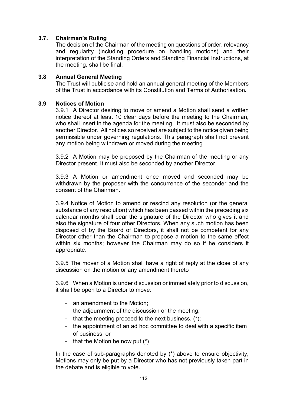## **3.7. Chairman's Ruling**

The decision of the Chairman of the meeting on questions of order, relevancy and regularity (including procedure on handling motions) and their interpretation of the Standing Orders and Standing Financial Instructions, at the meeting, shall be final.

#### **3.8 Annual General Meeting**

The Trust will publicise and hold an annual general meeting of the Members of the Trust in accordance with its Constitution and Terms of Authorisation**.**

#### **3.9 Notices of Motion**

3.9.1 A Director desiring to move or amend a Motion shall send a written notice thereof at least 10 clear days before the meeting to the Chairman, who shall insert in the agenda for the meeting. It must also be seconded by another Director. All notices so received are subject to the notice given being permissible under governing regulations. This paragraph shall not prevent any motion being withdrawn or moved during the meeting

3.9.2 A Motion may be proposed by the Chairman of the meeting or any Director present. It must also be seconded by another Director.

3.9.3 A Motion or amendment once moved and seconded may be withdrawn by the proposer with the concurrence of the seconder and the consent of the Chairman.

3.9.4 Notice of Motion to amend or rescind any resolution (or the general substance of any resolution) which has been passed within the preceding six calendar months shall bear the signature of the Director who gives it and also the signature of four other Directors. When any such motion has been disposed of by the Board of Directors, it shall not be competent for any Director other than the Chairman to propose a motion to the same effect within six months; however the Chairman may do so if he considers it appropriate.

3.9.5 The mover of a Motion shall have a right of reply at the close of any discussion on the motion or any amendment thereto

3.9.6 When a Motion is under discussion or immediately prior to discussion, it shall be open to a Director to move:

- an amendment to the Motion;
- the adjournment of the discussion or the meeting;
- that the meeting proceed to the next business. (\*);
- the appointment of an ad hoc committee to deal with a specific item of business; or
- that the Motion be now put  $(*)$

In the case of sub-paragraphs denoted by (\*) above to ensure objectivity, Motions may only be put by a Director who has not previously taken part in the debate and is eligible to vote.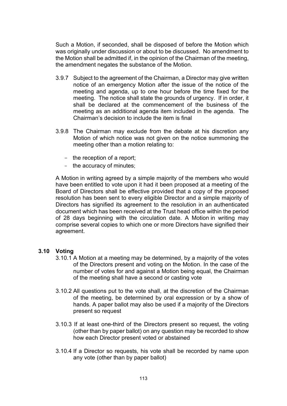Such a Motion, if seconded, shall be disposed of before the Motion which was originally under discussion or about to be discussed. No amendment to the Motion shall be admitted if, in the opinion of the Chairman of the meeting, the amendment negates the substance of the Motion.

- 3.9.7 Subject to the agreement of the Chairman, a Director may give written notice of an emergency Motion after the issue of the notice of the meeting and agenda, up to one hour before the time fixed for the meeting. The notice shall state the grounds of urgency. If in order, it shall be declared at the commencement of the business of the meeting as an additional agenda item included in the agenda. The Chairman's decision to include the item is final
- 3.9.8 The Chairman may exclude from the debate at his discretion any Motion of which notice was not given on the notice summoning the meeting other than a motion relating to:
	- the reception of a report;
	- the accuracy of minutes;

A Motion in writing agreed by a simple majority of the members who would have been entitled to vote upon it had it been proposed at a meeting of the Board of Directors shall be effective provided that a copy of the proposed resolution has been sent to every eligible Director and a simple majority of Directors has signified its agreement to the resolution in an authenticated document which has been received at the Trust head office within the period of 28 days beginning with the circulation date. A Motion in writing may comprise several copies to which one or more Directors have signified their agreement.

#### **3.10 Voting**

- 3.10.1 A Motion at a meeting may be determined, by a majority of the votes of the Directors present and voting on the Motion. In the case of the number of votes for and against a Motion being equal, the Chairman of the meeting shall have a second or casting vote
- 3.10.2 All questions put to the vote shall, at the discretion of the Chairman of the meeting, be determined by oral expression or by a show of hands. A paper ballot may also be used if a majority of the Directors present so request
- 3.10.3 If at least one-third of the Directors present so request, the voting (other than by paper ballot) on any question may be recorded to show how each Director present voted or abstained
- 3.10.4 If a Director so requests, his vote shall be recorded by name upon any vote (other than by paper ballot)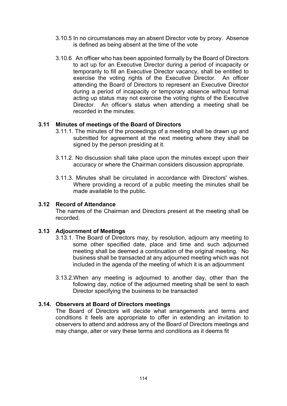- 3.10.5 In no circumstances may an absent Director vote by proxy. Absence is defined as being absent at the time of the vote
- 3.10.6 An officer who has been appointed formally by the Board of Directors to act up for an Executive Director during a period of incapacity or temporarily to fill an Executive Director vacancy, shall be entitled to exercise the voting rights of the Executive Director. An officer attending the Board of Directors to represent an Executive Director during a period of incapacity or temporary absence without formal acting up status may not exercise the voting rights of the Executive Director. An officer's status when attending a meeting shall be recorded in the minutes.

## **3.11 Minutes of meetings of the Board of Directors**

- 3.11.1. The minutes of the proceedings of a meeting shall be drawn up and submitted for agreement at the next meeting where they shall be signed by the person presiding at it.
- 3.11.2. No discussion shall take place upon the minutes except upon their accuracy or where the Chairman considers discussion appropriate.
- 3.11.3. Minutes shall be circulated in accordance with Directors' wishes. Where providing a record of a public meeting the minutes shall be made available to the public.

#### **3.12 Record of Attendance**

The names of the Chairman and Directors present at the meeting shall be recorded.

#### **3.13 Adjournment of Meetings**

- 3.13.1. The Board of Directors may, by resolution, adjourn any meeting to some other specified date, place and time and such adjourned meeting shall be deemed a continuation of the original meeting. No business shall be transacted at any adjourned meeting which was not included in the agenda of the meeting of which it is an adjournment
- 3.13.2.When any meeting is adjourned to another day, other than the following day, notice of the adjourned meeting shall be sent to each Director specifying the business to be transacted

#### **3.14. Observers at Board of Directors meetings**

The Board of Directors will decide what arrangements and terms and conditions it feels are appropriate to offer in extending an invitation to observers to attend and address any of the Board of Directors meetings and may change, alter or vary these terms and conditions as it deems fit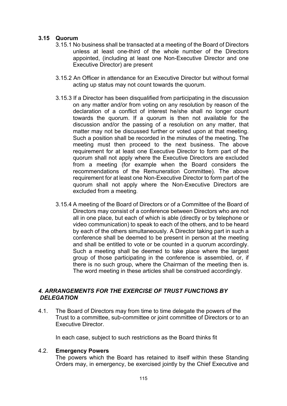#### **3.15 Quorum**

- 3.15.1 No business shall be transacted at a meeting of the Board of Directors unless at least one-third of the whole number of the Directors appointed, (including at least one Non-Executive Director and one Executive Director) are present
- 3.15.2 An Officer in attendance for an Executive Director but without formal acting up status may not count towards the quorum.
- 3.15.3 If a Director has been disqualified from participating in the discussion on any matter and/or from voting on any resolution by reason of the declaration of a conflict of interest he/she shall no longer count towards the quorum. If a quorum is then not available for the discussion and/or the passing of a resolution on any matter, that matter may not be discussed further or voted upon at that meeting. Such a position shall be recorded in the minutes of the meeting. The meeting must then proceed to the next business. The above requirement for at least one Executive Director to form part of the quorum shall not apply where the Executive Directors are excluded from a meeting (for example when the Board considers the recommendations of the Remuneration Committee). The above requirement for at least one Non-Executive Director to form part of the quorum shall not apply where the Non-Executive Directors are excluded from a meeting.
- 3.15.4 A meeting of the Board of Directors or of a Committee of the Board of Directors may consist of a conference between Directors who are not all in one place, but each of which is able (directly or by telephone or video communication) to speak to each of the others, and to be heard by each of the others simultaneously. A Director taking part in such a conference shall be deemed to be present in person at the meeting and shall be entitled to vote or be counted in a quorum accordingly. Such a meeting shall be deemed to take place where the largest group of those participating in the conference is assembled, or, if there is no such group, where the Chairman of the meeting then is. The word meeting in these articles shall be construed accordingly.

## *4. ARRANGEMENTS FOR THE EXERCISE OF TRUST FUNCTIONS BY DELEGATION*

4.1. The Board of Directors may from time to time delegate the powers of the Trust to a committee, sub-committee or joint committee of Directors or to an Executive Director.

In each case, subject to such restrictions as the Board thinks fit

#### 4.2. **Emergency Powers**

The powers which the Board has retained to itself within these Standing Orders may, in emergency, be exercised jointly by the Chief Executive and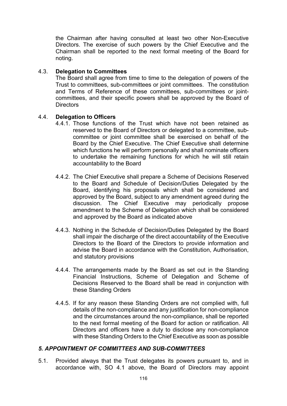the Chairman after having consulted at least two other Non-Executive Directors. The exercise of such powers by the Chief Executive and the Chairman shall be reported to the next formal meeting of the Board for noting.

#### 4.3. **Delegation to Committees**

The Board shall agree from time to time to the delegation of powers of the Trust to committees, sub-committees or joint committees. The constitution and Terms of Reference of these committees, sub-committees or jointcommittees, and their specific powers shall be approved by the Board of **Directors** 

#### 4.4. **Delegation to Officers**

- 4.4.1. Those functions of the Trust which have not been retained as reserved to the Board of Directors or delegated to a committee, subcommittee or joint committee shall be exercised on behalf of the Board by the Chief Executive. The Chief Executive shall determine which functions he will perform personally and shall nominate officers to undertake the remaining functions for which he will still retain accountability to the Board
- 4.4.2. The Chief Executive shall prepare a Scheme of Decisions Reserved to the Board and Schedule of Decision/Duties Delegated by the Board, identifying his proposals which shall be considered and approved by the Board, subject to any amendment agreed during the discussion. The Chief Executive may periodically propose amendment to the Scheme of Delegation which shall be considered and approved by the Board as indicated above
- 4.4.3. Nothing in the Schedule of Decision/Duties Delegated by the Board shall impair the discharge of the direct accountability of the Executive Directors to the Board of the Directors to provide information and advise the Board in accordance with the Constitution, Authorisation, and statutory provisions
- 4.4.4. The arrangements made by the Board as set out in the Standing Financial Instructions, Scheme of Delegation and Scheme of Decisions Reserved to the Board shall be read in conjunction with these Standing Orders
- 4.4.5. If for any reason these Standing Orders are not complied with, full details of the non-compliance and any justification for non-compliance and the circumstances around the non-compliance, shall be reported to the next formal meeting of the Board for action or ratification. All Directors and officers have a duty to disclose any non-compliance with these Standing Orders to the Chief Executive as soon as possible

#### *5. APPOINTMENT OF COMMITTEES AND SUB-COMMITTEES*

5.1. Provided always that the Trust delegates its powers pursuant to, and in accordance with, SO 4.1 above, the Board of Directors may appoint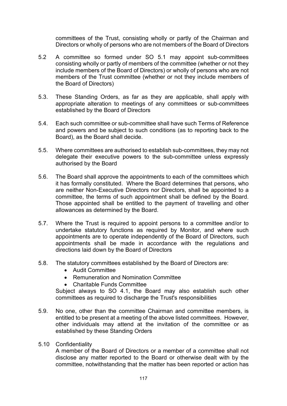committees of the Trust, consisting wholly or partly of the Chairman and Directors or wholly of persons who are not members of the Board of Directors

- 5.2 A committee so formed under SO 5.1 may appoint sub-committees consisting wholly or partly of members of the committee (whether or not they include members of the Board of Directors) or wholly of persons who are not members of the Trust committee (whether or not they include members of the Board of Directors)
- 5.3. These Standing Orders, as far as they are applicable, shall apply with appropriate alteration to meetings of any committees or sub-committees established by the Board of Directors
- 5.4. Each such committee or sub-committee shall have such Terms of Reference and powers and be subject to such conditions (as to reporting back to the Board), as the Board shall decide.
- 5.5. Where committees are authorised to establish sub-committees, they may not delegate their executive powers to the sub-committee unless expressly authorised by the Board
- 5.6. The Board shall approve the appointments to each of the committees which it has formally constituted. Where the Board determines that persons, who are neither Non-Executive Directors nor Directors, shall be appointed to a committee, the terms of such appointment shall be defined by the Board. Those appointed shall be entitled to the payment of travelling and other allowances as determined by the Board.
- 5.7. Where the Trust is required to appoint persons to a committee and/or to undertake statutory functions as required by Monitor, and where such appointments are to operate independently of the Board of Directors, such appointments shall be made in accordance with the regulations and directions laid down by the Board of Directors
- 5.8. The statutory committees established by the Board of Directors are:
	- Audit Committee
	- Remuneration and Nomination Committee
	- Charitable Funds Committee

Subject always to SO 4.1, the Board may also establish such other committees as required to discharge the Trust's responsibilities

- 5.9. No one, other than the committee Chairman and committee members, is entitled to be present at a meeting of the above listed committees. However, other individuals may attend at the invitation of the committee or as established by these Standing Orders
- 5.10 Confidentiality

A member of the Board of Directors or a member of a committee shall not disclose any matter reported to the Board or otherwise dealt with by the committee, notwithstanding that the matter has been reported or action has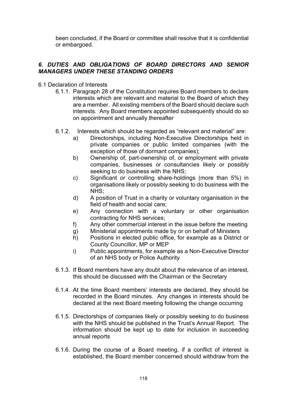been concluded, if the Board or committee shall resolve that it is confidential or embargoed.

## *6. DUTIES AND OBLIGATIONS OF BOARD DIRECTORS AND SENIOR MANAGERS UNDER THESE STANDING ORDERS*

- 6.1 Declaration of Interests
	- 6.1.1. Paragraph 28 of the Constitution requires Board members to declare interests which are relevant and material to the Board of which they are a member. All existing members of the Board should declare such interests. Any Board members appointed subsequently should do so on appointment and annually thereafter
	- 6.1.2. Interests which should be regarded as "relevant and material" are:
		- a) Directorships, including Non-Executive Directorships held in private companies or public limited companies (with the exception of those of dormant companies);
		- b) Ownership of, part-ownership of, or employment with private companies, businesses or consultancies likely or possibly seeking to do business with the NHS;
		- c) Significant or controlling share-holdings (more than 5%) in organisations likely or possibly seeking to do business with the NHS;
		- d) A position of Trust in a charity or voluntary organisation in the field of health and social care;
		- e) Any connection with a voluntary or other organisation contracting for NHS services;
		- f) Any other commercial interest in the issue before the meeting
		- g) Ministerial appointments made by or on behalf of Ministers
		- h) Positions in elected public office, for example as a District or County Councillor, MP or MEP
		- i) Public appointments, for example as a Non-Executive Director of an NHS body or Police Authority
	- 6.1.3. If Board members have any doubt about the relevance of an interest, this should be discussed with the Chairman or the Secretary
	- 6.1.4. At the time Board members' interests are declared, they should be recorded in the Board minutes. Any changes in interests should be declared at the next Board meeting following the change occurring
	- 6.1.5. Directorships of companies likely or possibly seeking to do business with the NHS should be published in the Trust's Annual Report. The information should be kept up to date for inclusion in succeeding annual reports
	- 6.1.6. During the course of a Board meeting, if a conflict of interest is established, the Board member concerned should withdraw from the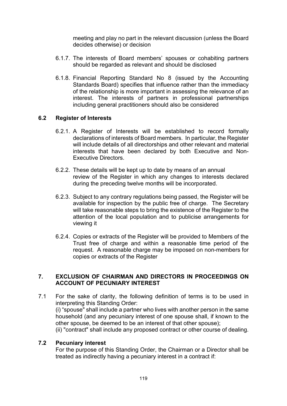meeting and play no part in the relevant discussion (unless the Board decides otherwise) or decision

- 6.1.7. The interests of Board members' spouses or cohabiting partners should be regarded as relevant and should be disclosed
- 6.1.8. Financial Reporting Standard No 8 (issued by the Accounting Standards Board) specifies that influence rather than the immediacy of the relationship is more important in assessing the relevance of an interest. The interests of partners in professional partnerships including general practitioners should also be considered

#### **6.2 Register of Interests**

- 6.2.1. A Register of Interests will be established to record formally declarations of interests of Board members. In particular, the Register will include details of all directorships and other relevant and material interests that have been declared by both Executive and Non-Executive Directors.
- 6.2.2. These details will be kept up to date by means of an annual review of the Register in which any changes to interests declared during the preceding twelve months will be incorporated.
- 6.2.3. Subject to any contrary regulations being passed, the Register will be available for inspection by the public free of charge. The Secretary will take reasonable steps to bring the existence of the Register to the attention of the local population and to publicise arrangements for viewing it
- 6.2.4. Copies or extracts of the Register will be provided to Members of the Trust free of charge and within a reasonable time period of the request. A reasonable charge may be imposed on non-members for copies or extracts of the Register

#### **7. EXCLUSION OF CHAIRMAN AND DIRECTORS IN PROCEEDINGS ON ACCOUNT OF PECUNIARY INTEREST**

7.1 For the sake of clarity, the following definition of terms is to be used in interpreting this Standing Order: (i) "spouse" shall include a partner who lives with another person in the same household (and any pecuniary interest of one spouse shall, if known to the other spouse, be deemed to be an interest of that other spouse); (ii) "contract" shall include any proposed contract or other course of dealing.

#### **7.2 Pecuniary interest**

For the purpose of this Standing Order, the Chairman or a Director shall be treated as indirectly having a pecuniary interest in a contract if: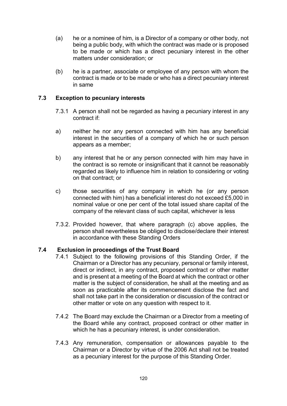- (a) he or a nominee of him, is a Director of a company or other body, not being a public body, with which the contract was made or is proposed to be made or which has a direct pecuniary interest in the other matters under consideration; or
- (b) he is a partner, associate or employee of any person with whom the contract is made or to be made or who has a direct pecuniary interest in same

## **7.3 Exception to pecuniary interests**

- 7.3.1 A person shall not be regarded as having a pecuniary interest in any contract if:
- a) neither he nor any person connected with him has any beneficial interest in the securities of a company of which he or such person appears as a member;
- b) any interest that he or any person connected with him may have in the contract is so remote or insignificant that it cannot be reasonably regarded as likely to influence him in relation to considering or voting on that contract; or
- c) those securities of any company in which he (or any person connected with him) has a beneficial interest do not exceed £5,000 in nominal value or one per cent of the total issued share capital of the company of the relevant class of such capital, whichever is less
- 7.3.2. Provided however, that where paragraph (c) above applies, the person shall nevertheless be obliged to disclose/declare their interest in accordance with these Standing Orders

#### **7.4 Exclusion in proceedings of the Trust Board**

- 7.4.1 Subject to the following provisions of this Standing Order, if the Chairman or a Director has any pecuniary, personal or family interest, direct or indirect, in any contract, proposed contract or other matter and is present at a meeting of the Board at which the contract or other matter is the subject of consideration, he shall at the meeting and as soon as practicable after its commencement disclose the fact and shall not take part in the consideration or discussion of the contract or other matter or vote on any question with respect to it.
- 7.4.2 The Board may exclude the Chairman or a Director from a meeting of the Board while any contract, proposed contract or other matter in which he has a pecuniary interest, is under consideration.
- 7.4.3 Any remuneration, compensation or allowances payable to the Chairman or a Director by virtue of the 2006 Act shall not be treated as a pecuniary interest for the purpose of this Standing Order.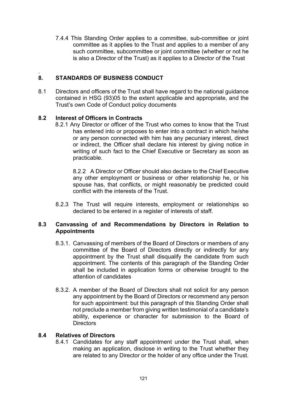7.4.4 This Standing Order applies to a committee, sub-committee or joint committee as it applies to the Trust and applies to a member of any such committee, subcommittee or joint committee (whether or not he is also a Director of the Trust) as it applies to a Director of the Trust

#### . **8. STANDARDS OF BUSINESS CONDUCT**

8.1 Directors and officers of the Trust shall have regard to the national guidance contained in HSG (93)05 to the extent applicable and appropriate, and the Trust's own Code of Conduct policy documents

## **8.2 Interest of Officers in Contracts**

8.2.1 Any Director or officer of the Trust who comes to know that the Trust has entered into or proposes to enter into a contract in which he/she or any person connected with him has any pecuniary interest, direct or indirect, the Officer shall declare his interest by giving notice in writing of such fact to the Chief Executive or Secretary as soon as practicable.

8.2.2 A Director or Officer should also declare to the Chief Executive any other employment or business or other relationship he, or his spouse has, that conflicts, or might reasonably be predicted could conflict with the interests of the Trust.

8.2.3 The Trust will require interests, employment or relationships so declared to be entered in a register of interests of staff.

## **8.3 Canvassing of and Recommendations by Directors in Relation to Appointments**

- 8.3.1. Canvassing of members of the Board of Directors or members of any committee of the Board of Directors directly or indirectly for any appointment by the Trust shall disqualify the candidate from such appointment. The contents of this paragraph of the Standing Order shall be included in application forms or otherwise brought to the attention of candidates
- 8.3.2. A member of the Board of Directors shall not solicit for any person any appointment by the Board of Directors or recommend any person for such appointment: but this paragraph of this Standing Order shall not preclude a member from giving written testimonial of a candidate's ability, experience or character for submission to the Board of **Directors**

## **8.4 Relatives of Directors**

8.4.1 Candidates for any staff appointment under the Trust shall, when making an application, disclose in writing to the Trust whether they are related to any Director or the holder of any office under the Trust.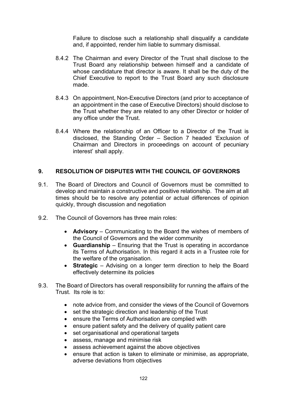Failure to disclose such a relationship shall disqualify a candidate and, if appointed, render him liable to summary dismissal.

- 8.4.2 The Chairman and every Director of the Trust shall disclose to the Trust Board any relationship between himself and a candidate of whose candidature that director is aware. It shall be the duty of the Chief Executive to report to the Trust Board any such disclosure made.
- 8.4.3 On appointment, Non-Executive Directors (and prior to acceptance of an appointment in the case of Executive Directors) should disclose to the Trust whether they are related to any other Director or holder of any office under the Trust.
- 8.4.4 Where the relationship of an Officer to a Director of the Trust is disclosed, the Standing Order – Section 7 headed 'Exclusion of Chairman and Directors in proceedings on account of pecuniary interest' shall apply.

## **9. RESOLUTION OF DISPUTES WITH THE COUNCIL OF GOVERNORS**

- 9.1. The Board of Directors and Council of Governors must be committed to develop and maintain a constructive and positive relationship. The aim at all times should be to resolve any potential or actual differences of opinion quickly, through discussion and negotiation
- 9.2. The Council of Governors has three main roles:
	- **Advisory** Communicating to the Board the wishes of members of the Council of Governors and the wider community
	- **Guardianship** Ensuring that the Trust is operating in accordance its Terms of Authorisation. In this regard it acts in a Trustee role for the welfare of the organisation.
	- **Strategic** Advising on a longer term direction to help the Board effectively determine its policies
- 9.3. The Board of Directors has overall responsibility for running the affairs of the Trust. Its role is to:
	- note advice from, and consider the views of the Council of Governors
	- set the strategic direction and leadership of the Trust
	- ensure the Terms of Authorisation are complied with
	- ensure patient safety and the delivery of quality patient care
	- set organisational and operational targets
	- assess, manage and minimise risk
	- assess achievement against the above objectives
	- ensure that action is taken to eliminate or minimise, as appropriate, adverse deviations from objectives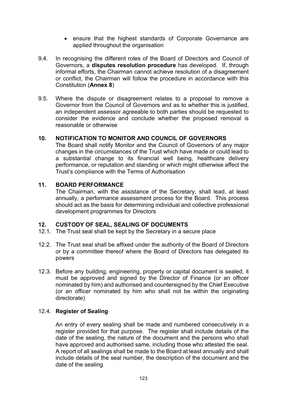- ensure that the highest standards of Corporate Governance are applied throughout the organisation
- 9.4. In recognising the different roles of the Board of Directors and Council of Governors, a **disputes resolution procedure** has developed. If, through informal efforts, the Chairman cannot achieve resolution of a disagreement or conflict, the Chairman will follow the procedure in accordance with this Constitution (**Annex 8**)
- 9.5. Where the dispute or disagreement relates to a proposal to remove a Governor from the Council of Governors and as to whether this is justified, an independent assessor agreeable to both parties should be requested to consider the evidence and conclude whether the proposed removal is reasonable or otherwise

## **10. NOTIFICATION TO MONITOR AND COUNCIL OF GOVERNORS**

The Board shall notify Monitor and the Council of Governors of any major changes in the circumstances of the Trust which have made or could lead to a substantial change to its financial well being, healthcare delivery performance, or reputation and standing or which might otherwise affect the Trust's compliance with the Terms of Authorisation

#### **11. BOARD PERFORMANCE**

The Chairman, with the assistance of the Secretary, shall lead, at least annually, a performance assessment process for the Board. This process should act as the basis for determining individual and collective professional development programmes for Directors

## **12. CUSTODY OF SEAL, SEALING OF DOCUMENTS**

- 12.1. The Trust seal shall be kept by the Secretary in a secure place
- 12.2. The Trust seal shall be affixed under the authority of the Board of Directors or by a committee thereof where the Board of Directors has delegated its powers
- 12.3. Before any building, engineering, property or capital document is sealed, it must be approved and signed by the Director of Finance (or an officer nominated by him) and authorised and countersigned by the Chief Executive (or an officer nominated by him who shall not be within the originating directorate)

## 12.4. **Register of Sealing**

An entry of every sealing shall be made and numbered consecutively in a register provided for that purpose. The register shall include details of the date of the sealing, the nature of the document and the persons who shall have approved and authorised same, including those who attested the seal. A report of all sealings shall be made to the Board at least annually and shall include details of the seal number, the description of the document and the date of the sealing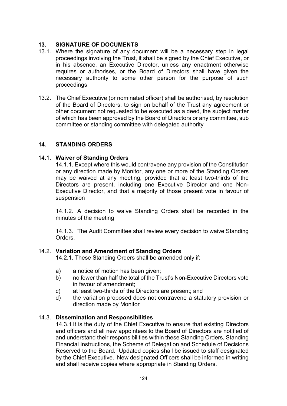## **13. SIGNATURE OF DOCUMENTS**

- 13.1. Where the signature of any document will be a necessary step in legal proceedings involving the Trust, it shall be signed by the Chief Executive, or in his absence, an Executive Director, unless any enactment otherwise requires or authorises, or the Board of Directors shall have given the necessary authority to some other person for the purpose of such proceedings
- 13.2. The Chief Executive (or nominated officer) shall be authorised, by resolution of the Board of Directors, to sign on behalf of the Trust any agreement or other document not requested to be executed as a deed, the subject matter of which has been approved by the Board of Directors or any committee, sub committee or standing committee with delegated authority

## **14. STANDING ORDERS**

## 14.1. **Waiver of Standing Orders**

14.1.1. Except where this would contravene any provision of the Constitution or any direction made by Monitor, any one or more of the Standing Orders may be waived at any meeting, provided that at least two-thirds of the Directors are present, including one Executive Director and one Non-Executive Director, and that a majority of those present vote in favour of suspension

14.1.2. A decision to waive Standing Orders shall be recorded in the minutes of the meeting

14.1.3. The Audit Committee shall review every decision to waive Standing Orders.

#### 14.2. **Variation and Amendment of Standing Orders**

14.2.1. These Standing Orders shall be amended only if:

- a) a notice of motion has been given;
- b) no fewer than half the total of the Trust's Non-Executive Directors vote in favour of amendment;
- c) at least two-thirds of the Directors are present; and
- d) the variation proposed does not contravene a statutory provision or direction made by Monitor

#### 14.3. **Dissemination and Responsibilities**

14.3.1 It is the duty of the Chief Executive to ensure that existing Directors and officers and all new appointees to the Board of Directors are notified of and understand their responsibilities within these Standing Orders, Standing Financial Instructions, the Scheme of Delegation and Schedule of Decisions Reserved to the Board. Updated copies shall be issued to staff designated by the Chief Executive. New designated Officers shall be informed in writing and shall receive copies where appropriate in Standing Orders.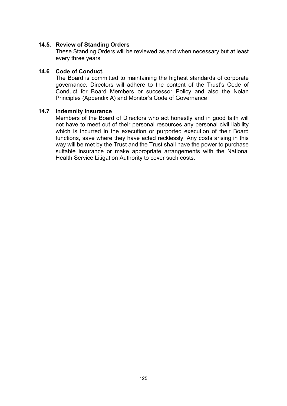#### **14.5. Review of Standing Orders**

These Standing Orders will be reviewed as and when necessary but at least every three years

#### **14.6 Code of Conduct.**

The Board is committed to maintaining the highest standards of corporate governance. Directors will adhere to the content of the Trust's Code of Conduct for Board Members or successor Policy and also the Nolan Principles (Appendix A) and Monitor's Code of Governance

#### **14.7 Indemnity Insurance**

Members of the Board of Directors who act honestly and in good faith will not have to meet out of their personal resources any personal civil liability which is incurred in the execution or purported execution of their Board functions, save where they have acted recklessly. Any costs arising in this way will be met by the Trust and the Trust shall have the power to purchase suitable insurance or make appropriate arrangements with the National Health Service Litigation Authority to cover such costs.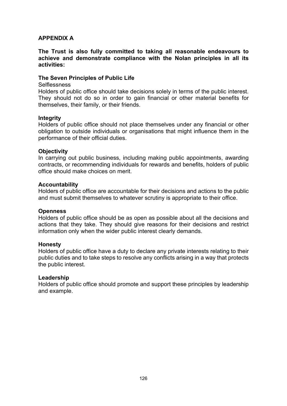## **APPENDIX A**

**The Trust is also fully committed to taking all reasonable endeavours to achieve and demonstrate compliance with the Nolan principles in all its activities:**

#### **The Seven Principles of Public Life**

#### **Selflessness**

Holders of public office should take decisions solely in terms of the public interest. They should not do so in order to gain financial or other material benefits for themselves, their family, or their friends.

#### **Integrity**

Holders of public office should not place themselves under any financial or other obligation to outside individuals or organisations that might influence them in the performance of their official duties.

#### **Objectivity**

In carrying out public business, including making public appointments, awarding contracts, or recommending individuals for rewards and benefits, holders of public office should make choices on merit.

#### **Accountability**

Holders of public office are accountable for their decisions and actions to the public and must submit themselves to whatever scrutiny is appropriate to their office.

#### **Openness**

Holders of public office should be as open as possible about all the decisions and actions that they take. They should give reasons for their decisions and restrict information only when the wider public interest clearly demands.

#### **Honesty**

Holders of public office have a duty to declare any private interests relating to their public duties and to take steps to resolve any conflicts arising in a way that protects the public interest.

#### **Leadership**

Holders of public office should promote and support these principles by leadership and example.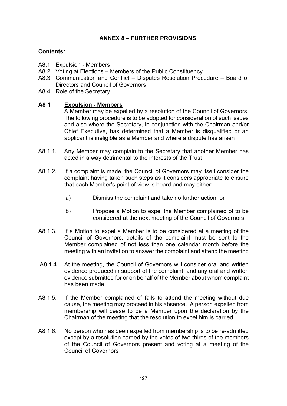## **ANNEX 8 – FURTHER PROVISIONS**

## **Contents:**

- A8.1. Expulsion Members
- A8.2. Voting at Elections Members of the Public Constituency
- A8.3. Communication and Conflict Disputes Resolution Procedure Board of Directors and Council of Governors
- A8.4. Role of the Secretary

## **A8 1 Expulsion - Members**

A Member may be expelled by a resolution of the Council of Governors. The following procedure is to be adopted for consideration of such issues and also where the Secretary, in conjunction with the Chairman and/or Chief Executive, has determined that a Member is disqualified or an applicant is ineligible as a Member and where a dispute has arisen

- A8 1.1. Any Member may complain to the Secretary that another Member has acted in a way detrimental to the interests of the Trust
- A8 1.2. If a complaint is made, the Council of Governors may itself consider the complaint having taken such steps as it considers appropriate to ensure that each Member's point of view is heard and may either:
	- a) Dismiss the complaint and take no further action; or
	- b) Propose a Motion to expel the Member complained of to be considered at the next meeting of the Council of Governors
- A8 1.3. If a Motion to expel a Member is to be considered at a meeting of the Council of Governors, details of the complaint must be sent to the Member complained of not less than one calendar month before the meeting with an invitation to answer the complaint and attend the meeting
- A8 1.4. At the meeting, the Council of Governors will consider oral and written evidence produced in support of the complaint, and any oral and written evidence submitted for or on behalf of the Member about whom complaint has been made
- A8 1.5. If the Member complained of fails to attend the meeting without due cause, the meeting may proceed in his absence. A person expelled from membership will cease to be a Member upon the declaration by the Chairman of the meeting that the resolution to expel him is carried
- A8 1.6. No person who has been expelled from membership is to be re-admitted except by a resolution carried by the votes of two-thirds of the members of the Council of Governors present and voting at a meeting of the Council of Governors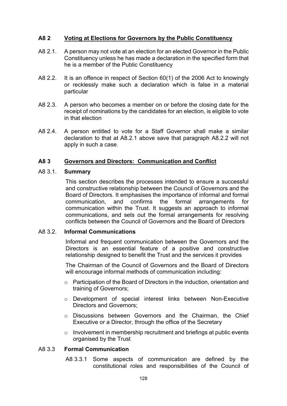#### **A8 2 Voting at Elections for Governors by the Public Constituency**

- A8 2.1. A person may not vote at an election for an elected Governor in the Public Constituency unless he has made a declaration in the specified form that he is a member of the Public Constituency
- A8 2.2. It is an offence in respect of Section 60(1) of the 2006 Act to knowingly or recklessly make such a declaration which is false in a material particular
- A8 2.3. A person who becomes a member on or before the closing date for the receipt of nominations by the candidates for an election, is eligible to vote in that election
- A8 2.4. A person entitled to vote for a Staff Governor shall make a similar declaration to that at A8.2.1 above save that paragraph A8.2.2 will not apply in such a case.

#### **A8 3 Governors and Directors: Communication and Conflict**

#### A8 3.1. **Summary**

This section describes the processes intended to ensure a successful and constructive relationship between the Council of Governors and the Board of Directors. It emphasises the importance of informal and formal communication, and confirms the formal arrangements for communication within the Trust. It suggests an approach to informal communications, and sets out the formal arrangements for resolving conflicts between the Council of Governors and the Board of Directors

#### A8 3.2. **Informal Communications**

Informal and frequent communication between the Governors and the Directors is an essential feature of a positive and constructive relationship designed to benefit the Trust and the services it provides

The Chairman of the Council of Governors and the Board of Directors will encourage informal methods of communication including:

- o Participation of the Board of Directors in the induction, orientation and training of Governors;
- o Development of special interest links between Non-Executive Directors and Governors;
- o Discussions between Governors and the Chairman, the Chief Executive or a Director, through the office of the Secretary
- o Involvement in membership recruitment and briefings at public events organised by the Trust

#### A8 3.3 **Formal Communication**

A8 3.3.1 Some aspects of communication are defined by the constitutional roles and responsibilities of the Council of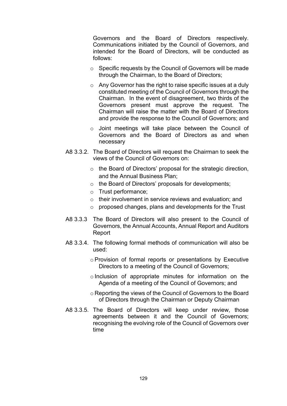Governors and the Board of Directors respectively. Communications initiated by the Council of Governors, and intended for the Board of Directors, will be conducted as follows:

- o Specific requests by the Council of Governors will be made through the Chairman, to the Board of Directors;
- $\circ$  Any Governor has the right to raise specific issues at a duly constituted meeting of the Council of Governors through the Chairman. In the event of disagreement, two thirds of the Governors present must approve the request. The Chairman will raise the matter with the Board of Directors and provide the response to the Council of Governors; and
- o Joint meetings will take place between the Council of Governors and the Board of Directors as and when necessary
- A8 3.3.2. The Board of Directors will request the Chairman to seek the views of the Council of Governors on:
	- o the Board of Directors' proposal for the strategic direction, and the Annual Business Plan;
	- o the Board of Directors' proposals for developments;
	- o Trust performance;
	- o their involvement in service reviews and evaluation; and
	- o proposed changes, plans and developments for the Trust
- A8 3.3.3 The Board of Directors will also present to the Council of Governors, the Annual Accounts, Annual Report and Auditors Report
- A8 3.3.4. The following formal methods of communication will also be used:
	- o Provision of formal reports or presentations by Executive Directors to a meeting of the Council of Governors;
	- o Inclusion of appropriate minutes for information on the Agenda of a meeting of the Council of Governors; and
	- o Reporting the views of the Council of Governors to the Board of Directors through the Chairman or Deputy Chairman
- A8 3.3.5. The Board of Directors will keep under review, those agreements between it and the Council of Governors; recognising the evolving role of the Council of Governors over time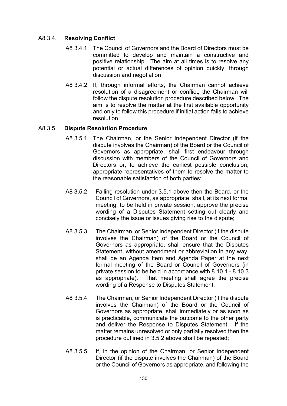## A8 3.4. **Resolving Conflict**

- A8 3.4.1. The Council of Governors and the Board of Directors must be committed to develop and maintain a constructive and positive relationship. The aim at all times is to resolve any potential or actual differences of opinion quickly, through discussion and negotiation
- A8 3.4.2. If, through informal efforts, the Chairman cannot achieve resolution of a disagreement or conflict, the Chairman will follow the dispute resolution procedure described below. The aim is to resolve the matter at the first available opportunity and only to follow this procedure if initial action fails to achieve resolution

#### A8 3.5. **Dispute Resolution Procedure**

- A8 3.5.1. The Chairman, or the Senior Independent Director (if the dispute involves the Chairman) of the Board or the Council of Governors as appropriate, shall first endeavour through discussion with members of the Council of Governors and Directors or, to achieve the earliest possible conclusion, appropriate representatives of them to resolve the matter to the reasonable satisfaction of both parties;
- A8 3.5.2. Failing resolution under 3.5.1 above then the Board, or the Council of Governors, as appropriate, shall, at its next formal meeting, to be held in private session, approve the precise wording of a Disputes Statement setting out clearly and concisely the issue or issues giving rise to the dispute;
- A8 3.5.3. The Chairman, or Senior Independent Director (if the dispute involves the Chairman) of the Board or the Council of Governors as appropriate, shall ensure that the Disputes Statement, without amendment or abbreviation in any way, shall be an Agenda Item and Agenda Paper at the next formal meeting of the Board or Council of Governors (in private session to be held in accordance with 8.10.1 - 8.10.3 as appropriate). That meeting shall agree the precise wording of a Response to Disputes Statement;
- A8 3.5.4. The Chairman, or Senior Independent Director (if the dispute involves the Chairman) of the Board or the Council of Governors as appropriate, shall immediately or as soon as is practicable, communicate the outcome to the other party and deliver the Response to Disputes Statement. If the matter remains unresolved or only partially resolved then the procedure outlined in 3.5.2 above shall be repeated;
- A8 3.5.5. If, in the opinion of the Chairman, or Senior Independent Director (if the dispute involves the Chairman) of the Board or the Council of Governors as appropriate, and following the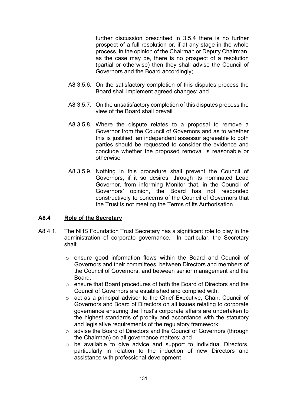further discussion prescribed in 3.5.4 there is no further prospect of a full resolution or, if at any stage in the whole process, in the opinion of the Chairman or Deputy Chairman, as the case may be, there is no prospect of a resolution (partial or otherwise) then they shall advise the Council of Governors and the Board accordingly;

- A8 3.5.6. On the satisfactory completion of this disputes process the Board shall implement agreed changes; and
- A8 3.5.7. On the unsatisfactory completion of this disputes process the view of the Board shall prevail
- A8 3.5.8. Where the dispute relates to a proposal to remove a Governor from the Council of Governors and as to whether this is justified, an independent assessor agreeable to both parties should be requested to consider the evidence and conclude whether the proposed removal is reasonable or otherwise
- A8 3.5.9. Nothing in this procedure shall prevent the Council of Governors, if it so desires, through its nominated Lead Governor, from informing Monitor that, in the Council of Governors' opinion, the Board has not responded constructively to concerns of the Council of Governors that the Trust is not meeting the Terms of its Authorisation

#### **A8.4 Role of the Secretary**

- A8 4.1. The NHS Foundation Trust Secretary has a significant role to play in the administration of corporate governance. In particular, the Secretary shall:
	- o ensure good information flows within the Board and Council of Governors and their committees, between Directors and members of the Council of Governors, and between senior management and the Board.
	- o ensure that Board procedures of both the Board of Directors and the Council of Governors are established and complied with;
	- o act as a principal advisor to the Chief Executive, Chair, Council of Governors and Board of Directors on all issues relating to corporate governance ensuring the Trust's corporate affairs are undertaken to the highest standards of probity and accordance with the statutory and legislative requirements of the regulatory framework;
	- o advise the Board of Directors and the Council of Governors (through the Chairman) on all governance matters; and
	- o be available to give advice and support to individual Directors, particularly in relation to the induction of new Directors and assistance with professional development